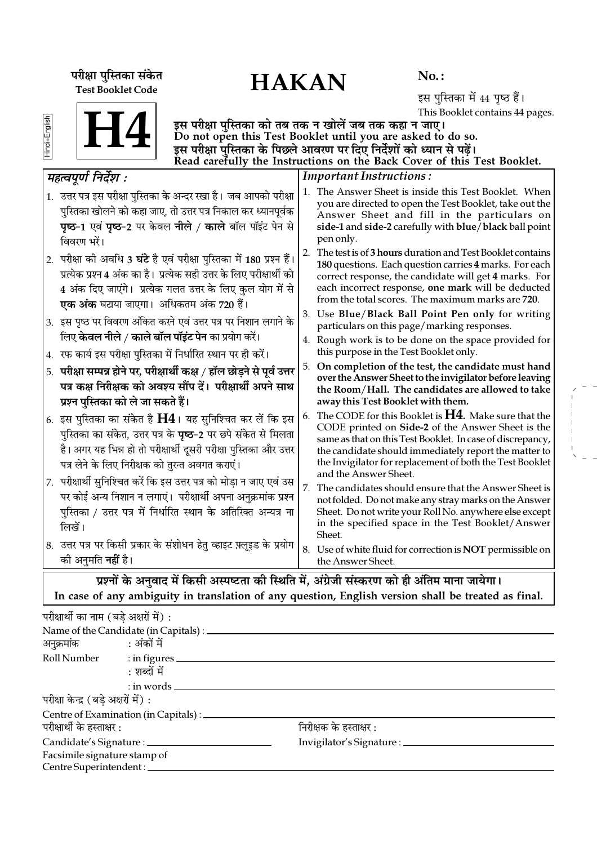# परीक्षा पुस्तिका संकेत $\overline{HAKAN}$ Test Booklet Code

No. :

इस पुस्तिका में 44 पृष्ठ हैं। This Booklet contains 44 pages.

|--|

Hindi+English

इस परीक्षा पुस्तिका को तब तक न खोलें जब तक कहा न जाए। Do not open this Test Booklet until you are asked to do so. इस परीक्षा पुस्तिका के पिछले आवरण पर दिए निर्देशों को ध्यान से पढ़ें। Read carefully the Instructions on the Back Cover of this Test Booklet.

|    | महत्वपूर्ण निर्देश :                                                                                                                                                                                                                                                    |    | <b>Important Instructions:</b>                                                                                                                                                                                                                                                                                          |
|----|-------------------------------------------------------------------------------------------------------------------------------------------------------------------------------------------------------------------------------------------------------------------------|----|-------------------------------------------------------------------------------------------------------------------------------------------------------------------------------------------------------------------------------------------------------------------------------------------------------------------------|
|    | 1. उत्तर पत्र इस परीक्षा पुस्तिका के अन्दर रखा है। जब आपको परीक्षा<br>पुस्तिका खोलने को कहा जाए, तो उत्तर पत्र निकाल कर ध्यानपूर्वक<br>पृष्ठ-1 एवं पृष्ठ-2 पर केवल नीले / काले बॉल पॉइंट पेन से<br>विवरण भरें।                                                          |    | 1. The Answer Sheet is inside this Test Booklet. When<br>you are directed to open the Test Booklet, take out the<br>Answer Sheet and fill in the particulars on<br>side-1 and side-2 carefully with blue/black ball point<br>pen only.                                                                                  |
|    | 2.  परीक्षा को अवधि 3 <b>घंटे</b> है एवं परीक्षा पुस्तिका में 180 प्रश्न हैं।<br>प्रत्येक प्रश्न 4 अंक का है। प्रत्येक सही उत्तर के लिए परीक्षार्थी को<br>4 अंक दिए जाएंगे। प्रत्येक गलत उत्तर के लिए कुल योग में से<br><b>एक अंक</b> घटाया जाएगा।  अधिकतम अंक 720 हैं। |    | 2. The test is of 3 hours duration and Test Booklet contains<br>180 questions. Each question carries 4 marks. For each<br>correct response, the candidate will get 4 marks. For<br>each incorrect response, one mark will be deducted<br>from the total scores. The maximum marks are 720.                              |
|    | $ 3. \>$ इस पृष्ठ पर विवरण अंकित करने एवं उत्तर पत्र पर निशान लगाने के<br>लिए <b>केवल नीले / काले बॉल पॉइंट पेन</b> का प्रयोग करें।                                                                                                                                     |    | 3. Use Blue/Black Ball Point Pen only for writing<br>particulars on this page/marking responses.                                                                                                                                                                                                                        |
| 4. | रफ कार्य इस परीक्षा पुस्तिका में निर्धारित स्थान पर ही करें।                                                                                                                                                                                                            |    | 4. Rough work is to be done on the space provided for<br>this purpose in the Test Booklet only.                                                                                                                                                                                                                         |
| 5. | परीक्षा सम्पन्न होने पर, परीक्षार्थी कक्ष / हॉल छोड़ने से पूर्व उत्तर<br>पत्र कक्ष निरीक्षक को अवश्य सौंप दें। परीक्षार्थी अपने साथ<br>प्रश्न पुस्तिका को ले जा सकते हैं।                                                                                               |    | 5. On completion of the test, the candidate must hand<br>over the Answer Sheet to the invigilator before leaving<br>the Room/Hall. The candidates are allowed to take<br>away this Test Booklet with them.                                                                                                              |
|    | 6. इस पुस्तिका का संकेत है $H4$ । यह सुनिश्चित कर लें कि इस<br>पुस्तिका का संकेत, उत्तर पत्र के <b>पृष्ठ</b> -2 पर छपे संकेत से मिलता<br>है। अगर यह भिन्न हो तो परीक्षार्थी दूसरी परीक्षा पुस्तिका और उत्तर<br>पत्र लेने के लिए निरीक्षक को तुरन्त अवगत कराएं।          | 6. | The CODE for this Booklet is $H4$ . Make sure that the<br>CODE printed on Side-2 of the Answer Sheet is the<br>same as that on this Test Booklet. In case of discrepancy,<br>the candidate should immediately report the matter to<br>the Invigilator for replacement of both the Test Booklet<br>and the Answer Sheet. |
|    | 7. परीक्षार्थी सुनिश्चित करें कि इस उत्तर पत्र को मोड़ा न जाए एवं उस<br>पर कोई अन्य निशान न लगाएं। परीक्षार्थी अपना अनुक्रमांक प्रश्न<br>पुस्तिका / उत्तर पत्र में निर्धारित स्थान के अतिरिक्त अन्यत्र ना<br>लिखें।                                                     | 7. | The candidates should ensure that the Answer Sheet is<br>not folded. Do not make any stray marks on the Answer<br>Sheet. Do not write your Roll No. anywhere else except<br>in the specified space in the Test Booklet/Answer<br>Sheet.                                                                                 |
|    | $ 8$ .  उत्तर पत्र पर किसी प्रकार के संशोधन हेतु व्हाइट फ़्लूइड के प्रयोग<br>को अनुमति <b>नहीं</b> है।                                                                                                                                                                  |    | 8. Use of white fluid for correction is NOT permissible on<br>the Answer Sheet.                                                                                                                                                                                                                                         |
|    | प्रश्नों के अनवाद में किसी अस्पष्टता की स्थिति में. अंग्रेजी संस्करण को ही अंतिम माना जायेगा।                                                                                                                                                                           |    |                                                                                                                                                                                                                                                                                                                         |

**त्राद म किसा अस्पष्टता का स्थात म, अग्रजा** संस्करण का हा आतम माना जायगा। In case of any ambiguity in translation of any question, English version shall be treated as final.

| परीक्षार्थी का नाम (बडे अक्षरों में) : |                                                  |                                     |  |
|----------------------------------------|--------------------------------------------------|-------------------------------------|--|
|                                        |                                                  |                                     |  |
| अनुक्रमांक : अंकों में                 |                                                  |                                     |  |
|                                        | Roll Number : in figures                         |                                     |  |
|                                        | : शब्दों में                                     |                                     |  |
|                                        | $:$ in words $\_\_$                              |                                     |  |
| परीक्षा केन्द्र (बडे अक्षरों में) :    |                                                  |                                     |  |
|                                        | Centre of Examination (in Capitals) : __________ |                                     |  |
| परीक्षार्थी के हस्ताक्षर :             |                                                  | निरीक्षक के हस्ताक्षर :             |  |
|                                        | Candidate's Signature : ______________           | Invigilator's Signature : _________ |  |
| Facsimile signature stamp of           |                                                  |                                     |  |
|                                        | Centre Superintendent :                          |                                     |  |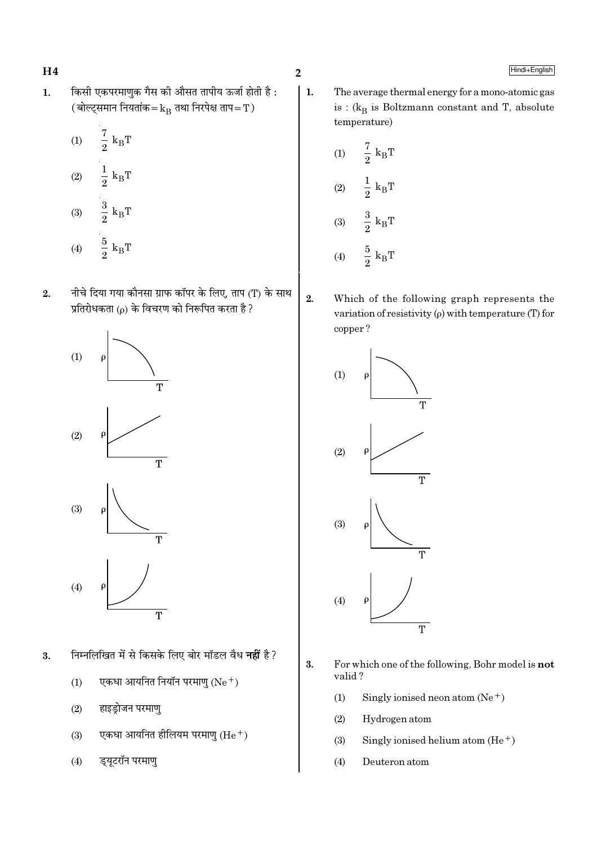$H<sub>4</sub>$ 

- किसी एकपरमाणुक गैस की औसत तापीय ऊर्जा होती है:  $\mathbf{1}$ . (बोल्ट्समान नियतांक= $\rm{k_{B}}$  तथा निरपेक्ष ताप=T)
	- $\frac{7}{2}$  k<sub>B</sub>T  $(1)$  $\frac{1}{2} k_B T$  $(2)$
	- $\frac{3}{2} k_B T$  $(3)$  $\frac{5}{2}$  k<sub>B</sub>T  $(4)$
- नीचे दिया गया कौनसा ग्राफ कॉपर के लिए, ताप (T) के साथ  $2.$ प्रतिरोधकता ( $\rho$ ) के विचरण को निरूपित करता है ?



- निम्नलिखित में से किसके लिए बोर मॉडल वैध **नहीं** है? 3.
	- $(1)$ एकधा आयनित नियॉन परमाणु  $(Ne<sup>+</sup>)$
	- $(2)$ हाइडोजन परमाण
	- एकधा आयनित हीलियम परमाणु  $(He<sup>+</sup>)$  $(3)$
	- ड्यूटरॉन परमाणु  $(4)$

 $\overline{2}$ 

 $2.$ 

 $\vert$  1. The average thermal energy for a mono-atomic gas is :  $(k_B$  is Boltzmann constant and T, absolute temperature)

(1) 
$$
\frac{7}{2}
$$
 k<sub>B</sub>T  
\n(2)  $\frac{1}{2}$  k<sub>B</sub>T  
\n(3)  $\frac{3}{2}$  k<sub>B</sub>T  
\n(4)  $\frac{5}{2}$  k<sub>B</sub>T

Which of the following graph represents the variation of resistivity  $(\rho)$  with temperature (T) for copper?



- $3.$ For which one of the following, Bohr model is not valid?
	- $(1)$ Singly ionised neon atom  $(Ne^+)$
	- $(2)$ Hydrogen atom
	- $(3)$ Singly ionised helium atom  $(He<sup>+</sup>)$
	- $(4)$ Deuteron atom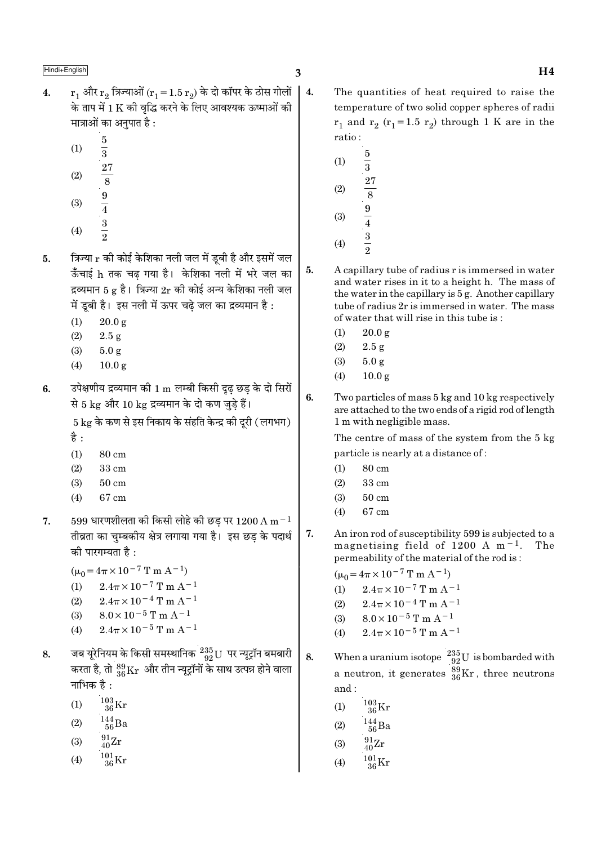- $r_1$  और  $r_2$  त्रिज्याओं  $(r_1 = 1.5 r_2)$  के दो कॉपर के ठोस गोलों  $\overline{\mathbf{4}}$ .  $\vert$  4. के ताप में 1 K की वद्धि करने के लिए आवश्यक ऊष्माओं की मात्राओं का अनुपात है :
	- $\frac{5}{3}$   $\frac{27}{8}$   $\frac{9}{4}$   $\frac{1}{3}$   $\frac{3}{2}$  $(1)$
	- $(2)$
	-
	- $(3)$
	- $(4)$
- त्रिज्या r की कोई केशिका नली जल में ड़बी है और इसमें जल 5. ऊँचाई h तक चढ गया है। केशिका नली में भरे जल का द्रव्यमान 5 g है। त्रिज्या  $2r$  की कोई अन्य केशिका नली जल में ड़बी है। इस नली में ऊपर चढे जल का द्रव्यमान है :
	- $20.0 g$  $(1)$
	- $(2)$  $2.5g$
	- $(3)$  $5.0 g$
	- $(4)$  $10.0<sub>g</sub>$
- उपेक्षणीय द्रव्यमान की 1 m लम्बी किसी दृढ़ छड़ के दो सिरों 6. से 5 kg और 10 kg द्रव्यमान के दो कण जुडे हैं।

5 kg के कण से इस निकाय के संहति केन्द्र की दरी ( लगभग) है :

- $(1)$ 80 cm
- $(2)$  $33 \text{ cm}$
- $(3)$  $50 \text{ cm}$
- 67 cm  $(4)$
- $599$  धारणशीलता की किसी लोहे की छड पर  $1200 \text{ A m}^{-1}$ 7. तीव्रता का चुम्बकीय क्षेत्र लगाया गया है। इस छड के पदार्थ की पारगम्यता है :
	- $(\mu_0 = 4\pi \times 10^{-7} \text{ T m A}^{-1})$
	- $2.4\pi \times 10^{-7}$  T m A<sup>-1</sup>  $(1)$
	- $2.4\pi \times 10^{-4}$  T m A<sup>-1</sup>  $(2)$
	- $8.0 \times 10^{-5}$  T m A<sup>-1</sup>  $(3)$
	- $2.4\pi \times 10^{-5}$  T m A<sup>-1</sup>  $(4)$
- जब यूरेनियम के किसी समस्थानिक  $\frac{235}{92}$ U पर न्यूट्रॉन बमबारी 8. करता है, तो  $^{89}_{36}\rm{Kr}$  और तीन न्यूट्रॉनों के साथ उत्पन्न होने वाला नाभिक $\overrightarrow{a}$   $\cdot$ 
	- $\frac{103}{36}\mathrm{Kr}$  $(1)$
	- $\frac{144}{56}$ Ba  $(2)$
	- $^{91}_{40}Zr$  $(3)$
	-
	- $\frac{101}{36}\text{Kr}$  $(4)$
- The quantities of heat required to raise the temperature of two solid copper spheres of radii  $r_1$  and  $r_2$  ( $r_1$ =1.5  $r_2$ ) through 1 K are in the ratio:
	- $\frac{5}{3}$  $(1)$  $\frac{27}{8}$   $\frac{9}{4}$   $\frac{3}{2}$  $(2)$  $(3)$  $(4)$
- A capillary tube of radius r is immersed in water and water rises in it to a height h. The mass of the water in the capillary is 5 g. Another capillary tube of radius 2r is immersed in water. The mass of water that will rise in this tube is:
	- $(1)$  $20.0 \text{ g}$
	- $(2)$  $2.5 g$
	- $(3)$  $5.0 g$
	- $(4)$  $10.0 g$
- 6. Two particles of mass 5 kg and 10 kg respectively are attached to the two ends of a rigid rod of length 1 m with negligible mass.

The centre of mass of the system from the 5 kg particle is nearly at a distance of:

- 80 cm  $(1)$
- $(2)$  $33 \text{ cm}$
- $(3)$  $50 \text{ cm}$
- 67 cm  $(4)$
- 7. An iron rod of susceptibility 599 is subjected to a magnetising field of 1200 A  $m^{-1}$ . The permeability of the material of the rod is:

 $(\mu_0 = 4\pi \times 10^{-7} \text{ T m A}^{-1})$ 

- $2.4\pi \times 10^{-7}$  T m A<sup>-1</sup>  $(1)$
- $2.4\pi \times 10^{-4}$  T m A<sup>-1</sup>  $(2)$
- $8.0 \times 10^{-5}$  T m A<sup>-1</sup>  $(3)$
- $2.4\pi\times10^{-5}\,\mathrm{T}$  m A<sup>-1</sup>  $(4)$
- When a uranium isotope  $\frac{235}{92}U$  is bombarded with<br>a neutron, it generates  $\frac{89}{36}Kr$ , three neutrons 8. and:
	- $^{103}_{36}$ Kr  $(1)$
	- $144 \over 56$ Ba  $(2)$
	- $^{91}_{40}Zr$  $(3)$
	- $^{101}_{36} \rm{Kr}$  $(4)$

5.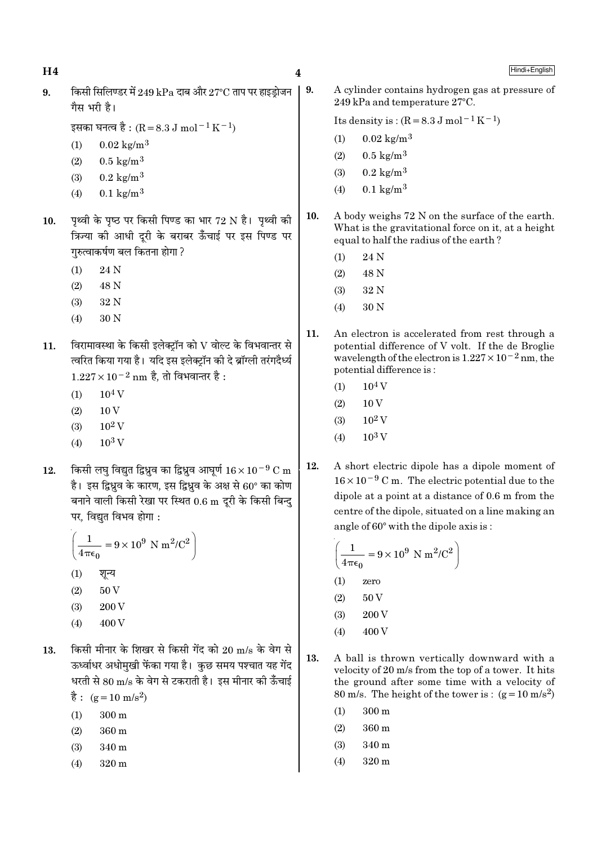$H<sub>4</sub>$ 

9.

Hindi+English

किसी सिलिण्डर में 249 kPa दाब और 27°C ताप पर हाइडोजन  $\mathbf{Q}$ गैस भरी है।

इसका घनत्व है :  $(R = 8.3 J \text{ mol}^{-1} \text{K}^{-1})$ 

- $0.02 \text{ kg/m}^3$  $(1)$
- $0.5 \text{ kg/m}^3$  $(2)$
- $0.2 \text{ kg/m}^3$  $(3)$
- $0.1 \text{ kg/m}^3$  $(4)$
- पृथ्वी के पृष्ठ पर किसी पिण्ड का भार 72 N है। पृथ्वी की 10. क्रिज्या की आधी दरी के बराबर ऊँचाई पर इस पिण्ड पर गरुत्वाकर्षण बल कितना होगा ?
	- $(1)$ 24 N
	- $(2)$ 48 N
	- $(3)$ 32 N
	- $(4)$ 30 N
- विरामावस्था के किसी इलेक्ट्रॉन को  ${\rm V}$  वोल्ट के विभवान्तर से 11. त्वरित किया गया है। यदि इस इलेक्टॉन की दे ब्रॉग्ली तरंगदैर्ध्य  $1.227 \times 10^{-2}$  nm है, तो विभवान्तर है:
	- $10<sup>4</sup>$  V  $(1)$
	- $(2)$ 10<sub>V</sub>
	- $10^2$  V  $(3)$
	- $10^3$  V  $(4)$
- किसी लघु विद्युत द्विध्रुव का द्विध्रुव आघुर्ण  $16 \times 10^{-9}$  C m 12. है। इस द्विध्रुव के कारण, इस द्विध्रुव के अक्ष से 60° का कोण बनाने वाली किसी रेखा पर स्थित 0.6 m दूरी के किसी बिन्द पर. विद्यत विभव होगा :

$$
\left(\frac{1}{4\pi\epsilon_0} = 9 \times 10^9 \text{ N m}^2/\text{C}^2\right)
$$
  
(1)  $\overline{q}$ 

- 200 V  $(3)$
- $(4)$ 400 V
- किसी मीनार के शिखर से किसी गेंद को 20 m/s के वेग से 13. ऊर्ध्वाधर अधोमखी फेंका गया है। कछ समय पश्चात यह गेंद धरती से 80 m/s के वेग से टकराती है। इस मीनार की ऊँचाई  $\dot{\vec{g}}$ : (g = 10 m/s<sup>2</sup>)
	- $(1)$  $300 \text{ m}$
	- $(2)$ 360 m
	- $(3)$ 340 m
	- $(4)$  $320 \text{ m}$

A cylinder contains hydrogen gas at pressure of 249 kPa and temperature 27°C.

Its density is:  $(R = 8.3 J \text{ mol}^{-1} \text{K}^{-1})$ 

- $0.02 \text{ kg/m}^3$  $(1)$
- $0.5 \text{ kg/m}^3$  $(2)$
- $0.2 \text{ kg/m}^3$  $(3)$
- $0.1 \text{ kg/m}^3$  $(4)$
- 10. A body weighs 72 N on the surface of the earth. What is the gravitational force on it, at a height equal to half the radius of the earth?
	- $(1)$ 24 N
	- $(2)$ 48 N
	- 32 N  $(3)$
	- $(4)$ 30 N
- 11. An electron is accelerated from rest through a potential difference of V volt. If the de Broglie wavelength of the electron is  $1.227 \times 10^{-2}$  nm, the potential difference is:
	- $10<sup>4</sup>$  V  $(1)$
	- $10V$  $(2)$
	- $10^2$  V  $(3)$
	- $10^3$  V  $(4)$
- 12. A short electric dipole has a dipole moment of  $16 \times 10^{-9}$  C m. The electric potential due to the dipole at a point at a distance of 0.6 m from the centre of the dipole, situated on a line making an angle of 60° with the dipole axis is:

$$
\left(\frac{1}{4\pi\epsilon_0} = 9 \times 10^9 \text{ N m}^2/\text{C}^2\right)
$$
  
(1) zero  
(2) 50 V  
(3) 200 V  
(4) 400 V

- 13. A ball is thrown vertically downward with a velocity of 20 m/s from the top of a tower. It hits the ground after some time with a velocity of 80 m/s. The height of the tower is:  $(g=10 \text{ m/s}^2)$ 
	- $300 \text{ m}$  $(1)$
	- $(2)$ 360 m
	- $(3)$  $340<sub>m</sub>$
	- $(4)$ 320 m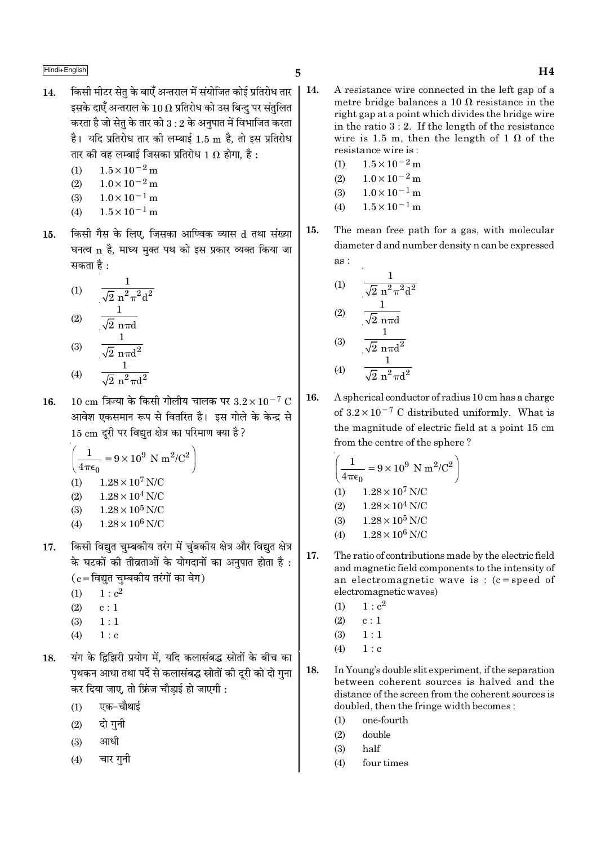- किसी मीटर सेत के बाएँ अन्तराल में संयोजित कोई प्रतिरोध तार | 14.  $14.$ इसके दाएँ अन्तराल के 10  $\Omega$  प्रतिरोध को उस बिन्द पर संतलित करता है जो सेतु के तार को  $3:2$  के अनुपात में विभाजित करता है। यदि प्रतिरोध तार की लम्बाई 1.5 m है, तो इस प्रतिरोध तार की वह लम्बाई जिसका प्रतिरोध 1  $\Omega$  होगा. है :
	- $(1)$  $1.5 \times 10^{-2}$  m
	- $1.0 \times 10^{-2}$  m  $(2)$
	- $1.0 \times 10^{-1}$  m  $(3)$
	- $1.5 \times 10^{-1}$  m  $(4)$
- किसी गैस के लिए, जिसका आण्विक व्यास d तथा संख्या 15. घनत्व n है. माध्य मक्त पथ को इस प्रकार व्यक्त किया जा सकता है :

(1) 
$$
\frac{1}{\sqrt{2} n^{2} \pi^{2} d^{2}}
$$
  
(2) 
$$
\frac{1}{\sqrt{2} n \pi d}
$$
  
(3) 
$$
\frac{1}{\sqrt{2} n \pi d^{2}}
$$

- $\frac{1}{\sqrt{2} \pi^2 \pi d^2}$  $(4)$
- $10 \text{ cm}$  त्रिज्या के किसी गोलीय चालक पर  $3.2 \times 10^{-7} \text{ C}$ 16. आवेश एकसमान रूप से वितरित है। इस गोले के केन्द्र से 15 cm दूरी पर विद्युत क्षेत्र का परिमाण क्या है ?

$$
\left(\frac{1}{4\pi\epsilon_0} = 9 \times 10^9 \text{ N m}^2/\text{C}^2\right)
$$
  
(1) 1.28 × 10<sup>7</sup> N/C  
(2) 1.28 × 10<sup>4</sup> N/C  
(3) 1.28 × 10<sup>5</sup> N/C  
(4) 1.28 × 10<sup>6</sup> N/C

- $(4)$  $1.28 \times 10^6$  N/C
- किसी विद्युत चुम्बकीय तरंग में चुंबकीय क्षेत्र और विद्युत क्षेत्र 17. के घटकों की तीव्रताओं के योगदानों का अनुपात होता है:  $(c = 6$ द्युत चम्बकीय तरंगों का वेग)
	- $1 : c<sup>2</sup>$  $(1)$
	- $(2)$  $c:1$
	- $(3)$  $1:1$
	- $(4)$  $1 : c$
- यंग के दिझिरी प्रयोग में. यदि कलासंबद्ध स्रोतों के बीच का 18. पृथकन आधा तथा पर्दे से कलासंबद्ध स्रोतों की दूरी को दो गुना कर दिया जाए, तो फ्रिंज चौडाई हो जाएगी :
	- एक-चौथाई  $(1)$
	- दो गुनी  $(2)$
	- आधी  $(3)$
	- चार गनी  $(4)$
- A resistance wire connected in the left gap of a metre bridge balances a 10  $\Omega$  resistance in the right gap at a point which divides the bridge wire in the ratio  $3:2$ . If the length of the resistance wire is 1.5 m, then the length of 1  $\Omega$  of the resistance wire is:
	- $(1)$  $1.5 \times 10^{-2}$  m
	- $1.0 \times 10^{-2}$  m  $(2)$
	- $(3)$  $1.0 \times 10^{-1}$  m
	- $1.5 \times 10^{-1}$  m  $(4)$
- The mean free path for a gas, with molecular 15. diameter d and number density n can be expressed as:

(1) 
$$
\frac{1}{\sqrt{2} n^2 \pi^2 d^2}
$$
  
\n(2) 
$$
\frac{1}{\sqrt{2} n \pi d}
$$
  
\n(3) 
$$
\frac{1}{\sqrt{2} n \pi d^2}
$$
  
\n(4) 
$$
\frac{1}{\sqrt{2} n^2 \pi d^2}
$$

16. A spherical conductor of radius 10 cm has a charge of  $3.2 \times 10^{-7}$  C distributed uniformly. What is the magnitude of electric field at a point 15 cm from the centre of the sphere?

$$
\left(\frac{1}{4\pi\epsilon_0} = 9 \times 10^9 \text{ N m}^2/\text{C}^2\right)
$$
  
(1) 1.28 × 10<sup>7</sup> N/C  
(2) 1.28 × 10<sup>4</sup> N/C  
(3) 1.28 × 10<sup>5</sup> N/C  
(4) 1.28 × 10<sup>6</sup> N/C

- $17.$ The ratio of contributions made by the electric field and magnetic field components to the intensity of an electromagnetic wave is:  $(c = speed of$ electromagnetic waves)
	- $1 : c<sup>2</sup>$  $(1)$
	- $c: 1$  $(2)$
	- $(3)$  $1:1$
	- $1 : c$  $(4)$
- 18. In Young's double slit experiment, if the separation between coherent sources is halved and the distance of the screen from the coherent sources is doubled, then the fringe width becomes:
	- one-fourth  $(1)$
	- $(2)$ double
	- half  $(3)$
	- four times  $(4)$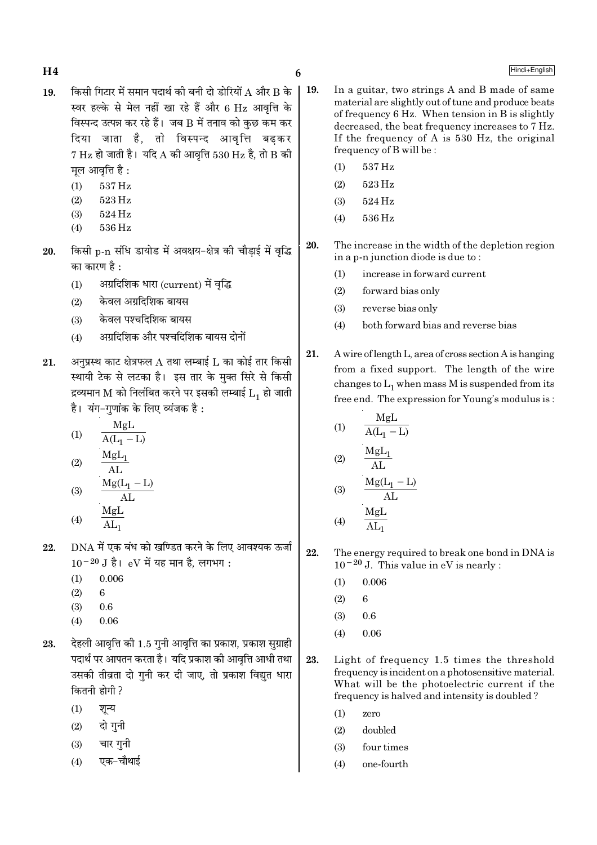# $H4$  6

- $19.$  किसी गिटार में समान पदार्थ की बनी दो डोरियों A और B के स्वर हल्के से मेल नहीं खा रहे हैं और 6 Hz आवत्ति के विस्पन्द उत्पन्न कर रहे हैं। जब  $\bf B$  में तनाव को कुछ कम कर दिया जाता है, तो विस्पन्द आवृत्ति बढकर  $7 \text{ Hz}$  हो जाती है। यदि A की आवृत्ति 530 Hz है, तो B की मूल आवृत्ति है :
	- (1) 537 Hz
	- (2) 523 Hz
	- (3) 524 Hz
	- (4) 536 Hz
- $20.$  किसी p-n संधि डायोड में अवक्षय-क्षेत्र की चौडाई में वृद्धि का कारण है $\,$  :
	- $(1)$  अग्रदिशिक धारा  $\mbox{(current)}$  में वृद्धि
	- $(2)$  केवल अग्रदिशिक बायस
	- $(3)$  केवल पश्चदिशिक बायस
	- (4) अग्रदिशिक और पश्चदिशिक बायस दोनों
- $21.$  अनुप्रस्थ काट क्षेत्रफल  $\AA$  तथा लम्बाई  $\rm L$  का कोई तार किसी स्थायी टेक से लटका है। इस तार के मुक्त सिरे से किसी द्रव्यमान M को निलंबित करने पर इसकी लम्बाई  $\mathtt{L}_1$  हो जाती है। यंग-गणांक के लिए व्यंजक है:

$$
(1) \qquad \frac{MgL}{A(L_1 - L)}
$$

$$
(2) \qquad \frac{\text{MgL}_1}{\text{AL}}
$$

$$
(3) \qquad \frac{\text{Mg}(L_1 - L)}{\text{AL}}
$$

$$
(4) \qquad \frac{\text{MgL}}{\text{AL}_1}
$$

- $22.$  DNA में एक बंध को खण्डित करने के लिए आवश्यक ऊर्जा  $10^{-20}$  J है। eV में यह मान है, लगभग:
	- $(1)$  0.006
	- $(2) 6$
	- $(3)$  0.6
	- $(4)$  0.06
- $23.$  देहली आवृत्ति की  $1.5$  गुनी आवृत्ति का प्रकाश, प्रकाश सुग्राही पदार्थ पर आपतन करता है। यदि प्रकाश की आवृत्ति आधी तथा उसकी तीव्रता दो गुनी कर दी जाए, तो प्रकाश विद्युत धारा कितनी होगी ?
	- $(1)$  शून्य
	- $(2)$  दो गनी
	- $(3)$  चार गुनी
	- $(4)$  एक−चौथाई
- 19. In a guitar, two strings A and B made of same material are slightly out of tune and produce beats of frequency 6 Hz. When tension in B is slightly decreased, the beat frequency increases to 7 Hz. If the frequency of A is 530 Hz, the original frequency of B will be :
	- (1) 537 Hz
	- (2) 523 Hz
	- (3) 524 Hz
	- (4) 536 Hz
	- 20. The increase in the width of the depletion region in a p-n junction diode is due to :
		- (1) increase in forward current
		- (2) forward bias only
		- (3) reverse bias only
		- (4) both forward bias and reverse bias
	- 21. A wire of length L, area of cross section A is hanging from a fixed support. The length of the wire changes to  $\mathrm{L}_1$  when mass M is suspended from its free end. The expression for Young's modulus is :

$$
(1) \qquad \frac{MgL}{A(L_1 - L)}
$$

$$
(2) \qquad \frac{MgL_1}{AL}
$$

$$
(3) \qquad \frac{Mg(L_1 - L)}{AL}
$$

$$
(4) \qquad \frac{MgL}{AL_1}
$$

22. The energy required to break one bond in DNA is 10−20 J. This value in eV is nearly :

- $(1)$  0.006
- $(2) 6$
- $(3)$  0.6
- $(4)$  0.06
- 23. Light of frequency 1.5 times the threshold frequency is incident on a photosensitive material. What will be the photoelectric current if the frequency is halved and intensity is doubled ?
	- (1) zero
	- (2) doubled
	- (3) four times
	- (4) one-fourth

# Hindi+English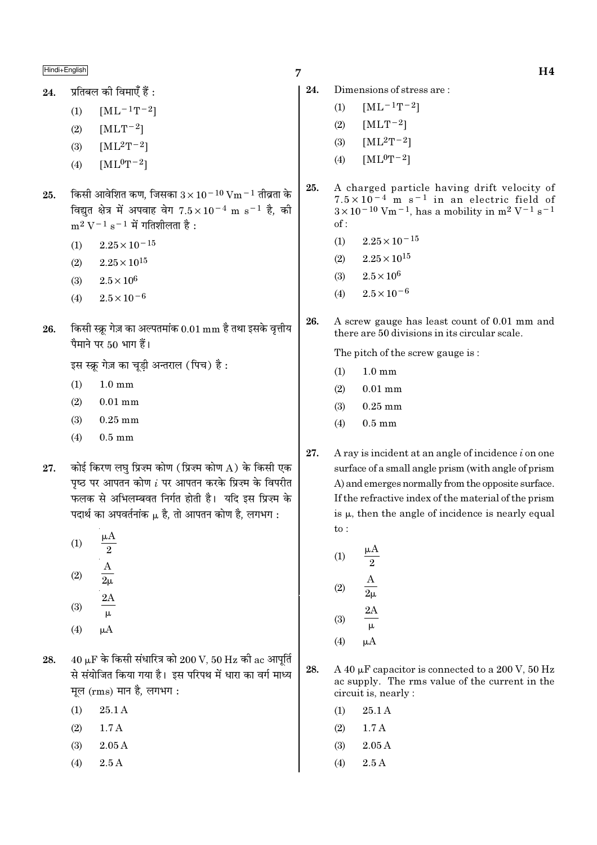प्रतिबल की विमाएँ हैं : 24.

- $[ML^{-1}T^{-2}]$  $(1)$
- $(2)$  $[MLT-2]$
- $(3)$  $[ML^2T^{-2}]$
- $[ML^0T-2]$  $(4)$
- किसी आवेशित कण, जिसका  $3 \times 10^{-10}$  Vm  $^{-1}$  तीव्रता के 25. विद्युत क्षेत्र में अपवाह वेग  $7.5 \times 10^{-4}$  m s<sup>-1</sup> है, की  $m^2 V^{-1} s^{-1}$  में गतिशीलता है:
	- $2.25 \times 10^{-15}$  $(1)$
	- $(2)$  $2.25 \times 10^{15}$
	- $2.5\times10^6$  $(3)$
	- $2.5 \times 10^{-6}$  $(4)$
- किसी स्क्र गेज़ का अल्पतमांक  $0.01 \text{ mm}$  है तथा इसके वृत्तीय 26. पैमाने पर 50 भाग हैं।

इस स्क्रू गेज़ का चूडी अन्तराल (पिच) है:

- $1.0 \text{ mm}$  $(1)$
- $(2)$  $0.01$  mm
- $(3)$  $0.25$  mm
- $(4)$  $0.5$  mm
- कोई किरण लघ प्रिज़्म कोण (प्रिज़्म कोण A) के किसी एक 27. पष्ठ पर आपतन कोण  $i$  पर आपतन करके प्रिज़्म के विपरीत फलक से अभिलम्बवत निर्गत होती है। यदि इस प्रिज़्म के पदार्थ का अपवर्तनांक  $\mu$  है, तो आपतन कोण है, लगभग :
	- μA  $(1)$  $\overline{2}$  $(2)$  $2<sub>u</sub>$
	- $2A$  $(3)$  $\mu$
	- $(4)$  $\mu A$
- $40 \mu$ F के किसी संधारित्र को  $200 \text{ V}$ ,  $50 \text{ Hz}$  की ac आपूर्ति 28. से संयोजित किया गया है। इस परिपथ में धारा का वर्ग माध्य मूल (rms) मान है, लगभग:
	- $(1)$  $25.1A$
	- $(2)$  $1.7A$
	- $2.05A$  $(3)$
	- $(4)$  $2.5A$
- 7
- 24. Dimensions of stress are:
	- $[ML^{-1}T^{-2}]$  $(1)$
	- $(2)$  $[MLT^{-2}]$
	- $[ML^{2}T^{-2}]$  $(3)$
	- $[ML^0T^{-2}]$  $(4)$
- 25. A charged particle having drift velocity of  $7.5 \times 10^{-4}$  m s<sup>-1</sup> in an electric field of  $3 \times 10^{-10}$  Vm<sup>-1</sup>, has a mobility in m<sup>2</sup> V<sup>-1</sup> s<sup>-1</sup>  $of:$ 
	- $(1)$  $2.25 \times 10^{-15}$
	- $2.25 \times 10^{15}$  $(2)$
	- $2.5 \times 10^{6}$  $(3)$
	- $(4)$  $2.5 \times 10^{-6}$
- A screw gauge has least count of 0.01 mm and 26. there are 50 divisions in its circular scale.

The pitch of the screw gauge is:

- $1.0 \text{ mm}$  $(1)$
- $(2)$  $0.01$  mm
- $(3)$  $0.25$  mm
- $0.5 \text{ mm}$  $(4)$
- 27. A ray is incident at an angle of incidence  $i$  on one surface of a small angle prism (with angle of prism A) and emerges normally from the opposite surface. If the refractive index of the material of the prism is  $\mu$ , then the angle of incidence is nearly equal  $to$ :
	- μA  $(1)$  $\overline{2}$  $(2)$  $(3)$ μ
	- $(4)$  $\mu A$
- 28. A 40  $\mu$ F capacitor is connected to a 200 V, 50 Hz ac supply. The rms value of the current in the circuit is, nearly :
	- $(1)$ 25.1 A
	- $(2)$  $1.7A$
	- $2.05A$  $(3)$
	- $(4)$  $2.5A$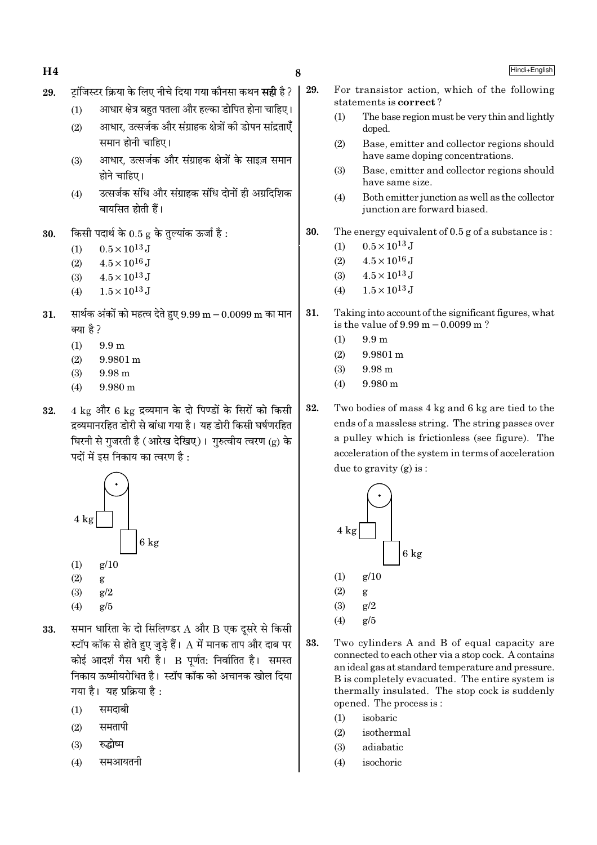- 29. ∑िंजिस्टर क्रिया के लिए नीचे दिया गया कौनसा कथन **सही** है ?
	- $(1)$  आधार क्षेत्र बहुत पतला और हल्का डोपित होना चाहिए।
	- (2) आधार, उत्सर्जक और संग्राहक क्षेत्रों की डोपन सांद्रताएँ समान होनी चाहिए।
	- (3) आधार, उत्सर्जक और संग्राहक क्षेत्रों के साइज़ समान  $\overrightarrow{B}$ ने चाहिए।
	- (4) उत्सर्जक संधि और संग्राहक संधि दोनों ही अग्रदिशिक बायसित होती हैं।
- $30.$  किसी पदार्थ के  $0.5$  g के तुल्यांक ऊर्जा है:
	- (1)  $0.5 \times 10^{13}$  J
	- (2)  $4.5 \times 10^{16}$  J
	- (3)  $4.5 \times 10^{13}$  J
	- (4)  $1.5 \times 10^{13}$  J
- $31.$  सार्थक अंकों को महत्व देते हुए  $9.99 \text{ m} 0.0099 \text{ m}$  का मान क्या है ?
	- (1) 9.9 m
	- $(2)$  9.9801 m
	- (3) 9.98 m
	- (4) 9.980 m
- $32.$  4 kg और 6 kg द्रव्यमान के दो पिण्डों के सिरों को किसी द्रव्यमानरहित डोरी से बांधा गया है। यह डोरी किसी घर्षणरहित चिरनी से गुजरती है (आरेख देखिए)। गुरुत्वीय त्वरण (g) के पदों में इस निकाय का त्वरण है:



- (2) g
- (3) g/2
- (4)  $g/5$
- $33.$  समान धारिता के दो सिलिण्डर  $A$  और  $B$  एक दसरे से किसी स्टॉप कॉक से होते हुए जुडे हैं।  ${\rm A}$  में मानक ताप और दाब पर कोई आदर्श गैस भरी है। B पूर्णत: निर्वातित है। समस्त निकाय ऊष्मीयरोधित है। स्टॉप कॉक को अचानक खोल दिया गया है। यह प्रक्रिया है:
	- $(1)$  समदाबी
	- $(2)$  समतापी
	- $(3)$  रुद्धोष्म
	- $(4)$  समआयतनी
- 29. For transistor action, which of the following statements is correct ?
	- (1) The base region must be very thin and lightly doped.
	- (2) Base, emitter and collector regions should have same doping concentrations.
	- (3) Base, emitter and collector regions should have same size.
	- (4) Both emitter junction as well as the collector junction are forward biased.
- 30. The energy equivalent of 0.5 g of a substance is :
	- (1)  $0.5 \times 10^{13}$  J
	- (2)  $4.5 \times 10^{16}$  J
	- (3)  $4.5 \times 10^{13}$  J
	- (4)  $1.5 \times 10^{13}$  J
- 31. Taking into account of the significant figures, what is the value of 9.99 m−0.0099 m ?
	- $(1)$  9.9 m
	- (2) 9.9801 m
	- $(3)$  9.98 m
	- $(4)$  9.980 m
- 32. Two bodies of mass 4 kg and 6 kg are tied to the ends of a massless string. The string passes over a pulley which is frictionless (see figure). The acceleration of the system in terms of acceleration due to gravity (g) is :



- 33. Two cylinders A and B of equal capacity are connected to each other via a stop cock. A contains an ideal gas at standard temperature and pressure. B is completely evacuated. The entire system is thermally insulated. The stop cock is suddenly opened. The process is :
	- (1) isobaric
	- (2) isothermal
	- (3) adiabatic
	- (4) isochoric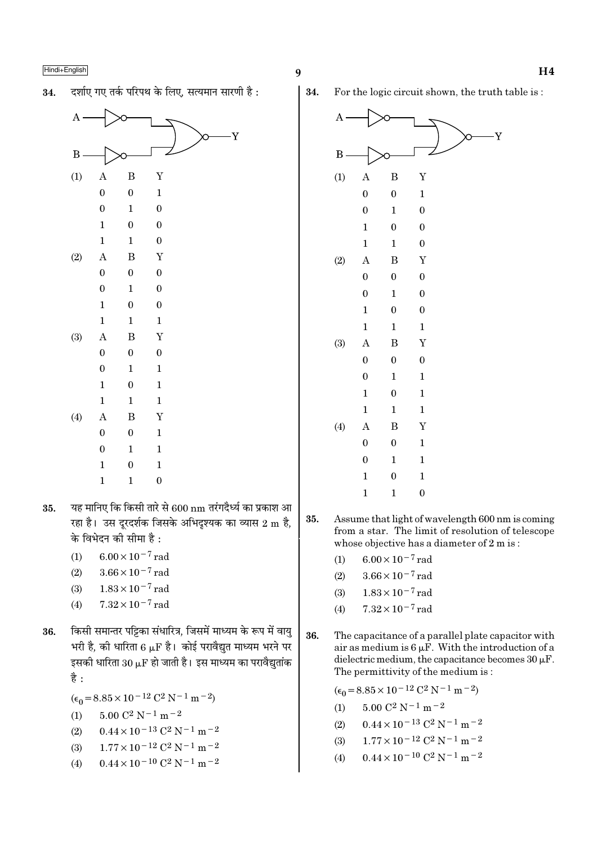दर्शाए गए तर्क परिपथ के लिए. सत्यमान सारणी है: 34.



- यह मानिए कि किसी तारे से 600 nm तरंगदैर्ध्य का प्रकाश आ 35. रहा है। उस दूरदर्शक जिसके अभिदृश्यक का व्यास 2 m है, के विभेदन की सीमा है :
	- $6.00 \times 10^{-7}$  rad  $(1)$
	- $(2)$  $3.66 \times 10^{-7}$  rad
	- $1.83 \times 10^{-7}$  rad  $(3)$
	- $7.32 \times 10^{-7}$  rad  $(4)$
- किसी समान्तर पट्टिका संधारित्र, जिसमें माध्यम के रूप में वाय 36. भरी है, की धारिता 6  $\mu$ F है। कोई परावैद्युत माध्यम भरने पर इसकी धारिता  $30 \mu$ F हो जाती है। इस माध्यम का परावैद्युतांक है :
	- $(\epsilon_0 = 8.85 \times 10^{-12} \text{ C}^2 \text{ N}^{-1} \text{ m}^{-2})$
	- $5.00 \text{ C}^2 \text{ N}^{-1} \text{ m}^{-2}$  $(1)$
	- $0.44 \times 10^{-13}$  C<sup>2</sup> N<sup>-1</sup> m<sup>-2</sup>  $(2)$
	- $1.77 \times 10^{-12}$  C<sup>2</sup> N<sup>-1</sup> m<sup>-2</sup>  $(3)$
	- $0.44\times10^{-10}$  C<sup>2</sup> N<sup>-1</sup> m<sup>-2</sup>  $(4)$

34. For the logic circuit shown, the truth table is:



- 35. Assume that light of wavelength 600 nm is coming from a star. The limit of resolution of telescope whose objective has a diameter of  $2 m$  is:
	- $6.00 \times 10^{-7}$  rad  $(1)$
	- $3.66 \times 10^{-7}$  rad  $(2)$
	- $1.83 \times 10^{-7}$  rad  $(3)$
	- $7.32 \times 10^{-7}$  rad  $(4)$
- 36. The capacitance of a parallel plate capacitor with air as medium is  $6 \mu$ F. With the introduction of a dielectric medium, the capacitance becomes  $30 \mu$ F. The permittivity of the medium is:

 $(\epsilon_0 = 8.85 \times 10^{-12} \text{ C}^2 \text{ N}^{-1} \text{ m}^{-2})$  $5.00 \, \mathrm{C}^2 \, \mathrm{N}^{-1} \, \mathrm{m}^{-2}$  $(1)$  $0.44 \times 10^{-13}$  C<sup>2</sup> N<sup>-1</sup> m<sup>-2</sup>  $(2)$ 

- $1.77 \times 10^{-12}$  C<sup>2</sup> N<sup>-1</sup> m<sup>-2</sup>  $(3)$
- $0.44 \times 10^{-10}$  C<sup>2</sup> N<sup>-1</sup> m<sup>-2</sup>  $(4)$

Y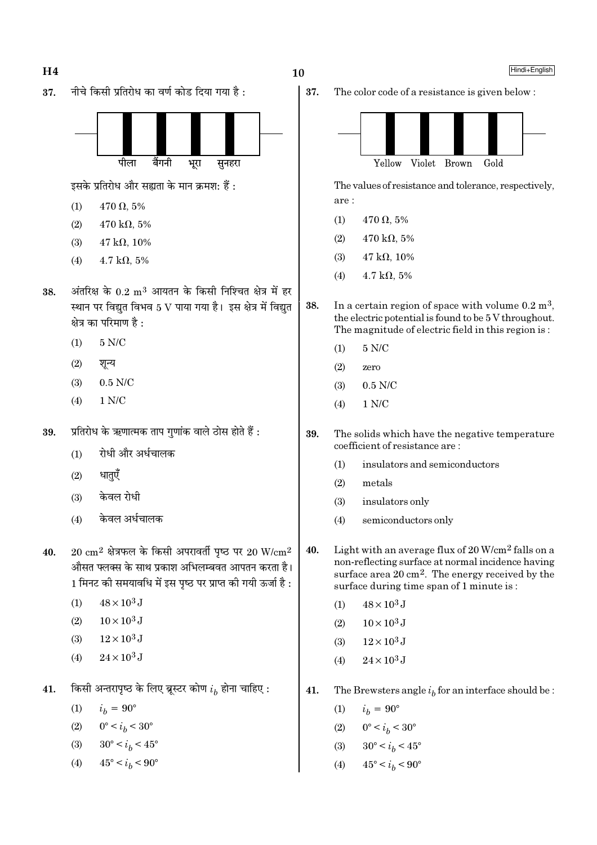

The color code of a resistance is given below:



The values of resistance and tolerance, respectively, are:

 $470 \Omega, 5\%$  $(1)$ 

 $10$ 

37.

- $470 \text{ k}\Omega, 5\%$  $(2)$
- $(3)$  $47 k\Omega$ , 10%
- $4.7 \text{ k}\Omega, 5\%$  $(4)$
- 38. In a certain region of space with volume  $0.2 \text{ m}^3$ , the electric potential is found to be 5 V throughout. The magnitude of electric field in this region is:
	- $(1)$  $5 N/C$
	- $(2)$ zero
	- $0.5$  N/C  $(3)$
	- $1$  N/C  $(4)$
- 39. The solids which have the negative temperature coefficient of resistance are:
	- $(1)$ insulators and semiconductors
	- $(2)$ metals
	- $(3)$ insulators only
	- semiconductors only  $(4)$
- Light with an average flux of 20 W/cm<sup>2</sup> falls on a 40. non-reflecting surface at normal incidence having surface area 20 cm<sup>2</sup>. The energy received by the surface during time span of 1 minute is:
	- $48 \times 10^3$  J  $(1)$
	- $10 \times 10^3$  J  $(2)$
	- $12 \times 10^3$  J  $(3)$
	- $24 \times 10^3$  J  $(4)$
- 41. The Brewsters angle  $i_h$  for an interface should be :
	- $(1)$  $i_h = 90^{\circ}$
	- $0^{\circ} < i_b < 30^{\circ}$  $(2)$
	- $30^{\circ} < i_h < 45^{\circ}$  $(3)$
	- $45^{\circ} < i_h < 90^{\circ}$  $(4)$

Hindi+English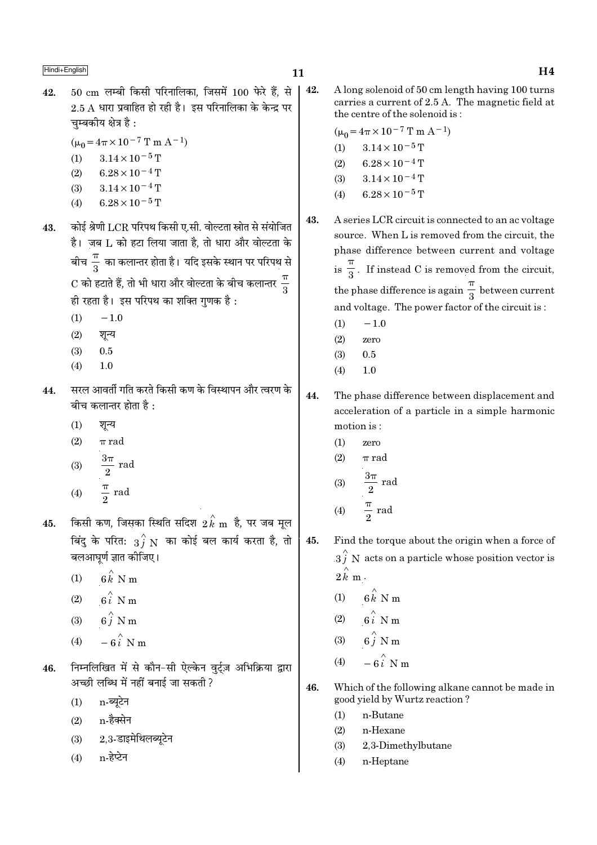- $50 \text{ cm}$  लम्बी किसी परिनालिका, जिसमें  $100 \text{ b}$ रे हैं, से 42.  $2.5$  A धारा प्रवाहित हो रही है। इस परिनालिका के केन्द्र पर चम्बकीय क्षेत्र है :
	- $(\mu_0 = 4\pi \times 10^{-7} \text{ T m A}^{-1})$
	- $(1)$  $3.14 \times 10^{-5}$  T
	- $6.28 \times 10^{-4}$  T  $(2)$
	- $(3)$  $3.14 \times 10^{-4}$  T
	- $6.28 \times 10^{-5}$  T  $(4)$
- कोई श्रेणी LCR परिपथ किसी ए.सी. वोल्टता स्रोत से संयोजित 43. है। ज़ब L को हटा लिया जाता है, तो धारा और वोल्टता के बीच $\frac{\pi}{3}$  का कलान्तर होता है। यदि इसके स्थान पर परिपथ से  $\mathrm{C}$  को हटाते हैं, तो भी धारा और वोल्टता के बीच कलान्तर  $\frac{\pi}{2}$ ही रहता है। इस परिपथ का शक्ति गुणक है:
	- $-1.0$  $(1)$
	- $(2)$ शून्य
	- $0.5$  $(3)$
	- $(4)$  $1.0$
- सरल आवर्ती गति करते किसी कण के विस्थापन और त्वरण के 44. बीच कलान्तर होता है :
	- $(1)$ शून्य
	- $(2)$  $\pi$  rad
	- (3)  $\frac{3\pi}{2}$  rad
	-
	- $\frac{\pi}{2}$  rad  $(4)$
- किसी कण, जिसका स्थिति सदिश  $2\, {\overset{\wedge}{k}}$   ${\rm m}$  है, पर जब मूल 45. बिंदु के परित:  $\overrightarrow{3f}$  N का कोई बल कार्य करता है, तो बलआघर्ण ज्ञात कीजिए।
	- $6k$  N m  $(1)$
	- $6i$  N m  $(2)$
	- $6\hat{i}$  N m  $(3)$
	- $-6i$  N m  $(4)$
- निम्नलिखित में से कौन-सी ऐल्केन वर्टज़ अभिक्रिया द्वारा 46. अच्छी लब्धि में नहीं बनाई जा सकती ?
	- n-ब्युटेन  $(1)$
	- $n$ -हैक्सेन  $(2)$
	- $2.3$ -डाइमेथिलब्यूटेन  $(3)$
	- n-हेप्टेन  $(4)$

42. A long solenoid of 50 cm length having 100 turns carries a current of 2.5 A. The magnetic field at the centre of the solenoid is:

$$
(\mu_0 = 4\pi \times 10^{-7} \text{ T m A}^{-1})
$$
  
(1) 3.14 × 10<sup>-5</sup> T  
(2) 6.28 × 10<sup>-4</sup> T  
(3) 3.14 × 10<sup>-4</sup> T  
(4) 6.28 × 10<sup>-5</sup> T

- 43. A series LCR circuit is connected to an ac voltage source. When L is removed from the circuit, the phase difference between current and voltage is  $\frac{\pi}{3}$ . If instead C is removed from the circuit, the phase difference is again  $\frac{\pi}{3}$  between current and voltage. The power factor of the circuit is:
	- $(1)$  $-1.0$
	- $(2)$ zero
	- $0.5$  $(3)$
	- $(4)$  $1.0$
- 44. The phase difference between displacement and acceleration of a particle in a simple harmonic motion is:
	- $(1)$ zero
	- $(2)$  $\pi$  rad

(3) 
$$
\frac{3\pi}{2} \text{ rad}
$$
  
(4) 
$$
\frac{\pi}{2} \text{ rad}
$$

- 45. Find the torque about the origin when a force of  $3\hat{j}$  N acts on a particle whose position vector is  $2 k m$ .
	- $(1)$  $6k$  N m
	- $6i$  N m  $(2)$
	- $(3)$
	- $(4)$
- 46. Which of the following alkane cannot be made in good yield by Wurtz reaction?
	- $(1)$ n-Butane
	- $(2)$ n-Hexane
	- $(3)$ 2,3-Dimethylbutane
	- n-Heptane  $(4)$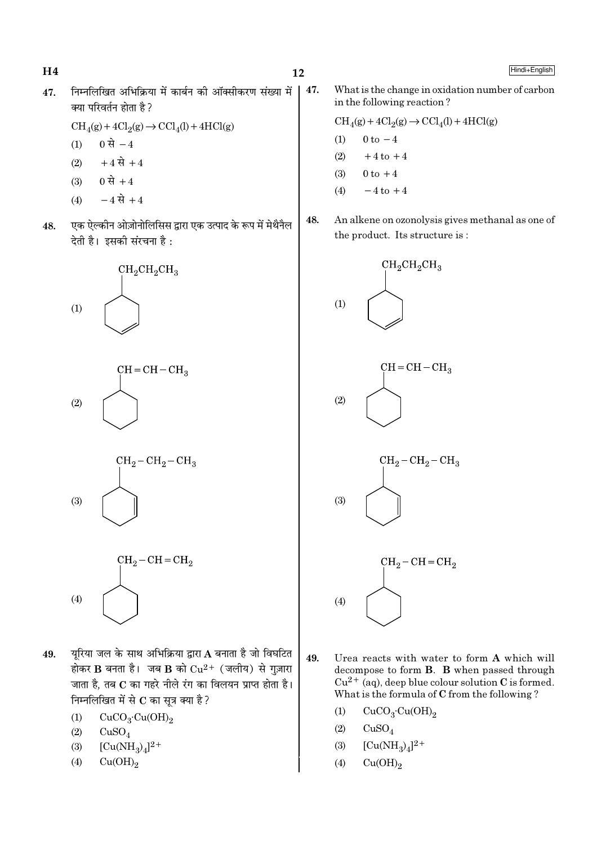$H<sub>4</sub>$ 

Hindi+English

निम्नलिखित अभिक्रिया में कार्बन की ऑक्सीकरण संख्या में 47. 47. क्या परिवर्तन होता है ?

 $\text{CH}_4(g) + 4\text{Cl}_2(g) \rightarrow \text{CCl}_4(l) + 4\text{HCl}(g)$ 

- 0 से  $-4$  $(1)$
- $+4 \vec{R} + 4$  $(2)$
- $0 \, \dot{\mathcal{R}} + 4$  $(3)$
- $-4 \vec{R} + 4$  $(4)$
- एक ऐल्कीन ओज़ोनोलिसिस द्वारा एक उत्पाद के रूप में मेथैनैल 48. देती है। इसकी संरचना है :









- यरिया जल के साथ अभिक्रिया द्वारा  $\bf A$  बनाता है जो विघटित 49. होकर B बनता है। जब B को  $Cu^{2+}$  (जलीय) से गुज़ारा जाता है. तब C का गहरे नीले रंग का विलयन प्राप्त होता है। निम्नलिखित में से  $\bf C$  का सूत्र क्या है ?
	- $\mathrm{CuCO_{3}\cdot Cu(OH)_{2}}$  $(1)$
	- $(2)$  $CuSO<sub>4</sub>$
	- $[Cu(NH_3)_4]^{2+}$  $(3)$
	- $(4)$  $Cu(OH)<sub>2</sub>$

What is the change in oxidation number of carbon in the following reaction?

$$
CH4(g) + 4Cl2(g) \rightarrow CCl4(l) + 4HCl(g)
$$
  
(1) 0 to -4

- $(2)$  $+4$  to  $+4$
- $(3)$  $0 \text{ to } +4$
- $(4)$  $-4$  to  $+4$
- 48. An alkene on ozonolysis gives methanal as one of the product. Its structure is:



- 49. Urea reacts with water to form A which will decompose to form **B**. **B** when passed through  $Cu^{2+}$  (aq), deep blue colour solution C is formed. What is the formula of C from the following?
	- $CuCO<sub>3</sub>·Cu(OH)<sub>2</sub>$  $(1)$
	- $(2)$  $CuSO<sub>4</sub>$
	- $[Cu(NH_3)_4]^2$ <sup>+</sup>  $(3)$
	- $Cu(OH)_{2}$  $(4)$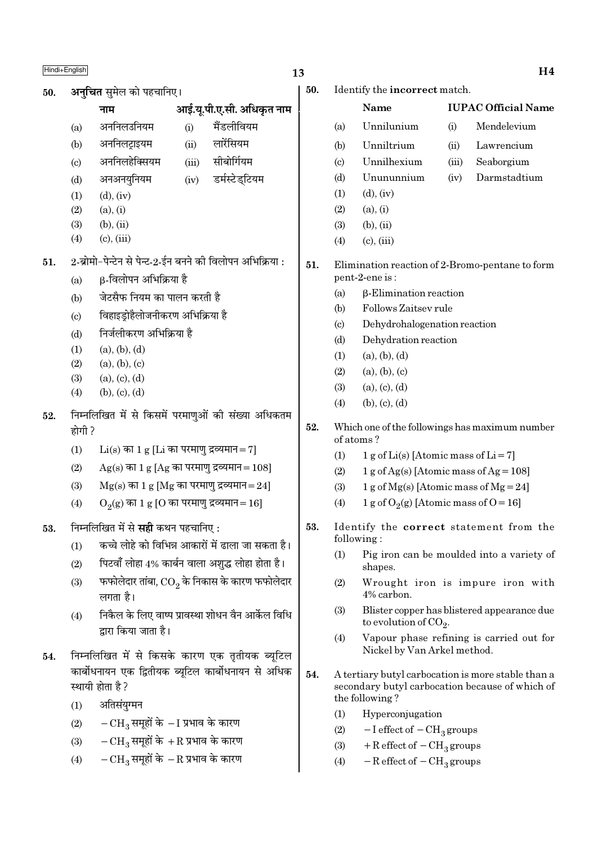# $\frac{\text{Hindi} + \text{English}}{\text{H}}$

50. **अनुचित** सुमेल को पहचानिए।

- (c) अननिलहेक्सियम (iii) सीबोर्गियम
- (d) अनअनयुनियम (iv) डर्मस्टेडुटियम
- $(1)$   $(d)$ ,  $(iv)$
- $(2)$   $(a), (i)$
- $(3)$   $(b), (ii)$
- $(4)$   $(c)$ ,  $(iii)$
- $51.$  2-ब्रोमो-पेन्टेन से पेन्ट-2-ईन बनने की विलोपन अभिक्रिया :
	- (a)  $\beta$ -विलोपन अभिक्रिया है
	- (b) जेटसैफ नियम का पालन करती है
	- (c) विहाइड़ोहैलोजनीकरण अभिक्रिया है
	- (d) निर्जलीकरण अभिक्रिया है
	- $(1)$   $(a), (b), (d)$
	- $(2)$   $(a), (b), (c)$
	- $(3)$   $(a), (c), (d)$
	- $(4)$  (b), (c), (d)
- 52. निम्नलिखित में से किसमें परमाणुओं की संख्या अधिकतम होगी ?
	- (1)  $Li(s)$  का 1 g [Li का परमाण द्रव्यमान=7]
	- (2)  $Ag(s)$  का 1 g [Ag का परमाण द्रव्यमान = 108]
	- (3)  $Mg(s)$  का 1 g [Mg का परमाणु द्रव्यमान=24]
	- (4)  $O_2(g)$  का 1 g [O का परमाणु द्रव्यमान $=16$ ]
- 53. Fाम्नलिखित में से सही कथन पहचानिए :
	- $(1)$   $\frac{1}{2}$  कच्चे लोहे को विभिन्न आकारों में ढाला जा सकता है।
	- (2) पिटवाँ लोहा 4% कार्बन वाला अशुद्ध लोहा होता है।
	- $\left( 3\right)$   $\equiv$  फफोलेदार तांबा,  $\overline{\text{CO}_{2}}$  के निकास के कारण फफोलेदार लगता है।
	- (4) निकैल के लिए वाष्प प्रावस्था शोधन वैन आर्केल विधि द्वारा किया जाता है।
- 54. Fाम्नलिखित में से किसके कारण एक तृतीयक ब्युटिल कार्बोधनायन एक द्वितीयक ब्यटिल कार्बोधनायन से अधिक स्थायी होता है ?
	- $(1)$  अंतिसंयग्मन
	- $(2)$  −  $CH<sub>3</sub>$  समूहों के − I प्रभाव के कारण
	- (3)  $-CH_2$  समुहों के  $+R$  प्रभाव के कारण
	- $(4)$  −  $CH<sub>3</sub>$  समूहों के − R प्रभाव के कारण

# 50. Identify the incorrect match.

|     |                             | Name                                      |       | <b>IUPAC Official Name</b>                      |
|-----|-----------------------------|-------------------------------------------|-------|-------------------------------------------------|
|     | (a)                         | Unnilunium                                | (i)   | Mendelevium                                     |
|     | (b)                         | Unniltrium                                | (ii)  | Lawrencium                                      |
|     | $\left( \mathrm{c} \right)$ | Unnilhexium                               | (iii) | Seaborgium                                      |
|     | (d)                         | Unununnium                                | (iv)  | Darmstadtium                                    |
|     | (1)                         | $(d)$ , $(iv)$                            |       |                                                 |
|     | (2)                         | (a), (i)                                  |       |                                                 |
|     | (3)                         | $(b)$ , $(ii)$                            |       |                                                 |
|     | (4)                         | $(c)$ , $(iii)$                           |       |                                                 |
| 51. |                             | pent-2-ene is:                            |       | Elimination reaction of 2-Bromo-pentane to form |
|     | (a)                         | $\beta$ -Elimination reaction             |       |                                                 |
|     | (b)                         | Follows Zaitsey rule                      |       |                                                 |
|     | $\left( \mathrm{c}\right)$  | Dehydrohalogenation reaction              |       |                                                 |
|     | (d)                         | Dehydration reaction                      |       |                                                 |
|     | (1)                         | (a), (b), (d)                             |       |                                                 |
|     | (2)                         | (a), (b), (c)                             |       |                                                 |
|     | (3)                         | (a), (c), (d)                             |       |                                                 |
|     | (4)                         | (b), (c), (d)                             |       |                                                 |
| - 0 |                             | $c_{1}$ $c_{11}$ $c_{12}$<br>$\mathbf{1}$ |       |                                                 |

- 52. Which one of the followings has maximum number of atoms ?
	- (1) 1 g of Li(s) [Atomic mass of Li = 7]
	- (2)  $1 g$  of Ag(s) [Atomic mass of Ag = 108]
	- (3) 1 g of  $Mg(s)$  [Atomic mass of  $Mg = 24$ ]
	- (4) 1 g of  $O_2(g)$  [Atomic mass of O = 16]
- 53. Identify the correct statement from the following :
	- (1) Pig iron can be moulded into a variety of shapes.
	- (2) Wrought iron is impure iron with 4% carbon.
	- (3) Blister copper has blistered appearance due to evolution of CO<sub>2</sub>.
	- (4) Vapour phase refining is carried out for Nickel by Van Arkel method.
- 54. A tertiary butyl carbocation is more stable than a secondary butyl carbocation because of which of the following ?
	- (1) Hyperconjugation
	- (2)  $-I$  effect of  $-CH<sub>3</sub>$  groups
	- (3) + R effect of  $-CH<sub>3</sub>$  groups
	- (4)  $-$  R effect of  $-$  CH<sub>3</sub> groups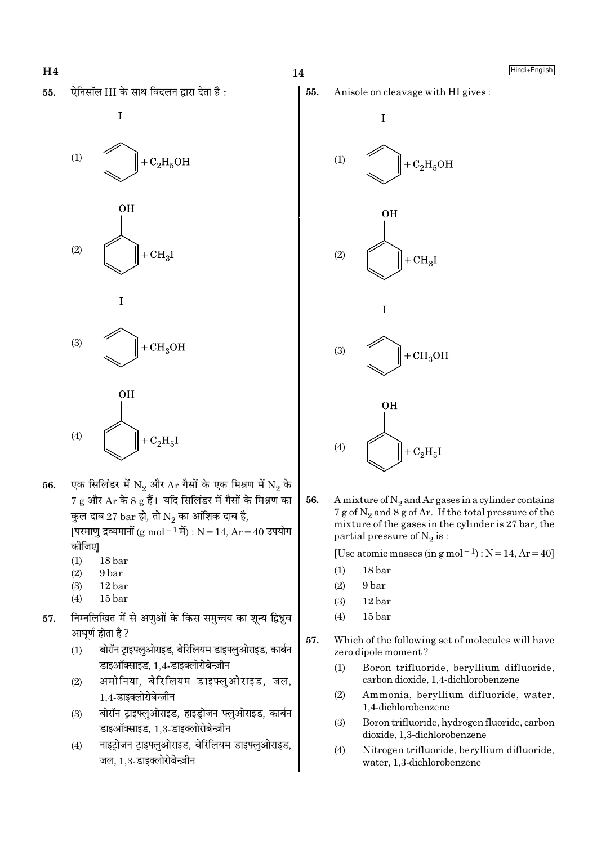







- एक सिलिंडर में  $N_2$  और  $Ar$  गैसों के एक मिश्रण में  $N_2$  के 56.  $7$  g और  $\text{Ar}$  के 8 g हैं। यदि सिलिंडर में गैसों के मिश्रण का कुल दाब 27  $\mathrm{bar}$  हो, तो  $\mathrm{N}_2$  का आंशिक दाब है, [परमाणु द्रव्यमानों (g mol<sup>-1</sup> में) : N = 14, Ar = 40 उपयोग कीजिए।
	- $(1)$  $18<sub>bar</sub>$
	- $(2)$ 9 bar
	- $(3)$ 12 bar
	- $(4)$  $15<sub>bar</sub>$
- निम्नलिखित में से अणुओं के किस समुच्चय का शून्य द्विध्नुव 57. आघर्ण होता है ?
	- बोरॉन ट्राइफ्लुओराइड, बेरिलियम डाइफ्लुओराइड, कार्बन  $(1)$ डाइऑक्साइड, 1,4-डाइक्लोरोबेन्ज़ीन
	- अमोनिया, बेरिलियम डाइफ्लुओराइड, जल,  $(2)$ 1.4-डाइक्लोरोबेन्ज़ीन
	- बोरॉन टाइफ्लुओराइड, हाइडोजन फ्लुओराइड, कार्बन  $(3)$ डाइऑक्साइड, 1,3-डाइक्लोरोबेन्ज़ीन
	- नाइट्रोजन ट्राइफ्लुओराइड, बेरिलियम डाइफ्लुओराइड,  $(4)$ जल, 1.3-डाइक्लोरोबेन्ज़ीन











56. A mixture of  $N_2$  and Ar gases in a cylinder contains  $7 g$  of N<sub>2</sub> and  $8 g$  of Ar. If the total pressure of the mixture of the gases in the cylinder is 27 bar, the partial pressure of  $N_2$  is:

[Use atomic masses (in g mol<sup>-1</sup>) :  $N = 14$ ,  $Ar = 40$ ]

- $(1)$ 18 bar
- $(2)$ 9 bar
- $(3)$  $12<sub>bar</sub>$
- $(4)$  $15<sub>bar</sub>$
- 57. Which of the following set of molecules will have zero dipole moment?
	- Boron trifluoride, beryllium difluoride,  $(1)$ carbon dioxide, 1.4-dichlorobenzene
	- $(2)$ Ammonia, beryllium difluoride, water, 1.4-dichlorobenzene
	- Boron trifluoride, hydrogen fluoride, carbon  $(3)$ dioxide, 1,3-dichlorobenzene
	- $(4)$ Nitrogen trifluoride, beryllium difluoride, water, 1,3-dichlorobenzene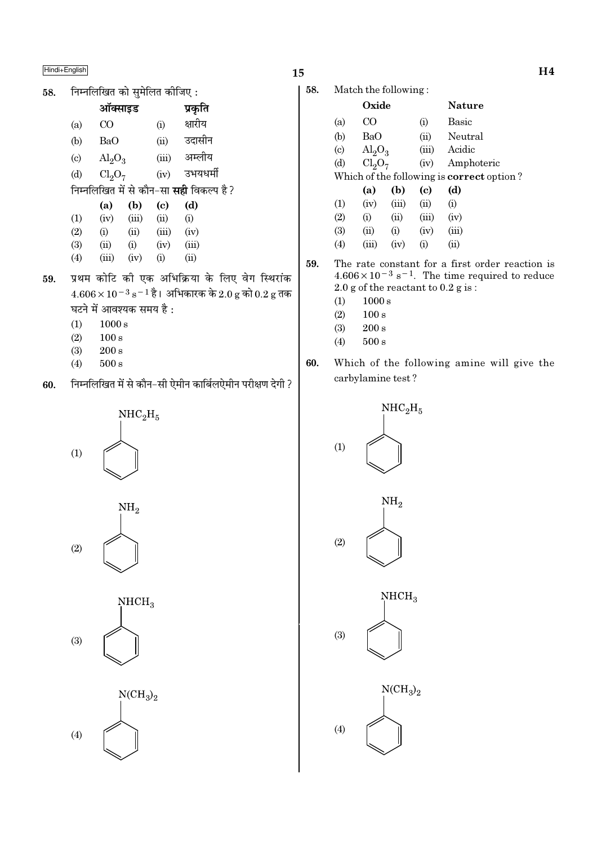निम्नलिखित को समेलित कीजिए: 58.

|                            | ऑक्साइड                        |       |       | प्रकृति                                        |
|----------------------------|--------------------------------|-------|-------|------------------------------------------------|
| (a)                        | CO                             |       | (i)   | क्षारीय                                        |
| (b)                        | BaO                            |       | (ii)  | उदासीन                                         |
| $\left( \mathrm{c}\right)$ | $\text{Al}_2\text{O}_3$        |       | (iii) | अम्लीय                                         |
| (d)                        | Cl <sub>2</sub> O <sub>7</sub> |       | (iv)  | उभयधर्मी                                       |
|                            |                                |       |       | निम्नलिखित में से कौन-सा <b>सही</b> विकल्प है? |
|                            | (a)                            | (b)   | (c)   | (d)                                            |
| (1)                        | (iv)                           | (iii) | (ii)  | (i)                                            |
| (2)                        | (i)                            | (ii)  | (iii) | (iv)                                           |
| (3)                        | (ii)                           | (i)   | (iv)  | (iii)                                          |
|                            |                                |       |       |                                                |
| (4)                        | (iii)                          | (iv)  | (i)   | (ii)                                           |

- प्रथम कोटि की एक अभिक्रिया के लिए वेग स्थिरांक 59.  $4.606 \times 10^{-3}$   $\mathrm{s}^{-1}$  है। अभिकारक के  $2.0$  g को  $0.2$  g तक घटने में आवश्यक समय है:
	- $(1)$  $1000 s$
	- $100 s$  $(2)$
	- $(3)$  $200 s$
	- $(4)$  $500\,\mathrm{s}$
- निम्नलिखित में से कौन-सी ऐमीन कार्बिलऐमीन परीक्षण देगी ? 60.







# 15

58. Match the following:

|                            | Oxide                          |       |          | <b>Nature</b>                                    |
|----------------------------|--------------------------------|-------|----------|--------------------------------------------------|
| (a)                        | CO                             |       | (i)      | Basic                                            |
| (b)                        | BaO                            |       | (ii)     | Neutral                                          |
| $\left( \mathrm{c}\right)$ | $\text{Al}_2\text{O}_3$        |       | (iii)    | Acidic                                           |
| (d)                        | Cl <sub>2</sub> O <sub>7</sub> |       | (iv)     | Amphoteric                                       |
|                            |                                |       |          | Which of the following is <b>correct</b> option? |
|                            | (a)                            | (b)   | (c)      | (d)                                              |
| $\left(1\right)$           | (iv)                           | (iii) | (ii)     | (i)                                              |
| (2)                        | (i)                            | (ii)  | (iii)    | (iv)                                             |
| (3)                        | (ii)                           | (i)   | (iv)     | (iii)                                            |
| $\left( 4\right)$          | (iii)                          | (iv)  | $\rm(i)$ | $\rm (ii)$                                       |
|                            |                                |       |          |                                                  |

59. The rate constant for a first order reaction is  $4.606 \times 10^{-3}$  s<sup>-1</sup>. The time required to reduce  $2.0$  g of the reactant to  $0.2$  g is:

- $(1)$  $1000\,\mathrm{s}$
- $100 s$  $(2)$
- $(3)$  $200 s$
- $(4)$  $500 s$
- Which of the following amine will give the 60. carbylamine test?

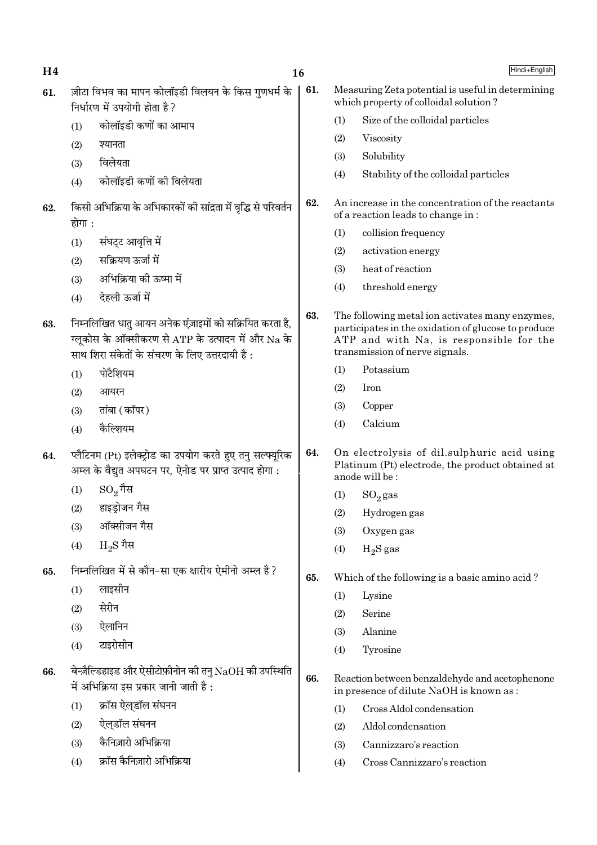| H <sub>4</sub> |                                                                                                    | 16                                                                                                                                                               |     |                                                                                            | Hindi+English                                                                                                                                                                       |  |
|----------------|----------------------------------------------------------------------------------------------------|------------------------------------------------------------------------------------------------------------------------------------------------------------------|-----|--------------------------------------------------------------------------------------------|-------------------------------------------------------------------------------------------------------------------------------------------------------------------------------------|--|
| 61.            |                                                                                                    | ज़ीटा विभव का मापन कोलॉइडी विलयन के किस गुणधर्म के<br>निर्धारण में उपयोगी होता है?                                                                               | 61. | Measuring Zeta potential is useful in determining<br>which property of colloidal solution? |                                                                                                                                                                                     |  |
|                | (1)                                                                                                | कोलॉइडी कणों का आमाप                                                                                                                                             |     | (1)                                                                                        | Size of the colloidal particles                                                                                                                                                     |  |
|                | (2)                                                                                                | श्यानता                                                                                                                                                          |     | (2)                                                                                        | Viscosity                                                                                                                                                                           |  |
|                | (3)                                                                                                | विलेयता                                                                                                                                                          |     | (3)                                                                                        | Solubility                                                                                                                                                                          |  |
|                | (4)                                                                                                | कोलॉइडी कणों की विलेयता                                                                                                                                          |     | (4)                                                                                        | Stability of the colloidal particles                                                                                                                                                |  |
| 62.            | होगा :                                                                                             | किसी अभिक्रिया के अभिकारकों की सांद्रता में वृद्धि से परिवर्तन                                                                                                   | 62. |                                                                                            | An increase in the concentration of the reactants<br>of a reaction leads to change in:                                                                                              |  |
|                | (1)                                                                                                | संघट्ट आवृत्ति में                                                                                                                                               |     | (1)                                                                                        | collision frequency                                                                                                                                                                 |  |
|                | (2)                                                                                                | सक्रियण ऊर्जा में                                                                                                                                                |     | (2)                                                                                        | activation energy                                                                                                                                                                   |  |
|                | (3)                                                                                                | अभिक्रिया की ऊष्मा में                                                                                                                                           |     | (3)                                                                                        | heat of reaction                                                                                                                                                                    |  |
|                | (4)                                                                                                | देहली ऊर्जा में                                                                                                                                                  |     | (4)                                                                                        | threshold energy                                                                                                                                                                    |  |
| 63.            |                                                                                                    | निम्नलिखित धातु आयन अनेक एंज़ाइमों को सक्रियित करता है,<br>ग्लूकोस के ऑक्सीकरण से ATP के उत्पादन में और Na के<br>साथ शिरा संकेतों के संचरण के लिए उत्तरदायी है : | 63. |                                                                                            | The following metal ion activates many enzymes,<br>participates in the oxidation of glucose to produce<br>ATP and with Na, is responsible for the<br>transmission of nerve signals. |  |
|                | (1)                                                                                                | पोटैशियम                                                                                                                                                         |     | (1)                                                                                        | Potassium                                                                                                                                                                           |  |
|                | (2)                                                                                                | आयरन                                                                                                                                                             |     | (2)                                                                                        | Iron                                                                                                                                                                                |  |
|                | (3)                                                                                                | तांबा (कॉपर)                                                                                                                                                     |     | (3)                                                                                        | Copper                                                                                                                                                                              |  |
|                | (4)                                                                                                | कैल्शियम                                                                                                                                                         |     | (4)                                                                                        | Calcium                                                                                                                                                                             |  |
| 64.            |                                                                                                    | प्लैटिनम (Pt) इलेक्ट्रोड का उपयोग करते हुए तनु सल्फ्यूरिक<br>अम्ल के वैद्युत अपघटन पर, ऐनोड पर प्राप्त उत्पाद होगा :                                             | 64. |                                                                                            | On electrolysis of dil.sulphuric acid using<br>Platinum (Pt) electrode, the product obtained at<br>anode will be:                                                                   |  |
|                | (1)                                                                                                | $\mathrm{SO}_2$ गैस                                                                                                                                              |     | (1)                                                                                        | $SO_2$ gas                                                                                                                                                                          |  |
|                | (2)                                                                                                | हाइड्रोजन गैस                                                                                                                                                    |     | (2)                                                                                        | Hydrogen gas                                                                                                                                                                        |  |
|                | (3)                                                                                                | ऑक्सीजन गैस                                                                                                                                                      |     | (3)                                                                                        | Oxygen gas                                                                                                                                                                          |  |
|                | (4)                                                                                                | $_{\rm H_2}$ $\rm S$ गैस                                                                                                                                         |     | (4)                                                                                        | $H_2S$ gas                                                                                                                                                                          |  |
| 65.            |                                                                                                    | निम्नलिखित में से कौन-सा एक क्षारीय ऐमीनो अम्ल है?                                                                                                               | 65. |                                                                                            | Which of the following is a basic amino acid?                                                                                                                                       |  |
|                | (1)                                                                                                | लाइसीन                                                                                                                                                           |     | (1)                                                                                        | Lysine                                                                                                                                                                              |  |
|                | (2)                                                                                                | सेरीन                                                                                                                                                            |     | (2)                                                                                        | Serine                                                                                                                                                                              |  |
|                | (3)                                                                                                | ऐलानिन                                                                                                                                                           |     | (3)                                                                                        | Alanine                                                                                                                                                                             |  |
|                | (4)                                                                                                | टाइरोसीन                                                                                                                                                         |     | (4)                                                                                        | Tyrosine                                                                                                                                                                            |  |
| 66.            | बेन्ज़ैल्डिहाइड और ऐसीटोफ़ीनोन की तनु $NaOH$ की उपस्थिति<br>में अभिक्रिया इस प्रकार जानी जाती है : |                                                                                                                                                                  | 66. | Reaction between benzaldehyde and acetophenone<br>in presence of dilute NaOH is known as : |                                                                                                                                                                                     |  |
|                | (1)                                                                                                | क्रॉस ऐल्डॉल संघनन                                                                                                                                               |     | (1)                                                                                        | Cross Aldol condensation                                                                                                                                                            |  |
|                | (2)                                                                                                | ऐल्डॉल संघनन                                                                                                                                                     |     | (2)                                                                                        | Aldol condensation                                                                                                                                                                  |  |
|                | (3)                                                                                                | कैनिज़ारो अभिक्रिया                                                                                                                                              |     | (3)                                                                                        | Cannizzaro's reaction                                                                                                                                                               |  |
|                | (4)                                                                                                | क्रॉस कैनिज़ारो अभिक्रिया                                                                                                                                        |     | (4)                                                                                        | Cross Cannizzaro's reaction                                                                                                                                                         |  |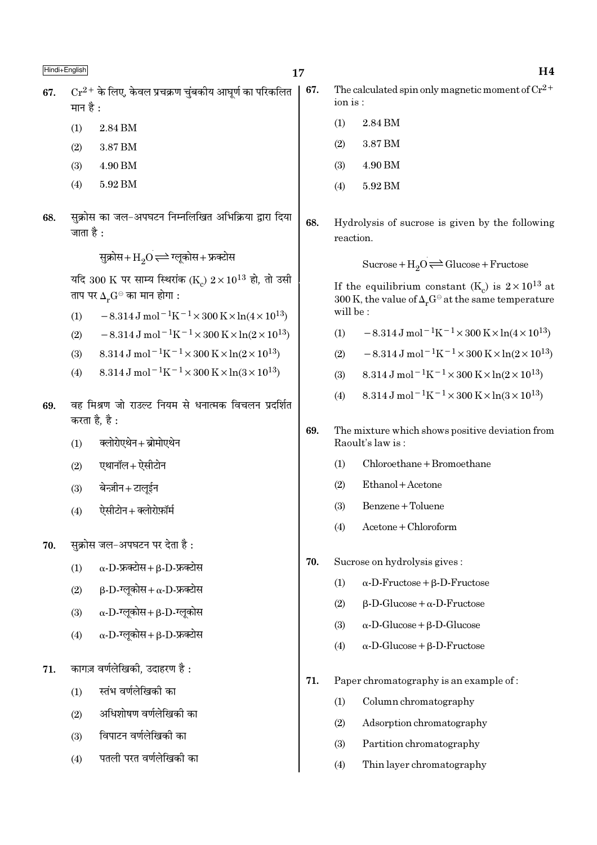$Cr^{2+}$  के लिए, केवल प्रचक्रण चंबकीय आघर्ण का परिकलित 67. मान है $\cdot$ 

- $(1)$ 2.84 BM
- $(2)$ 3.87 BM
- 4.90 BM  $(3)$
- $(4)$ 5.92 BM
- सुक्रोस का जल-अपघटन निम्नलिखित अभिक्रिया द्वारा दिया 68. जाता है :

सुक्रोस+ $\mathrm{H}_2\mathrm{O}$   $\rightleftharpoons$  ग्लूकोस+ फ्रक्टोस

यदि 300 K पर साम्य स्थिरांक (K)  $2 \times 10^{13}$  हो, तो उसी ताप पर  $\Delta_r G^{\ominus}$  का मान होगा :

- $-8.314\,\mathrm{J\,mol^{-1}K^{-1}} \times 300\,\mathrm{K} \times \ln(4\times10^{13})$  $(1)$
- $-8.314 \,\mathrm{J}$  mol<sup>-1</sup>K<sup>-1</sup>×300 K×ln(2×10<sup>13</sup>)  $(2)$
- $8.314 \text{ J} \text{ mol}^{-1} \text{K}^{-1} \times 300 \text{ K} \times \ln(2 \times 10^{13})$  $(3)$
- $8.314 \text{ J} \text{ mol}^{-1} \text{K}^{-1} \times 300 \text{ K} \times \ln(3 \times 10^{13})$  $(4)$
- वह मिश्रण जो राउल्ट नियम से धनात्मक विचलन प्रदर्शित 69. करता है. है :
	- क्लोरोएथेन + ब्रोमोएथेन  $(1)$
	- एथानॉल+ ऐसीटोन  $(2)$
	- बेन्ज़ीन+टालुईन  $(3)$
	- ऐसीटोन+क्लोरोफ़ॉर्म  $(4)$
- सुक्रोस जल-अपघटन पर देता है: 70.
	- $\alpha$ -D-फ्रक्टोस+  $\beta$ -D-फ्रक्टोस  $(1)$
	- $\beta$ -D-ग्लुकोस+ $\alpha$ -D-फ्रक्टोस  $(2)$
	- $\alpha$ -D-ग्लुकोस+  $\beta$ -D-ग्लुकोस  $(3)$
	- $\alpha$ -D-ग्लुकोस+  $\beta$ -D-फ्रक्टोस  $(4)$
- कागज़ वर्णलेखिकी, उदाहरण है: 71.
	- स्तंभ वर्णलेखिकी का  $(1)$
	- अधिशोषण वर्णलेखिकी का  $(2)$
	- विपाटन वर्णलेखिकी का  $(3)$
	- पतली परत वर्णलेखिकी का  $(4)$

The calculated spin only magnetic moment of  $Cr^{2+}$ 67.  $ion is:$ 

- 2.84 BM  $(1)$
- $(2)$ 3.87 BM
- $(3)$ 4.90 BM
- 5.92 BM  $(4)$
- 68. Hydrolysis of sucrose is given by the following reaction.

Sucrose +  $H_2O \rightleftharpoons Glucose + Fructose$ 

If the equilibrium constant (K<sub>c</sub>) is  $2 \times 10^{13}$  at 300 K, the value of  $\Delta_r G^\ominus$  at the same temperature will be:

- $-8.314 \,\mathrm{J}$  mol<sup>-1</sup>K<sup>-1</sup>×300 K×ln(4×10<sup>13</sup>)  $(1)$
- $-8.314 \,\mathrm{J}$  mol<sup>-1</sup>K<sup>-1</sup>×300 K×ln(2×10<sup>13</sup>)  $(2)$
- $8.314 \text{ J} \text{ mol}^{-1} \text{K}^{-1} \times 300 \text{ K} \times \ln(2 \times 10^{13})$  $(3)$
- $8.314 \text{ J} \text{ mol}^{-1} \text{K}^{-1} \times 300 \text{ K} \times \ln(3 \times 10^{13})$  $(4)$
- 69. The mixture which shows positive deviation from Raoult's law is:
	- $Chloroethane + Bromoethane$  $(1)$
	- $(2)$ Ethanol + Acetone
	- Benzene + Toluene  $(3)$
	- $(4)$  $A$ cetone + Chloroform
- 70. Sucrose on hydrolysis gives:
	- $(1)$  $\alpha$ -D-Fructose +  $\beta$ -D-Fructose
	- $(2)$  $\beta$ -D-Glucose +  $\alpha$ -D-Fructose
	- $(3)$  $\alpha$ -D-Glucose +  $\beta$ -D-Glucose
	- $(4)$  $\alpha$ -D-Glucose +  $\beta$ -D-Fructose
- 71. Paper chromatography is an example of:
	- $(1)$ Column chromatography
	- $(2)$ Adsorption chromatography
	- $(3)$ Partition chromatography
	- $(4)$ Thin layer chromatography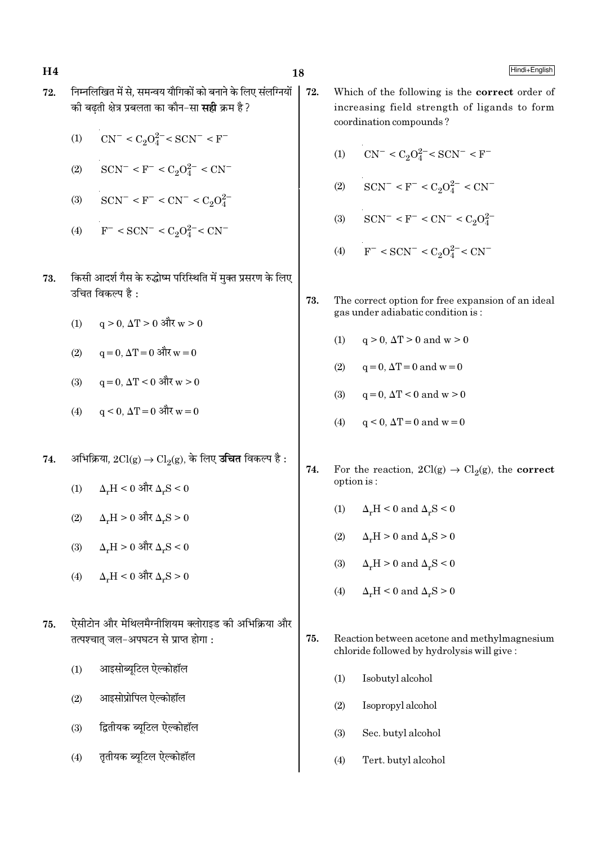- निम्नलिखित में से. समन्वय यौगिकों को बनाने के लिए संलग्नियों 72. की बढती क्षेत्र प्रबलता का कौन-सा **सही** क्रम है?
	- $CN^{-} < C_2O_4^{2-} < SCN^{-} < F^{-}$  $(1)$
	- $SCN^- < F^- < C_2O_4^{2-} < CN^ (2)$
	- $SCN^- < F^- < CN^- < C_2O_4^{2-}$  $(3)$
	- $F^-$  < SCN<sup>-</sup> < C<sub>2</sub>O<sup>2-</sup> < CN<sup>-</sup>  $(4)$
	- किसी आदर्श गैस के रुद्धोष्म परिस्थिति में मुक्त प्रसरण के लिए 73. उचित विकल्प है :
		- $q > 0$ ,  $\Delta T > 0$  और  $w > 0$  $(1)$
		- $q = 0$ .  $\Delta T = 0$  और  $w = 0$  $(2)$
		- $q = 0$ .  $\Delta T < 0$  और w > 0  $(3)$
		- $q \le 0$ ,  $\Delta T = 0$  और  $w = 0$  $(4)$
	- अभिक्रिया,  $2\text{Cl}(g) \rightarrow \text{Cl}_2(g)$ , के लिए **उचित** विकल्प है : 74.
		- $\Delta_r H < 0$  और  $\Delta_r S < 0$  $(1)$
		- $\Delta_{\rm r}{\rm H}$  >  $0$  और  $\Delta_{\rm r}{\rm S}$  >  $0$  $(2)$
		- $\Delta_{\rm H} H > 0$  और  $\Delta_{\rm u} S < 0$  $(3)$
		- $\Delta_r H < 0$  और  $\Delta_r S > 0$  $(4)$
	- ऐसीटोन और मेथिलमैग्नीशियम क्लोराइड की अभिक्रिया और 75. तत्पश्चात् जल-अपघटन से प्राप्त होगा:
		- आइसोब्यटिल ऐल्कोहॉल  $(1)$
		- आइसोप्रोपिल ऐल्कोहॉल  $(2)$
		- द्वितीयक ब्युटिल ऐल्कोहॉल  $(3)$
		- तृतीयक ब्यूटिल ऐल्कोहॉल  $(4)$
- 72. Which of the following is the correct order of increasing field strength of ligands to form coordination compounds?
	- $CN^{-} < C_2O_4^{2-} < SCN^{-} < F^{-}$  $(1)$
	- $SCN^- < F^- < C_2O_4^{2-} < CN^ (2)$
	- $SCN^- < F^- < CN^- < C_2O_4^{2-}$  $(3)$
	- $F^-$  < SCN<sup>-</sup> < C<sub>2</sub>O<sub>4</sub><sup>2-</sup> < CN<sup>-</sup>  $(4)$
- 73. The correct option for free expansion of an ideal gas under adiabatic condition is:
	- $q > 0$ ,  $\Delta T > 0$  and  $w > 0$  $(1)$
	- $(2)$  $q = 0$ ,  $\Delta T = 0$  and  $w = 0$
	- $q = 0$ ,  $\Delta T < 0$  and  $w > 0$  $(3)$
	- $(4)$  $q < 0$ ,  $\Delta T = 0$  and  $w = 0$
- 74. For the reaction,  $2Cl(g) \rightarrow Cl_2(g)$ , the **correct** option is:
	- $\Delta_r H < 0$  and  $\Delta_r S < 0$  $(1)$
	- $\Delta_{\nu}H > 0$  and  $\Delta_{\nu}S > 0$  $(2)$
	- $(3)$  $\Delta_r H > 0$  and  $\Delta_r S < 0$
	- $(4)$  $\Delta_r H < 0$  and  $\Delta_r S > 0$
- 75. Reaction between acetone and methylmagnesium chloride followed by hydrolysis will give:
	- Isobutyl alcohol  $(1)$
	- $(2)$ Isopropyl alcohol
	- Sec. butyl alcohol  $(3)$
	- Tert. butyl alcohol  $(4)$

# $H<sub>4</sub>$

18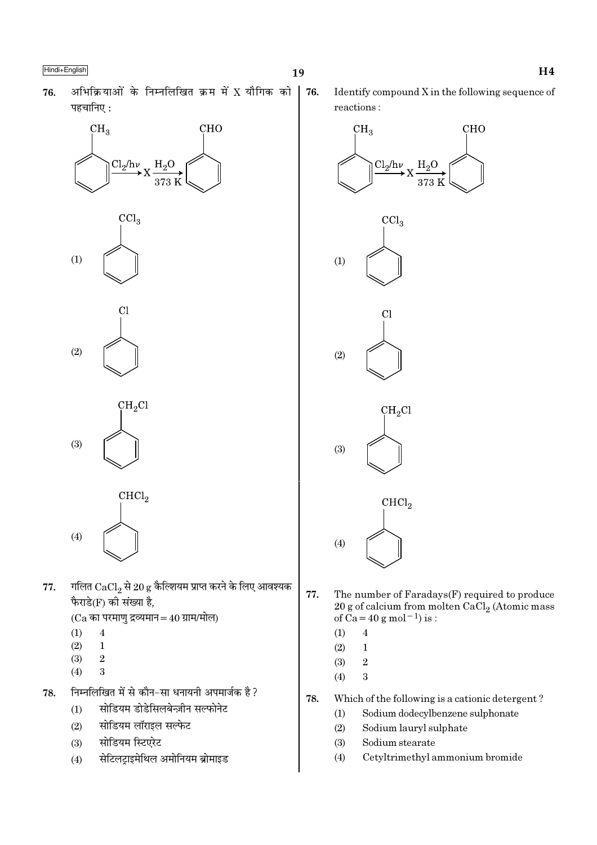76.

अभिक्रियाओं के निम्नलिखित क्रम में X यौगिक को 76. पहचानिए:









 $CHCl<sub>2</sub>$ 

गलित  $CaCl_2$  से 20 g कैल्शियम प्राप्त करने के लिए आवश्यक 77. फैराडे(F) की संख्या है,

 $(Ca$  का परमाणु द्रव्यमान = 40 ग्राम/मोल)

 $(1)$  $\overline{4}$ 

 $(4)$ 

- $(2)$  $\mathbf{1}$
- $(3)$  $\overline{2}$
- $(4)$ 3
- निम्नलिखित में से कौन-सा धनायनी अपमार्जक है ? 78.
	- सोडियम डोडेसिलबेन्ज़ीन सल्फोनेट  $(1)$
	- सोडियम लॉराइल सल्फेट  $(2)$
	- सोडियम स्टिएरेट  $(3)$
	- सेटिलट्राइमेथिल अमोनियम ब्रोमाइड  $(4)$

Identify compound X in the following sequence of reactions:



- 77. The number of Faradays(F) required to produce 20 g of calcium from molten CaCl<sub>2</sub> (Atomic mass<br>of Ca = 40 g mol<sup>-1</sup>) is:
	- $\overline{4}$  $(1)$
	- $(2)$  $\mathbf{1}$
	- $(3)$  $\overline{2}$
	- $(4)$  $\overline{\mathbf{3}}$
- 78. Which of the following is a cationic detergent?
	- Sodium dodecylbenzene sulphonate  $(1)$
	- $(2)$ Sodium lauryl sulphate
	- $(3)$ Sodium stearate
	- $(4)$ Cetyltrimethyl ammonium bromide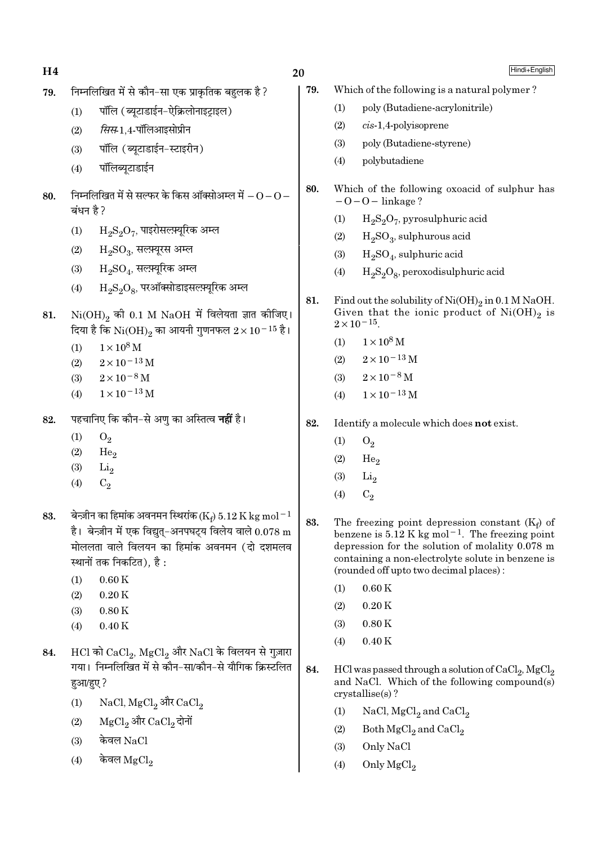H4 निम्नलिखित में से कौन-सा एक प्राकतिक बहलक है ? 79. 79.  $(1)$ पॉलि (ब्यूटाडाईन-ऐक्रिलोनाइट्राइल)  $(1)$  $(2)$  $cis-1,4$ -polyisoprene सिस-1.4-पॉलिआइसोप्रीन  $(2)$  $(3)$ पॉलि (ब्यटाडाईन-स्टाइरीन)  $(3)$  $(4)$ polybutadiene पॉलिब्युटाडाईन  $(4)$ 80. निम्नलिखित में से सल्फर के किस ऑक्सोअम्ल में  $\rm O$   $\rm O$   $-$ 80.  $-O-O$  - linkage ? बंधन है ?  $(1)$  $\rm H_2S_2O_7$ , पाइरोसल्फ़्यूरिक अम्ल  $(1)$  $(2)$  $\rm H_2SO_2$ , सल्फ़्यूरस अम्ल  $(2)$  $(3)$  $\mathrm{H}_{2}\mathrm{SO}_{4}$ , सल्फ़्यूरिक अम्ल  $(3)$  $(4)$  $\rm H_2S_2O_8$ , परऑक्सोडाइसल्फ़्यूरिक अम्ल  $(4)$ 81.  $\mathrm{Ni(OH)}_{2}$  की 0.1 M  $\mathrm{NaOH}$  में विलेयता ज्ञात कीजिए। 81.  $2 \times 10^{-15}$ . दिया है कि  $\rm Ni(OH)_2$  का आयनी गुणनफल  $2 \times 10^{-15}$  है।  $1\times10^8$  M  $(1)$  $(1)$  $1 \times 10^8$  M  $2 \times 10^{-13}$  M  $(2)$  $2\times10^{-13}\,\mathrm{M}$  $(2)$  $2 \times 10^{-8}$  M  $(3)$  $2\times10^{-8}$  M  $(3)$  $1 \times 10^{-13}$  M  $(4)$  $1 \times 10^{-13}$  M  $(4)$ पहचानिए कि कौन–से अणु का अस्तित्व **नहीं** है। 82. 82.  $(1)$  $O<sub>2</sub>$  $O_2$  $(1)$  $(2)$ He<sub>o</sub>  $(2)$ He.  $(3)$  $Li<sub>2</sub>$  $(3)$  $Li<sub>2</sub>$  $(4)$  $C<sub>2</sub>$  $C<sub>2</sub>$  $(4)$ बेन्ज़ीन का हिमांक अवनमन स्थिरांक (Ke) 5.12 K kg mol $^{-1}$ 83. 83. है। बेन्ज़ीन में एक विद्यत-अनपघटय विलेय वाले  $0.078 \text{ m}$ मोललता वाले विलयन का हिमांक अवनमन (दो दशमलव स्थानों तक निकटित), है :  $(1)$  $0.60K$  $0.60K$  $(1)$  $(2)$  $0.20K$  $0.20K$  $(2)$  $(3)$  $0.80K$ 

- $0.40K$  $(4)$
- HCl को CaCl<sub>2</sub>, MgCl<sub>2</sub> और NaCl के विलयन से गुज़ारा 84. गया। निम्नलिखित में से कौन-सा/कौन-से यौगिक क्रिस्टलित हआ/हए?
	- NaCl, MgCl<sub>2</sub> और CaCl<sub>2</sub>  $(1)$
	- MgCl, और CaCl, दोनों  $(2)$
	- केवल NaCl  $(3)$
	- केवल  $MgCl<sub>2</sub>$  $(4)$

20

Hindi+English

- Which of the following is a natural polymer?
	- poly (Butadiene-acrylonitrile)
	- poly (Butadiene-styrene)
- Which of the following oxoacid of sulphur has
	- $H_2S_2O_7$ , pyrosulphuric acid
	- $H_2SO_3$ , sulphurous acid
	- $H_2SO_4$ , sulphuric acid
	- $H_2S_2O_8$ , peroxodisulphuric acid
- Find out the solubility of  $Ni(OH)_2$  in 0.1 M NaOH. Given that the ionic product of  $Ni(OH)_2$  is

Identify a molecule which does not exist.

- The freezing point depression constant  $(K_f)$  of benzene is  $5.12$  K kg mol<sup>-1</sup>. The freezing point depression for the solution of molality 0.078 m containing a non-electrolyte solute in benzene is (rounded off upto two decimal places):
	-
	- $0.80K$  $(3)$
	- $0.40K$  $(4)$
- 84. HCl was passed through a solution of CaCl<sub>2</sub>, MgCl<sub>2</sub> and NaCl. Which of the following compound(s)  $crystalise(s)?$ 
	- NaCl, MgCl<sub>2</sub> and CaCl<sub>2</sub>  $(1)$
	- $(2)$ Both MgCl<sub>2</sub> and CaCl<sub>2</sub>
	- $(3)$ Only NaCl
	- Only MgCl<sub>2</sub>  $(4)$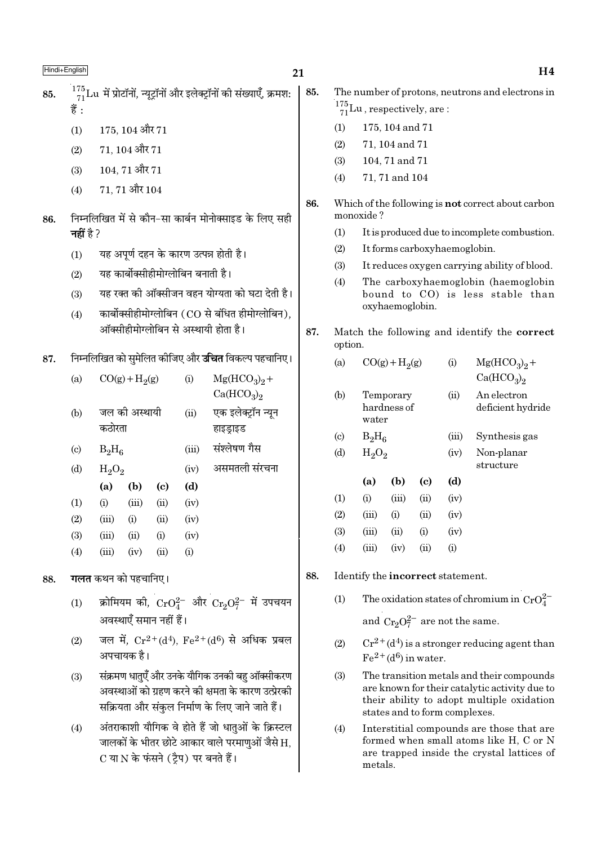85.

- $^{175}_{71}$ Lu में प्रोटॉनों, न्यूट्रॉनों और इलेक्ट्रॉनों की संख्याएँ, क्रमश: 85. 쑴.
	- 175, 104 और 71  $(1)$
	- 71.104 और 71  $(2)$
	- 104, 71 और 71  $(3)$
	- 71, 71 और 104  $(4)$
- निम्नलिखित में से कौन-सा कार्बन मोनोक्साइड के लिए सही 86. नहीं है ?
	- यह अपूर्ण दहन के कारण उत्पन्न होती है।  $(1)$
	- यह कार्बोक्सीहीमोग्लोबिन बनाती है।  $(2)$
	- यह रक्त की ऑक्सीजन वहन योग्यता को घटा देती है।  $(3)$
	- कार्बोक्सीहीमोग्लोबिन (CO से बंधित हीमोग्लोबिन).  $(4)$ ऑक्सीहीमोग्लोबिन से अस्थायी होता है।
- निम्नलिखित को समेलित कीजिए और **उचित** विकल्प पहचानिए। 87.

| (a)                      |       | $CO(g) + H2(g)$         |                            |      | $Mg(HCO3)2 +$<br>Ca(HCO <sub>3</sub> ) <sub>2</sub> |
|--------------------------|-------|-------------------------|----------------------------|------|-----------------------------------------------------|
| (b)                      |       | जल की अस्थायी<br>कठोरता |                            |      | एक इलेक्ट्रॉन न्यून<br>हाइड्राइड                    |
| $\left( \text{c}\right)$ |       | $B_2H_6$                |                            |      | संश्लेषण गैस                                        |
| (d)                      |       | $H_2O_2$                |                            |      | असमतली संरचना                                       |
|                          | (a)   | (b)                     | $\left( \mathrm{c}\right)$ | (d)  |                                                     |
| (1)                      | (i)   | (iii)                   | (ii)                       | (iv) |                                                     |
| (2)                      | (iii) | (i)                     | (ii)                       | (iv) |                                                     |
| (3)                      | (iii) | (ii)                    | (i)                        | (iv) |                                                     |
| (4)                      | (iii) | (iv)                    | (ii)                       | (i)  |                                                     |
|                          |       |                         |                            |      |                                                     |

- **गलत** कथन को पहचानिए। 88.
	- क्रोमियम की,  $\text{CrO}_4^{2-}$  और  $\text{Cr}_2\text{O}_7^{2-}$  में उपचयन  $(1)$ अवस्थाएँ समान नहीं हैं।
	- जल में,  $Cr^{2+}(d^4)$ ,  $Fe^{2+}(d^6)$  से अधिक प्रबल  $(2)$ अपचायक है।
	- संक्रमण धातुएँ और उनके यौगिक उनकी बहु ऑक्सीकरण  $(3)$ अवस्थाओं को ग्रहण करने की क्षमता के कारण उत्प्रेरकी सक्रियता और संकल निर्माण के लिए जाने जाते हैं।
	- अंतराकाशी यौगिक वे होते हैं जो धातुओं के क्रिस्टल  $(4)$ जालकों के भीतर छोटे आकार वाले परमाणओं जैसे H. C या N के फंसने (टैप) पर बनते हैं।
- The number of protons, neutrons and electrons in
- $\frac{175}{71}$ Lu, respectively, are:
- $(1)$ 175, 104 and 71
- $(2)$ 71, 104 and 71
- $(3)$ 104, 71 and 71
- 71, 71 and 104  $(4)$
- 86. Which of the following is **not** correct about carbon monoxide?
	- It is produced due to incomplete combustion.  $(1)$
	- $(2)$ It forms carboxyhaemoglobin.
	- It reduces oxygen carrying ability of blood.  $(3)$
	- $(4)$ The carboxyhaemoglobin (haemoglobin bound to CO) is less stable than oxyhaemoglobin.
- 87. Match the following and identify the correct option.

| (a)                         | (i)<br>$CO(g) + H2(g)$            |       |      | $Mg(HCO3)2 +$<br>Ca(HCO <sub>3</sub> ) <sub>2</sub> |                                  |
|-----------------------------|-----------------------------------|-------|------|-----------------------------------------------------|----------------------------------|
| (b)                         | Temporary<br>hardness of<br>water |       |      | (ii)                                                | An electron<br>deficient hydride |
| $\left( \mathrm{c} \right)$ | $B_2H_6$                          |       |      | (iii)                                               | Synthesis gas                    |
| (d)                         | $H_2O_2$                          |       |      | (iv)                                                | Non-planar<br>structure          |
|                             | (a)                               | (b)   | (c)  | (d)                                                 |                                  |
| (1)                         | (i)                               | (iii) | (ii) | (iv)                                                |                                  |
| (2)                         | (iii)                             | (i)   | (ii) | (iv)                                                |                                  |
| (3)                         | (iii)                             | (ii)  | (i)  | (iv)                                                |                                  |
| (4)                         | (iii)                             | (iv)  | (ii) | $\rm(i)$                                            |                                  |

- 88. Identify the incorrect statement.
	- The oxidation states of chromium in  $CrO_4^{2-}$  $(1)$ and  $Cr_2O_7^{2-}$  are not the same.
	- $Cr^{2+}(d^4)$  is a stronger reducing agent than  $(2)$  $Fe<sup>2+</sup>(d<sup>6</sup>)$  in water.
	- $(3)$ The transition metals and their compounds are known for their catalytic activity due to their ability to adopt multiple oxidation states and to form complexes.
	- $(4)$ Interstitial compounds are those that are formed when small atoms like H, C or N are trapped inside the crystal lattices of metals.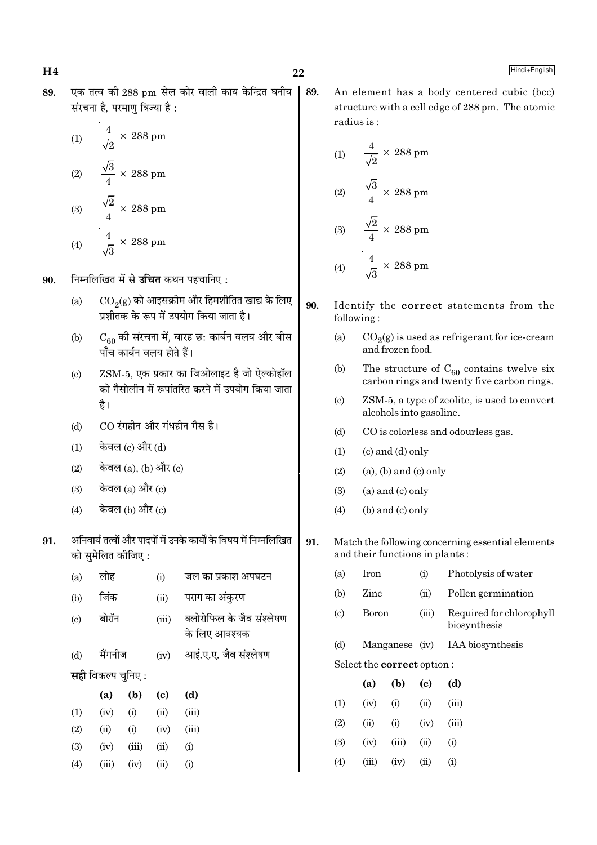89.

एक तत्व की 288 pm सेल कोर वाली काय केन्द्रित घनीय 89. संरचना है. परमाण त्रिज्या है :

(1) 
$$
\frac{4}{\sqrt{2}} \times 288 \text{ pm}
$$
  
(2) 
$$
\frac{\sqrt{3}}{4} \times 288 \text{ pm}
$$
  
(3) 
$$
\frac{\sqrt{2}}{4} \times 288 \text{ pm}
$$
  
(4) 
$$
\frac{4}{\sqrt{3}} \times 288 \text{ pm}
$$

निम्नलिखित में से **उचित** कथन पहचानिए : 90.

- $CO<sub>2</sub>(g)$  को आइसक्रीम और हिमशीतित खाद्य के लिए  $(a)$ प्रशीतक के रूप में उपयोग किया जाता है।
- $\rm C_{60}$  की संरचना में, बारह छ: कार्बन वलय और बीस<br>पाँच कार्बन वलय होते हैं।  $(b)$
- ZSM-5, एक प्रकार का जिओलाइट है जो ऐल्कोहॉल  $(c)$ को गैसोलीन में रूपांतरित करने में उपयोग किया जाता है।
- CO रंगहीन और गंधहीन गैस है।  $(b)$
- केवल (c) और (d)  $(1)$
- केवल (a), (b) और (c)  $(2)$
- केवल (a) और (c)  $(3)$
- केवल (b) और (c)  $(4)$
- अनिवार्य तत्वों और पादपों में उनके कार्यों के विषय में निम्नलिखित 91. को समेलित कीजिए :

| (a)                        | लोह                       |       | (i)                         | जल का प्रकाश अपघटन                         |
|----------------------------|---------------------------|-------|-----------------------------|--------------------------------------------|
| (b)                        | जिंक                      |       | (ii)                        | पराग का अंकुरण                             |
| $\left( \mathrm{c}\right)$ | बोरॉन                     |       | (iii)                       | क्लोरोफिल के जैव संश्लेषण<br>के लिए आवश्यक |
| (d)                        | मैंगनीज                   |       | (iv)                        | आई.ए.ए. जैव संश्लेषण                       |
|                            | <b>सही</b> विकल्प चुनिए : |       |                             |                                            |
|                            | (a)                       | (b)   | $\left( \mathrm{c} \right)$ | (d)                                        |
| (1)                        | (iv)                      | (i)   | (ii)                        | (iii)                                      |
| (2)                        | (ii)                      | (i)   | (iv)                        | (iii)                                      |
| (3)                        | (iv)                      | (iii) | (ii)                        | (i)                                        |
|                            |                           |       |                             |                                            |
| (4)                        | (iii)                     | (iv)  | (ii)                        | (i)                                        |

An element has a body centered cubic (bcc) structure with a cell edge of 288 pm. The atomic radius is:

(1) 
$$
\frac{4}{\sqrt{2}} \times 288 \text{ pm}
$$
  
\n(2) 
$$
\frac{\sqrt{3}}{4} \times 288 \text{ pm}
$$
  
\n(3) 
$$
\frac{\sqrt{2}}{4} \times 288 \text{ pm}
$$
  
\n(4) 
$$
\frac{4}{\sqrt{3}} \times 288 \text{ pm}
$$

- 90. Identify the correct statements from the following:
	- $(a)$  $CO<sub>2</sub>(g)$  is used as refrigerant for ice-cream and frozen food.
	- $(b)$ The structure of  $C_{60}$  contains twelve six carbon rings and twenty five carbon rings.
	- ZSM-5, a type of zeolite, is used to convert  $(c)$ alcohols into gasoline.
	- $(d)$ CO is colorless and odourless gas.
	- $(c)$  and  $(d)$  only  $(1)$
	- $(2)$  $(a)$ ,  $(b)$  and  $(c)$  only
	- $(a)$  and  $(c)$  only  $(3)$
	- (b) and (c) only  $(4)$
- 91. Match the following concerning essential elements and their functions in plants:
	- $(a)$ Iron Photolysis of water  $(i)$
	- $(b)$ Zinc Pollen germination  $(ii)$
	- $(c)$ **Boron**  $(iii)$ Required for chlorophyll biosynthesis
	- Manganese (iv) IAA biosynthesis  $(d)$

Select the correct option:

|     | (a)   | (b)      | (c)  | (d)               |
|-----|-------|----------|------|-------------------|
| (1) | (iv)  | (i)      | (ii) | (iii)             |
| (2) | (ii)  | $\rm(i)$ | (iv) | (iii)             |
| (3) | (iv)  | (iii)    | (ii) | (i)               |
| (4) | (iii) | (iv)     | (i)  | $\left( 1\right)$ |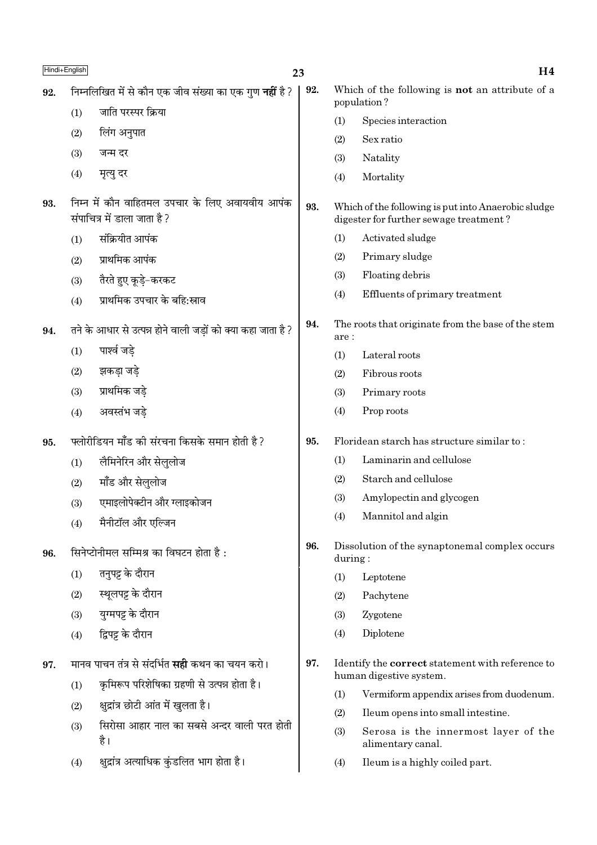|     | Hindi+English | 23                                                                             |     |         | H <sub>4</sub>                                                                                |
|-----|---------------|--------------------------------------------------------------------------------|-----|---------|-----------------------------------------------------------------------------------------------|
| 92. |               | निम्नलिखित में से कौन एक जीव संख्या का एक गुण <b>नहीं</b> है?                  | 92. |         | Which of the following is not an attribute of a<br>population?                                |
|     | (1)           | जाति परस्पर क्रिया                                                             |     |         | Species interaction                                                                           |
|     | (2)           | लिंग अनुपात                                                                    |     | (2)     | Sex ratio                                                                                     |
|     | (3)           | जन्म दर                                                                        |     | (3)     | Natality                                                                                      |
|     | (4)           | मृत्यु दर                                                                      |     | (4)     | Mortality                                                                                     |
| 93. |               | निम्न में कौन वाहितमल उपचार के लिए अवायवीय आपंक<br>संपाचित्र में डाला जाता है? | 93. |         | Which of the following is put into Anaerobic sludge<br>digester for further sewage treatment? |
|     | (1)           | संक्रियीत आपंक                                                                 |     | (1)     | Activated sludge                                                                              |
|     | (2)           | प्राथमिक आपंक                                                                  |     | (2)     | Primary sludge                                                                                |
|     | (3)           | तैरते हुए कूड़े-करकट                                                           |     | (3)     | Floating debris                                                                               |
|     | (4)           | प्राथमिक उपचार के बहि:स्राव                                                    |     | (4)     | Effluents of primary treatment                                                                |
| 94. |               | तने के आधार से उत्पन्न होने वाली जड़ों को क्या कहा जाता है?                    | 94. | are:    | The roots that originate from the base of the stem                                            |
|     | (1)           | पार्श्व जड़े                                                                   |     | (1)     | Lateral roots                                                                                 |
|     | (2)           | झकड़ा जड़े                                                                     |     | (2)     | Fibrous roots                                                                                 |
|     | (3)           | प्राथमिक जड़े                                                                  |     | (3)     | Primary roots                                                                                 |
|     | (4)           | अवस्तंभ जडे                                                                    |     | (4)     | Prop roots                                                                                    |
| 95. |               | फ्लोरीडियन मॉॅंड की संरचना किसके समान होती है ?                                | 95. |         | Floridean starch has structure similar to:                                                    |
|     | (1)           | लैमिनेरिन और सेलुलोज                                                           |     | (1)     | Laminarin and cellulose                                                                       |
|     | (2)           | मॉॅंड और सेलुलोज                                                               |     | (2)     | Starch and cellulose                                                                          |
|     | (3)           | एमाइलोपेक्टीन और ग्लाइकोजन                                                     |     | (3)     | Amylopectin and glycogen                                                                      |
|     | (4)           | मैनीटॉल और एल्जिन                                                              |     | (4)     | Mannitol and algin                                                                            |
| 96. |               | सिनेप्टोनीमल सम्मिश्र का विघटन होता है:                                        | 96. | during: | Dissolution of the synaptonemal complex occurs                                                |
|     | (1)           | तनुपट्ट के दौरान                                                               |     | (1)     | Leptotene                                                                                     |
|     | (2)           | स्थूलपट्ट के दौरान                                                             |     | (2)     | Pachytene                                                                                     |
|     | (3)           | युग्मपट्ट के दौरान                                                             |     | (3)     | Zygotene                                                                                      |
|     | (4)           | द्विपट्ट के दौरान                                                              |     | (4)     | Diplotene                                                                                     |
| 97. |               | मानव पाचन तंत्र से संदर्भित <b>सही</b> कथन का चयन करो।                         | 97. |         | Identify the <b>correct</b> statement with reference to<br>human digestive system.            |
|     | (1)           | कृमिरूप परिशेषिका ग्रहणी से उत्पन्न होता है।                                   |     | (1)     | Vermiform appendix arises from duodenum.                                                      |
|     | (2)           | क्षुद्रांत्र छोटी आंत में खुलता है।                                            |     | (2)     | Ileum opens into small intestine.                                                             |
|     | (3)           | सिरोसा आहार नाल का सबसे अन्दर वाली परत होती<br>है।                             |     | (3)     | Serosa is the innermost layer of the<br>alimentary canal.                                     |
|     | (4)           | क्षुद्रांत्र अत्याधिक कुंडलित भाग होता है।                                     |     | (4)     | Ileum is a highly coiled part.                                                                |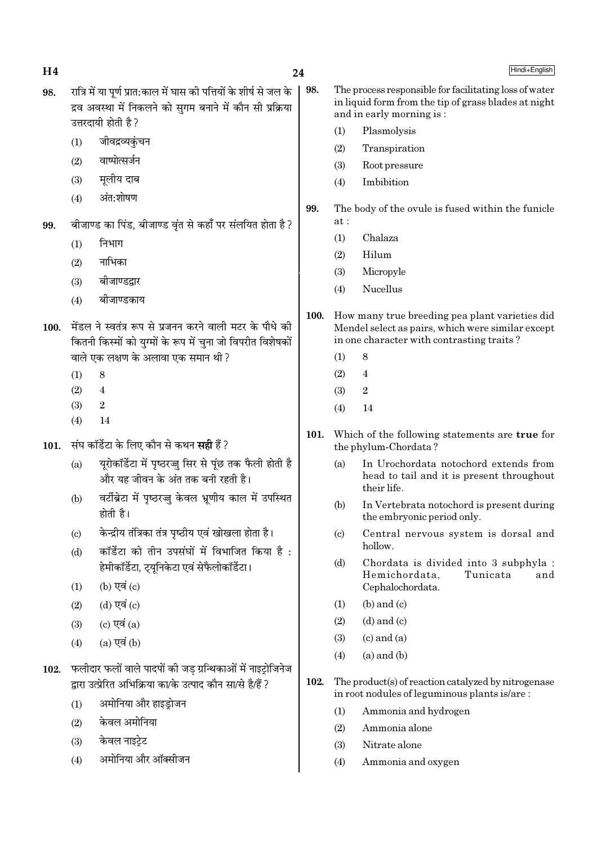| Η4   |                            |                                                                                                                                                         | 24          |                             | Hindi+English                                                                                                                              |  |  |  |
|------|----------------------------|---------------------------------------------------------------------------------------------------------------------------------------------------------|-------------|-----------------------------|--------------------------------------------------------------------------------------------------------------------------------------------|--|--|--|
| 98.  |                            | रात्रि में या पूर्ण प्रात:काल में घास की पत्तियों के शीर्ष से जल के<br>द्रव अवस्था में निकलने को सुगम बनाने में कौन सी प्रक्रिया<br>उत्तरदायी होती है ? | 98.         |                             | The process responsible for facilitating loss of water<br>in liquid form from the tip of grass blades at night<br>and in early morning is: |  |  |  |
|      | (1)                        | जीवद्रव्यकुंचन                                                                                                                                          |             | (1)                         | Plasmolysis                                                                                                                                |  |  |  |
|      |                            | वाष्पोत्सर्जन                                                                                                                                           |             | (2)                         | Transpiration                                                                                                                              |  |  |  |
|      | (2)                        |                                                                                                                                                         |             | (3)                         | Root pressure                                                                                                                              |  |  |  |
|      | (3)                        | मूलीय दाब                                                                                                                                               |             | (4)                         | Imbibition                                                                                                                                 |  |  |  |
|      | (4)                        | अंत:शोषण                                                                                                                                                | 99.         |                             | The body of the ovule is fused within the funicle                                                                                          |  |  |  |
| 99.  |                            | बीजाण्ड का पिंड, बीजाण्ड वृंत से कहाँ पर संलयित होता है?                                                                                                |             | at:                         |                                                                                                                                            |  |  |  |
|      | (1)                        | निभाग                                                                                                                                                   |             | (1)                         | Chalaza                                                                                                                                    |  |  |  |
|      | (2)                        | नाभिका                                                                                                                                                  |             | (2)                         | Hilum                                                                                                                                      |  |  |  |
|      | (3)                        | बीजाण्डद्वार                                                                                                                                            |             | (3)                         | Micropyle                                                                                                                                  |  |  |  |
|      |                            | बीजाण्डकाय                                                                                                                                              |             | (4)                         | Nucellus                                                                                                                                   |  |  |  |
|      | (4)                        |                                                                                                                                                         | <b>100.</b> |                             | How many true breeding pea plant varieties did                                                                                             |  |  |  |
| 100. |                            | मेंडल ने स्वतंत्र रूप से प्रजनन करने वाली मटर के पौधे की                                                                                                |             |                             | Mendel select as pairs, which were similar except                                                                                          |  |  |  |
|      |                            | कितनी किस्मों को युग्मों के रूप में चुना जो विपरीत विशेषकों                                                                                             |             |                             | in one character with contrasting traits?                                                                                                  |  |  |  |
|      |                            | वाले एक लक्षण के अलावा एक समान थी ?                                                                                                                     |             | (1)                         | 8                                                                                                                                          |  |  |  |
|      | (1)                        | 8                                                                                                                                                       |             | (2)                         | 4                                                                                                                                          |  |  |  |
|      | (2)                        | $\overline{4}$                                                                                                                                          |             | (3)                         | $\boldsymbol{2}$                                                                                                                           |  |  |  |
|      | (3)                        | $\sqrt{2}$                                                                                                                                              |             | (4)                         | 14                                                                                                                                         |  |  |  |
|      | (4)                        | 14                                                                                                                                                      | 101.        |                             | Which of the following statements are true for                                                                                             |  |  |  |
| 101. |                            | संघ कॉर्डेटा के लिए कौन से कथन <b>सही</b> हैं?                                                                                                          |             | the phylum-Chordata?        |                                                                                                                                            |  |  |  |
|      | (a)                        | यूरोकॉर्डेटा में पृष्ठरज्जु सिर से पूंछ तक फैली होती है<br>और यह जीवन के अंत तक बनी रहती है।                                                            |             | (a)                         | In Urochordata notochord extends from<br>head to tail and it is present throughout<br>their life.                                          |  |  |  |
|      | (b)                        | वर्टीब्रेटा में पृष्ठरज्जु केवल भ्रूणीय काल में उपस्थित<br>होती है।                                                                                     |             | (b)                         | In Vertebrata notochord is present during<br>the embryonic period only.                                                                    |  |  |  |
|      | $\left( \mathrm{c}\right)$ | केन्द्रीय तंत्रिका तंत्र पृष्ठीय एवं खोखला होता है।                                                                                                     |             | (c)                         | Central nervous system is dorsal and<br>hollow.                                                                                            |  |  |  |
|      | (d)                        | कॉर्डेटा को तीन उपसंघों में विभाजित किया है:<br>हेमीकॉर्डेटा, ट्यूनिकेटा एवं सेफैलोकॉर्डेटा।                                                            |             | (d)                         | Chordata is divided into 3 subphyla :<br>Hemichordata,<br>Tunicata<br>and                                                                  |  |  |  |
|      | (1)                        | (b) एवं $(c)$                                                                                                                                           |             |                             | Cephalochordata.                                                                                                                           |  |  |  |
|      | (2)                        | (d) एवं (c)                                                                                                                                             |             | (1)                         | $(b)$ and $(c)$                                                                                                                            |  |  |  |
|      | (3)                        | (c) एवं $(a)$                                                                                                                                           |             | (2)                         | $(d)$ and $(c)$                                                                                                                            |  |  |  |
|      | (4)                        | $(a)$ एवं $(b)$                                                                                                                                         |             | (3)                         | $(c)$ and $(a)$                                                                                                                            |  |  |  |
|      |                            |                                                                                                                                                         |             | (4)                         | $(a)$ and $(b)$                                                                                                                            |  |  |  |
| 102. |                            | फलीदार फलों वाले पादपों की जड़ ग्रन्थिकाओं में नाइट्रोजिनेज<br>द्वारा उत्प्रेरित अभिक्रिया का/के उत्पाद कौन सा/से है/हैं ?                              | 102.        |                             | The product(s) of reaction catalyzed by nitrogenase<br>in root nodules of leguminous plants is/are:                                        |  |  |  |
|      | (1)                        | अमोनिया और हाइड़ोजन                                                                                                                                     |             | Ammonia and hydrogen<br>(1) |                                                                                                                                            |  |  |  |
|      | (2)                        | केवल अमोनिया                                                                                                                                            |             | (2)                         | Ammonia alone                                                                                                                              |  |  |  |
|      | (3)                        | केवल नाइट्रेट                                                                                                                                           |             | (3)                         | Nitrate alone                                                                                                                              |  |  |  |
|      |                            |                                                                                                                                                         |             |                             |                                                                                                                                            |  |  |  |

Ammonia and oxygen

 $(4)$ 

अमोनिया और ऑक्सीजन

 $(4)$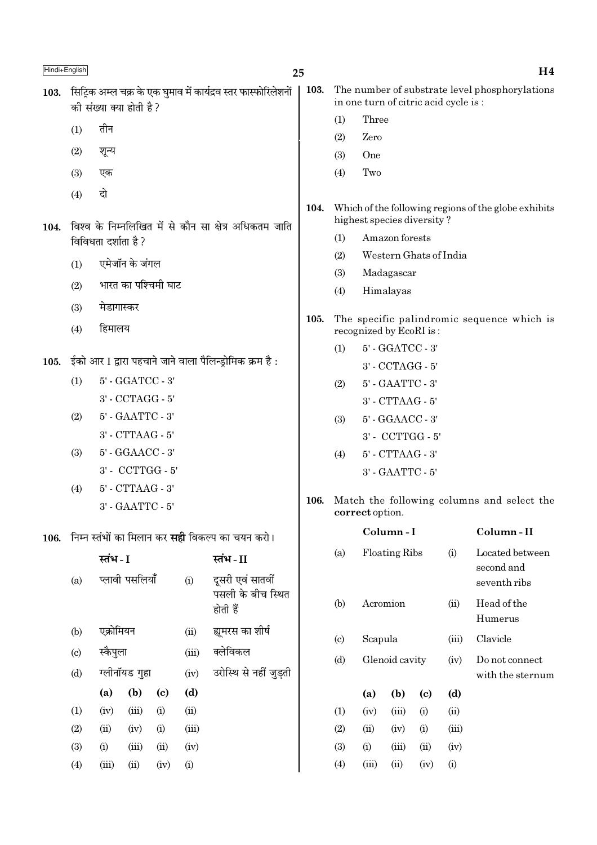| Hindi+English |                                                          |                                                                                  |                         |                             |       |                                                                 | 25                                                                                               |                                                      |                                      |                      |                        |                            | H <sub>4</sub>                                 |  |
|---------------|----------------------------------------------------------|----------------------------------------------------------------------------------|-------------------------|-----------------------------|-------|-----------------------------------------------------------------|--------------------------------------------------------------------------------------------------|------------------------------------------------------|--------------------------------------|----------------------|------------------------|----------------------------|------------------------------------------------|--|
| 103.          |                                                          |                                                                                  | की संख्या क्या होती है? |                             |       | सिट्रिक अम्ल चक्र के एक घुमाव में कार्यद्रव स्तर फास्फोरिलेशनों | 103.                                                                                             |                                                      | in one turn of citric acid cycle is: |                      |                        |                            | The number of substrate level phosphorylations |  |
|               |                                                          | तीन                                                                              |                         |                             |       |                                                                 |                                                                                                  | (1)                                                  | Three                                |                      |                        |                            |                                                |  |
|               | (1)                                                      |                                                                                  |                         |                             |       |                                                                 |                                                                                                  | (2)                                                  | Zero                                 |                      |                        |                            |                                                |  |
|               | (2)                                                      | शून्य                                                                            |                         |                             |       |                                                                 |                                                                                                  | (3)                                                  | One                                  |                      |                        |                            |                                                |  |
|               | (3)                                                      | एक                                                                               |                         |                             |       |                                                                 |                                                                                                  | (4)                                                  | Two                                  |                      |                        |                            |                                                |  |
|               | (4)                                                      | दो                                                                               |                         |                             |       |                                                                 |                                                                                                  |                                                      |                                      |                      |                        |                            |                                                |  |
| 104.          |                                                          |                                                                                  |                         |                             |       | विश्व के निम्नलिखित में से कौन सा क्षेत्र अधिकतम जाति           | 104.                                                                                             | Which of the following regions of the globe exhibits |                                      |                      |                        |                            |                                                |  |
|               |                                                          | विविधता दर्शाता है ?                                                             |                         |                             |       |                                                                 |                                                                                                  | Amazon forests<br>(1)                                |                                      |                      |                        |                            |                                                |  |
|               | (1)                                                      |                                                                                  | एमेजॉन के जंगल          |                             |       |                                                                 |                                                                                                  | (2)                                                  |                                      |                      | Western Ghats of India |                            |                                                |  |
|               | भारत का पश्चिमी घाट<br>(2)                               |                                                                                  |                         |                             | (3)   | Madagascar                                                      |                                                                                                  |                                                      |                                      |                      |                        |                            |                                                |  |
|               |                                                          |                                                                                  |                         |                             |       |                                                                 |                                                                                                  | Himalayas<br>(4)                                     |                                      |                      |                        |                            |                                                |  |
|               | मेडागास्कर<br>(3)<br>हिमालय<br>(4)                       |                                                                                  |                         |                             |       | 105.                                                            | The specific palindromic sequence which is<br>recognized by EcoRI is:<br>5' - GGATCC - 3'<br>(1) |                                                      |                                      |                      |                        |                            |                                                |  |
|               |                                                          |                                                                                  |                         |                             |       |                                                                 |                                                                                                  |                                                      |                                      |                      |                        |                            |                                                |  |
| 105.          | ईको आर I द्वारा पहचाने जाने वाला पैलिन्ड्रोमिक क्रम है : |                                                                                  |                         |                             |       |                                                                 |                                                                                                  |                                                      |                                      | 3' - CCTAGG - 5'     |                        |                            |                                                |  |
|               | 5' - GGATCC - 3'<br>(1)                                  |                                                                                  |                         |                             |       | (2)                                                             |                                                                                                  | 5' - GAATTC - 3'                                     |                                      |                      |                        |                            |                                                |  |
|               |                                                          | 3' - CCTAGG - 5'<br>5' - GAATTC - 3'                                             |                         |                             |       |                                                                 |                                                                                                  |                                                      |                                      | 3' - CTTAAG - 5'     |                        |                            |                                                |  |
|               | (2)                                                      |                                                                                  |                         |                             |       |                                                                 |                                                                                                  | (3)                                                  |                                      | 5' - GGAACC - 3'     |                        |                            |                                                |  |
|               |                                                          |                                                                                  | 3' - CTTAAG - 5'        |                             |       |                                                                 |                                                                                                  |                                                      |                                      | 3' - CCTTGG - 5'     |                        |                            |                                                |  |
|               | (3)                                                      |                                                                                  | 5' - GGAACC - 3'        |                             |       |                                                                 |                                                                                                  | (4)                                                  | 5' - CTTAAG - 3'                     |                      |                        |                            |                                                |  |
|               |                                                          |                                                                                  | 3' - CCTTGG - 5'        |                             |       |                                                                 |                                                                                                  | 3' - GAATTC - 5'                                     |                                      |                      |                        |                            |                                                |  |
|               | (4)                                                      |                                                                                  | 5' - CTTAAG - 3'        |                             |       |                                                                 | 106.                                                                                             |                                                      |                                      |                      |                        |                            | Match the following columns and select the     |  |
|               |                                                          |                                                                                  | 3' - GAATTC - 5'        |                             |       |                                                                 |                                                                                                  |                                                      | correct option.                      |                      |                        |                            |                                                |  |
| 106.          |                                                          |                                                                                  |                         |                             |       | निम्न स्तंभों का मिलान कर <b>सही</b> विकल्प का चयन करो।         |                                                                                                  |                                                      |                                      | Column-I             |                        |                            | Column-II                                      |  |
|               |                                                          | स्तंभ - I                                                                        |                         |                             |       | स्तंभ - II                                                      |                                                                                                  | (a)                                                  |                                      | <b>Floating Ribs</b> |                        | (i)                        | Located between                                |  |
|               | (a)                                                      |                                                                                  | प्लावी पसलियाँ          |                             | (i)   | दूसरी एवं सातवीं<br>पसली के बीच स्थित                           |                                                                                                  |                                                      |                                      |                      |                        | second and<br>seventh ribs |                                                |  |
|               |                                                          |                                                                                  |                         |                             |       | होती हैं                                                        |                                                                                                  | (b)                                                  | Acromion                             |                      |                        | (ii)                       | Head of the<br>Humerus                         |  |
|               | (b)                                                      | एक्रोमियन                                                                        |                         |                             | (ii)  | ह्यूमरस का शीर्ष                                                |                                                                                                  | $\left( \mathrm{c}\right)$                           | Scapula                              |                      |                        | (iii)                      | Clavicle                                       |  |
|               | $\left( \text{c} \right)$                                | क्लेविकल<br>स्कैपुला<br>(iii)<br>ग्लीनॉयड गुहा<br>उरोस्थि से नहीं जुड़ती<br>(iv) |                         |                             |       | (d)                                                             |                                                                                                  | Glenoid cavity                                       |                                      | (iv)                 | Do not connect         |                            |                                                |  |
|               | (d)                                                      |                                                                                  |                         |                             |       |                                                                 |                                                                                                  |                                                      |                                      | with the sternum     |                        |                            |                                                |  |
|               |                                                          | (a)                                                                              | (b)                     | $\left( \mathbf{c} \right)$ | (d)   |                                                                 |                                                                                                  |                                                      | (a)                                  | (b)                  | (c)                    | (d)                        |                                                |  |
|               | (1)                                                      | (iv)                                                                             | (iii)                   | (i)                         | (ii)  |                                                                 |                                                                                                  | (1)                                                  | (iv)                                 | (iii)                | (i)                    | (ii)                       |                                                |  |
|               | (2)                                                      | (ii)                                                                             | (iv)                    | (i)                         | (iii) |                                                                 |                                                                                                  | (2)                                                  | (ii)                                 | (iv)                 | (i)                    | (iii)                      |                                                |  |
|               | (3)                                                      | (i)                                                                              | (iii)                   | (ii)                        | (iv)  |                                                                 |                                                                                                  | (3)                                                  | (i)                                  | (iii)                | (ii)                   | (iv)                       |                                                |  |
|               | (4)                                                      | (iii)                                                                            | (ii)                    | (iv)                        | (i)   |                                                                 |                                                                                                  | (4)                                                  | (iii)                                | (ii)                 | (iv)                   | (i)                        |                                                |  |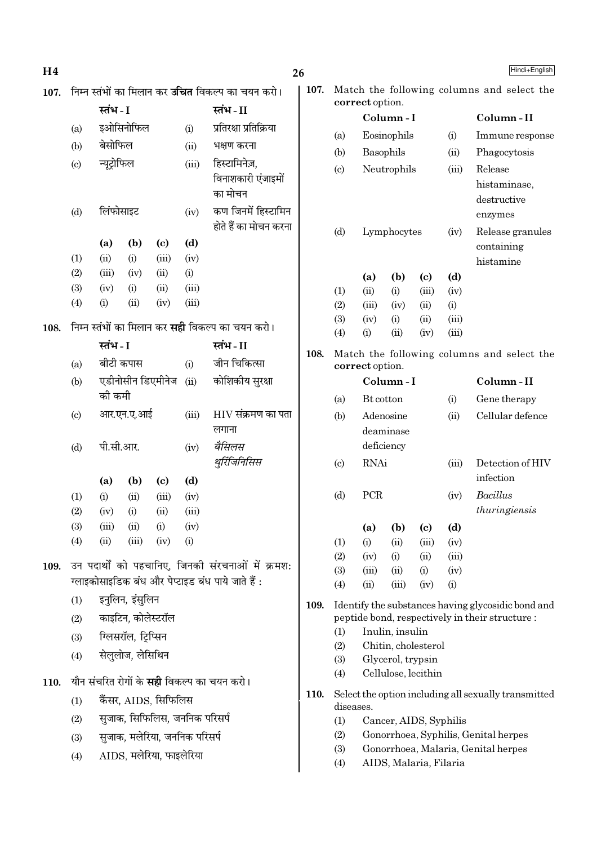| H <sub>4</sub> |            |                   |                     |                               |              |                                                          | 26   |            |                 |                                            |                            |               | Hindi+English                                        |
|----------------|------------|-------------------|---------------------|-------------------------------|--------------|----------------------------------------------------------|------|------------|-----------------|--------------------------------------------|----------------------------|---------------|------------------------------------------------------|
| 107.           |            |                   |                     |                               |              | निम्न स्तंभों का मिलान कर <b>उचित</b> विकल्प का चयन करो। | 107. |            |                 |                                            |                            |               | Match the following columns and select the           |
|                |            | स्तंभ - I         |                     |                               |              | स्तंभ-II                                                 |      |            | correct option. | Column-I                                   |                            |               | Column-II                                            |
|                | (a)        |                   | इओसिनोफिल           |                               | (i)          | प्रतिरक्षा प्रतिक्रिया                                   |      | (a)        | Eosinophils     |                                            |                            | (i)           | Immune response                                      |
|                | (b)        | बेसोफिल           |                     |                               | (ii)         | भक्षण करना                                               |      | (b)        |                 | Basophils                                  |                            | (ii)          | Phagocytosis                                         |
|                | (c)        | न्यूट्रोफिल       |                     |                               | (iii)        | हिस्टामिनेज़,                                            |      | (c)        |                 | Neutrophils                                |                            | (iii)         | Release                                              |
|                |            |                   |                     |                               |              | विनाशकारी एंजाइमों                                       |      |            |                 |                                            |                            |               | histaminase,                                         |
|                |            | लिंफोसाइट<br>(iv) |                     | का मोचन                       |              |                                                          |      |            |                 |                                            | destructive                |               |                                                      |
|                | (d)        |                   |                     | कण जिनमें हिस्टामिन           |              |                                                          |      |            |                 |                                            | enzymes                    |               |                                                      |
|                |            |                   |                     |                               |              | होते हैं का मोचन करना                                    |      | (d)        |                 | Lymphocytes                                |                            | (iv)          | Release granules                                     |
|                |            | (a)               | (b)                 | $\left( \mathbf{c} \right)$   | (d)          |                                                          |      |            |                 |                                            |                            | containing    |                                                      |
|                | (1)        | (ii)              | (i)                 | (iii)                         | (iv)         |                                                          |      |            |                 |                                            |                            |               | histamine                                            |
|                | (2)<br>(3) | (iii)<br>(iv)     | (iv)<br>(i)         | (ii)<br>(ii)                  | (i)<br>(iii) |                                                          |      |            | (a)             | (b)                                        | $\left( \mathrm{c}\right)$ | (d)           |                                                      |
|                | (4)        | (i)               | (ii)                | (iv)                          | (iii)        |                                                          |      | (1)<br>(2) | (ii)<br>(iii)   | (i)<br>(iv)                                | (iii)<br>(ii)              | (iv)<br>(i)   |                                                      |
|                |            |                   |                     |                               |              |                                                          |      | (3)        | (iv)            | (i)                                        | (ii)                       | (iii)         |                                                      |
| 108.           |            |                   |                     |                               |              | निम्न स्तंभों का मिलान कर <b>सही</b> विकल्प का चयन करो।  |      | (4)        | (i)             | (ii)                                       | (iv)                       | (iii)         |                                                      |
|                | स्तंभ - I  |                   | स्तंभ-II            | 108.                          |              |                                                          |      |            |                 | Match the following columns and select the |                            |               |                                                      |
|                | (a)        | बीटी कपास         |                     |                               | (i)          | जीन चिकित्सा                                             |      |            | correct option. |                                            |                            |               |                                                      |
|                | (b)        |                   |                     | एडीनोसीन डिएमीनेज             | (ii)         | कोशिकीय सुरक्षा                                          |      |            |                 | Column-I                                   |                            |               | Column-II                                            |
|                |            | की कमी            |                     |                               |              |                                                          |      | (a)        | Bt cotton       |                                            |                            | (i)           | Gene therapy                                         |
|                | (c)        |                   | आर.एन.ए.आई          |                               | (iii)        | $HIV$ संक्रमण का पता                                     |      | (b)        |                 | Adenosine                                  |                            | (ii)          | Cellular defence                                     |
|                |            |                   |                     |                               |              | लगाना                                                    |      |            |                 | deaminase                                  |                            |               |                                                      |
|                | (d)        | पी.सी.आर.         |                     |                               | (iv)         | बैसिलस                                                   |      |            | deficiency      |                                            |                            |               |                                                      |
|                |            |                   |                     |                               |              | थुर्रिजिनिसिस                                            |      | (c)        | <b>RNAi</b>     |                                            |                            | (iii)         | Detection of HIV                                     |
|                |            | (a)               | (b)                 | $\left( \mathrm{c}\right)$    | (d)          |                                                          |      |            |                 |                                            |                            |               | infection                                            |
|                | (1)        | (i)               | (ii)                | (iii)                         | (iv)         |                                                          |      | (d)        | PCR             |                                            |                            | (iv)          | Bacillus                                             |
|                | (2)        | (iv)              | (i)                 | (ii)                          | (iii)        |                                                          |      |            |                 |                                            |                            |               | thuringiensis                                        |
|                | (3)<br>(4) | (iii)<br>(ii)     | (ii)<br>(iii)       | (i)<br>(iv)                   | (iv)<br>(i)  |                                                          |      |            | (a)             | (b)                                        | $\left( \mathrm{c}\right)$ | (d)           |                                                      |
|                |            |                   |                     |                               |              |                                                          |      | (1)<br>(2) | (i)<br>(iv)     | (ii)<br>(i)                                | (iii)<br>(ii)              | (iv)<br>(iii) |                                                      |
| 109.           |            |                   |                     |                               |              | उन पदार्थों को पहचानिए, जिनकी संरचनाओं में क्रमश:        |      | (3)        | (iii)           | (ii)                                       | (i)                        | (iv)          |                                                      |
|                |            |                   |                     |                               |              | ग्लाइकोसाइडिक बंध और पेप्टाइड बंध पाये जाते हैं :        |      | (4)        | (ii)            | (iii)                                      | (iv)                       | (i)           |                                                      |
|                | (1)        |                   | इनुलिन, इंसुलिन     |                               |              |                                                          | 109. |            |                 |                                            |                            |               | Identify the substances having glycosidic bond and   |
|                | (2)        |                   | काइटिन, कोलेस्टरॉल  |                               |              |                                                          |      |            |                 |                                            |                            |               | peptide bond, respectively in their structure :      |
|                | (3)        |                   | ग्लिसरॉल, ट्रिप्सिन |                               |              |                                                          |      | (1)        |                 | Inulin, insulin                            |                            |               |                                                      |
|                | (4)        |                   | सेलुलोज, लेसिथिन    |                               |              |                                                          |      | (2)<br>(3) |                 | Chitin, cholesterol<br>Glycerol, trypsin   |                            |               |                                                      |
|                |            |                   |                     |                               |              |                                                          |      | (4)        |                 | Cellulose, lecithin                        |                            |               |                                                      |
| 110.           |            |                   |                     |                               |              | यौन संचरित रोगों के <b>सही</b> विकल्प का चयन करो।        | 110. |            |                 |                                            |                            |               | Select the option including all sexually transmitted |
|                | (1)        |                   |                     | कैंसर, AIDS, सिफिलिस          |              |                                                          |      | diseases.  |                 |                                            |                            |               |                                                      |
|                | (2)        |                   |                     | सुजाक, सिफिलिस, जननिक परिसर्प |              |                                                          |      | (1)        |                 | Cancer, AIDS, Syphilis                     |                            |               |                                                      |
|                | (3)        |                   |                     | सुजाक, मलेरिया, जननिक परिसर्प |              |                                                          |      | (2)        |                 |                                            |                            |               | Gonorrhoea, Syphilis, Genital herpes                 |
|                | (4)        |                   |                     | AIDS, मलेरिया, फाइलेरिया      |              |                                                          |      | (3)<br>(4) |                 | AIDS, Malaria, Filaria                     |                            |               | Gonorrhoea, Malaria, Genital herpes                  |
|                |            |                   |                     |                               |              |                                                          |      |            |                 |                                            |                            |               |                                                      |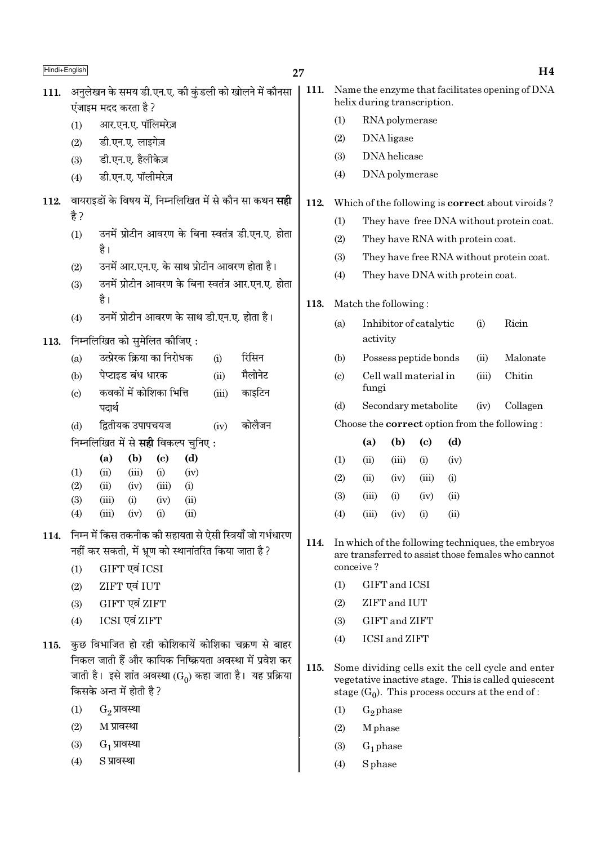| Hindi+English |                                                                                                                                                             | 27   |                            |                                                      |                             |      |       | H4                                                                                                       |
|---------------|-------------------------------------------------------------------------------------------------------------------------------------------------------------|------|----------------------------|------------------------------------------------------|-----------------------------|------|-------|----------------------------------------------------------------------------------------------------------|
| 111.          | अनुलेखन के समय डी.एन.ए. की कुंडली को खोलने में कौनसा<br>एंजाइम मदद करता है ?                                                                                | 111. |                            | helix during transcription.                          |                             |      |       | Name the enzyme that facilitates opening of DNA                                                          |
|               | आर.एन.ए. पॉलिमरेज़<br>(1)                                                                                                                                   |      | (1)                        | RNA polymerase                                       |                             |      |       |                                                                                                          |
|               | डी.एन.ए. लाइगेज़<br>(2)                                                                                                                                     |      | (2)                        | DNA ligase                                           |                             |      |       |                                                                                                          |
|               | डी.एन.ए. हैलीकेज़<br>(3)                                                                                                                                    |      | (3)                        | DNA helicase                                         |                             |      |       |                                                                                                          |
|               | डी.एन.ए. पॉलीमरेज़<br>(4)                                                                                                                                   |      | (4)                        | DNA polymerase                                       |                             |      |       |                                                                                                          |
| 112.          | वायराइडों के विषय में, निम्नलिखित में से कौन सा कथन <b>सही</b>                                                                                              | 112. |                            |                                                      |                             |      |       | Which of the following is <b>correct</b> about viroids?                                                  |
|               | है ?                                                                                                                                                        |      | (1)                        |                                                      |                             |      |       | They have free DNA without protein coat.                                                                 |
|               | उनमें प्रोटीन आवरण के बिना स्वतंत्र डी.एन.ए. होता<br>(1)                                                                                                    |      | (2)                        | They have RNA with protein coat.                     |                             |      |       |                                                                                                          |
|               | है।                                                                                                                                                         |      | (3)                        |                                                      |                             |      |       | They have free RNA without protein coat.                                                                 |
|               | उनमें आर.एन.ए. के साथ प्रोटीन आवरण होता है।<br>(2)                                                                                                          |      | (4)                        | They have DNA with protein coat.                     |                             |      |       |                                                                                                          |
|               | उनमें प्रोटीन आवरण के बिना स्वतंत्र आर.एन.ए. होता<br>(3)<br>है।                                                                                             |      |                            |                                                      |                             |      |       |                                                                                                          |
|               | उनमें प्रोटीन आवरण के साथ डी.एन.ए. होता है।<br>(4)                                                                                                          | 113. |                            | Match the following:                                 |                             |      |       |                                                                                                          |
| 113.          | निम्नलिखित को सुमेलित कीजिए:                                                                                                                                |      | (a)                        | Inhibitor of catalytic<br>activity                   |                             |      | (i)   | Ricin                                                                                                    |
|               | उत्प्रेरक क्रिया का निरोधक<br>रिसिन<br>(a)<br>(i)                                                                                                           |      | (b)                        | Possess peptide bonds                                |                             |      | (ii)  | Malonate                                                                                                 |
|               | मैलोनेट<br>पेप्टाइड बंध धारक<br>(b)<br>(ii)                                                                                                                 |      | $\left( \mathrm{c}\right)$ | Cell wall material in                                |                             |      | (iii) | Chitin                                                                                                   |
|               | कवकों में कोशिका भित्ति<br>काइटिन<br>(c)<br>(iii)                                                                                                           |      |                            | fungi                                                |                             |      |       |                                                                                                          |
|               | पदार्थ                                                                                                                                                      |      | (d)                        | Secondary metabolite                                 |                             |      | (iv)  | Collagen                                                                                                 |
|               | कोलैजन<br>द्वितीयक उपापचयज<br>(d)<br>(iv)                                                                                                                   |      |                            | Choose the <b>correct</b> option from the following: |                             |      |       |                                                                                                          |
|               | निम्नलिखित में से <b>सही</b> विकल्प चुनिए:                                                                                                                  |      |                            | (b)<br>(a)                                           | $\left( \mathbf{c} \right)$ | (d)  |       |                                                                                                          |
|               | (a)<br>(b)<br>$\left( \mathrm{c}\right)$<br>(d)                                                                                                             |      | (1)                        | (ii)<br>(iii)                                        | (i)                         | (iv) |       |                                                                                                          |
|               | (iii)<br>(iv)<br>(1)<br>(ii)<br>(i)<br>(2)<br>(ii)<br>(iv)<br>(i)<br>(iii)                                                                                  |      | (2)                        | (ii)<br>(iv)                                         | (iii)                       | (i)  |       |                                                                                                          |
|               | (iv)<br>(ii)<br>(3)<br>(iii)<br>(i)                                                                                                                         |      | (3)                        | (iii)<br>(i)                                         | (iv)                        | (ii) |       |                                                                                                          |
|               | (4)<br>(iii)<br>(ii)<br>(iv)<br>(i)                                                                                                                         |      | (4)                        | (iii)<br>(iv)                                        | (i)                         | (ii) |       |                                                                                                          |
| 114.          | निम्न में किस तकनीक की सहायता से ऐसी स्त्रियाँ जो गर्भधारण<br>नहीं कर सकती, में भ्रूण को स्थानांतरित किया जाता है ?<br>GIFT एवं ICSI<br>(1)                 | 114. | conceive?                  |                                                      |                             |      |       | In which of the following techniques, the embryos<br>are transferred to assist those females who cannot  |
|               | ZIFT एवं IUT<br>(2)                                                                                                                                         |      | (1)                        | GIFT and ICSI                                        |                             |      |       |                                                                                                          |
|               | GIFT एवं ZIFT<br>(3)                                                                                                                                        |      | (2)                        | ZIFT and IUT                                         |                             |      |       |                                                                                                          |
|               | ICSI एवं ZIFT<br>(4)                                                                                                                                        |      | (3)                        | GIFT and ZIFT                                        |                             |      |       |                                                                                                          |
| 115.          | कुछ विभाजित हो रही कोशिकायें कोशिका चक्रण से बाहर                                                                                                           |      | (4)                        | <b>ICSI</b> and <b>ZIFT</b>                          |                             |      |       |                                                                                                          |
|               | निकल जाती हैं और कायिक निष्क्रियता अवस्था में प्रवेश कर<br>जाती है। इसे शांत अवस्था (G <sub>0</sub> ) कहा जाता है। यह प्रक्रिया<br>किसके अन्त में होती है ? | 115. |                            | stage $(G_0)$ . This process occurs at the end of :  |                             |      |       | Some dividing cells exit the cell cycle and enter<br>vegetative inactive stage. This is called quiescent |
|               | $G_2$ प्रावस्था<br>(1)                                                                                                                                      |      | (1)                        | $G_2$ phase                                          |                             |      |       |                                                                                                          |

M phase

 $G_1$  phase

 $S$  phase

 $(2)$ 

 $(3)$ 

 $(4)$ 

 $H4$ 

- $\mathrm{G}_2$  प्रावस्था
- $(2)$  $M$  प्रावस्था
- $\mathrm{G}_1$  प्रावस्था  $(3)$
- S प्रावस्था  $(4)$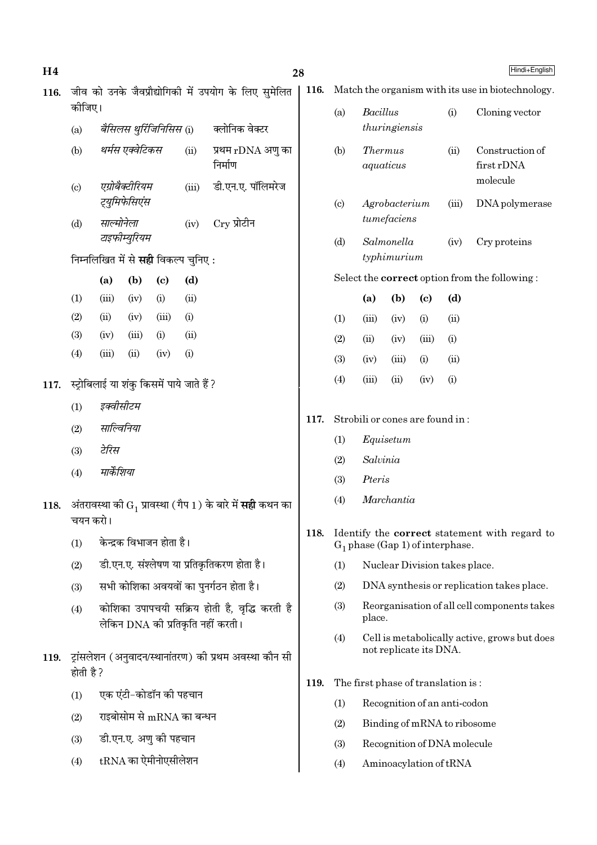| जीव को उनके जैवप्रौद्योगिकी में उपयोग के लिए सुमेलित<br>116.<br>कीजिए। |                            |                                                   |                                  |                            |      |                                                                                        |  |  |  |
|------------------------------------------------------------------------|----------------------------|---------------------------------------------------|----------------------------------|----------------------------|------|----------------------------------------------------------------------------------------|--|--|--|
|                                                                        | (a)                        |                                                   |                                  |                            |      | <i>बैसिलस थुर्रिजिनिसिस</i> (i) क्लोनिक वेक्टर                                         |  |  |  |
|                                                                        | (b)                        |                                                   | थर्मस एक्वेटिकस                  |                            | (ii) | प्रथम rDNA अणु का<br>निर्माण                                                           |  |  |  |
|                                                                        | $\left( \mathrm{c}\right)$ |                                                   | एग्रोबैक्टीरियम<br>ट्युमिफेसिएंस |                            |      | (iii) डी.एन.ए. पॉलिमरेज                                                                |  |  |  |
|                                                                        | (d)                        | साल्मोनेला                                        | टाइफीम्युरियम                    |                            |      | (iv) Cry प्रोटीन                                                                       |  |  |  |
|                                                                        |                            | निम्नलिखित में से <b>सही</b> विकल्प चुनिए :       |                                  |                            |      |                                                                                        |  |  |  |
|                                                                        |                            | (a)                                               | (b)                              | $\left( \mathrm{e}\right)$ | (d)  |                                                                                        |  |  |  |
|                                                                        | (1)                        |                                                   |                                  | $(iii)$ $(iv)$ $(i)$       | (ii) |                                                                                        |  |  |  |
|                                                                        |                            |                                                   |                                  | (2) (ii) (iv) (iii) (i)    |      |                                                                                        |  |  |  |
|                                                                        |                            |                                                   |                                  | (3) (iv) (iii) (i) (ii)    |      |                                                                                        |  |  |  |
|                                                                        | (4)                        |                                                   | $(iii)$ $(ii)$                   | $(iv)$ (i)                 |      |                                                                                        |  |  |  |
|                                                                        |                            | 117.   स्ट्रोबिलाई या शंकु किसमें पाये जाते हैं ? |                                  |                            |      |                                                                                        |  |  |  |
|                                                                        | (1)                        | इक्वीसीटम                                         |                                  |                            |      |                                                                                        |  |  |  |
|                                                                        | (2)                        | साल्विनिया                                        |                                  |                            |      |                                                                                        |  |  |  |
|                                                                        |                            | (3) टेरिस                                         |                                  |                            |      |                                                                                        |  |  |  |
|                                                                        | (4)                        | मार्केशिया                                        |                                  |                            |      |                                                                                        |  |  |  |
|                                                                        | चयन करो।                   |                                                   |                                  |                            |      | 118.    अंतरावस्था की G <sub>1</sub> प्रावस्था ( गैप 1 ) के बारे में <b>सही</b> कथन का |  |  |  |
|                                                                        | (1)                        |                                                   |                                  | केन्द्रक विभाजन होता है।   |      |                                                                                        |  |  |  |
|                                                                        | (2)                        |                                                   |                                  |                            |      | डी.एन.ए. संश्लेषण या प्रतिकृतिकरण होता है।                                             |  |  |  |
|                                                                        | (3)                        |                                                   |                                  |                            |      | सभी कोशिका अवयवों का पुनर्गठन होता है।                                                 |  |  |  |
|                                                                        | (4)                        |                                                   |                                  |                            |      | कोशिका उपापचयी सक्रिय होती है, वृद्धि करती है<br>लेकिन DNA की प्रतिकृति नहीं करती।     |  |  |  |
| 119.                                                                   | होती है ?                  |                                                   |                                  |                            |      | ट्रांसलेशन (अनुवादन/स्थानांतरण) की प्रथम अवस्था कौन सी                                 |  |  |  |
|                                                                        | (1)                        |                                                   |                                  | एक एंटी-कोडॉन की पहचान     |      |                                                                                        |  |  |  |
|                                                                        | (2)                        |                                                   |                                  | राइबोसोम से mRNA का बन्धन  |      |                                                                                        |  |  |  |
|                                                                        | (3)                        |                                                   |                                  | डी.एन.ए. अणु की पहचान      |      |                                                                                        |  |  |  |

tRNA का ऐमीनोएसीलेशन  $(4)$ 

28

- 116. Match the organism with its use in biotechnology.
	- $(a)$ Bacillus  $(i)$ Cloning vector thuringiensis
	- $(b)$ *Thermus* Construction of  $(ii)$ first rDNA aquaticus molecule
	- $(c)$ Agrobacterium  $(iii)$ DNA polymerase tumefaciens
	- $(d)$ Salmonella  $(iv)$ Cry proteins typhimurium

Select the **correct** option from the following:

|                   | (a)   | (b)        | (c)   | (d)               |
|-------------------|-------|------------|-------|-------------------|
| (1)               | (iii) | (iv)       | (i)   | (ii)              |
| (2)               | (ii)  | (iv)       | (iii) | (i)               |
| (3)               | (iv)  | (iii)      | (i)   | (ii)              |
| $\left( 4\right)$ | (iii) | $\rm (ii)$ | (iv)  | $\left( 1\right)$ |

- Strobili or cones are found in: 117.
	- $(1)$ Equisetum
	- $(2)$ Salvinia
	- $(3)$ Pteris

- Marchantia  $(4)$
- 118. Identify the correct statement with regard to  $G_1$  phase (Gap 1) of interphase.
	- $(1)$ Nuclear Division takes place.
	- $(2)$ DNA synthesis or replication takes place.
	- $(3)$ Reorganisation of all cell components takes place.
	- $(4)$ Cell is metabolically active, grows but does not replicate its DNA.
- 119. The first phase of translation is:
	- $(1)$ Recognition of an anti-codon
	- $(2)$ Binding of mRNA to ribosome
	- $(3)$ Recognition of DNA molecule
	- $(4)$ Aminoacylation of tRNA

Hindi+English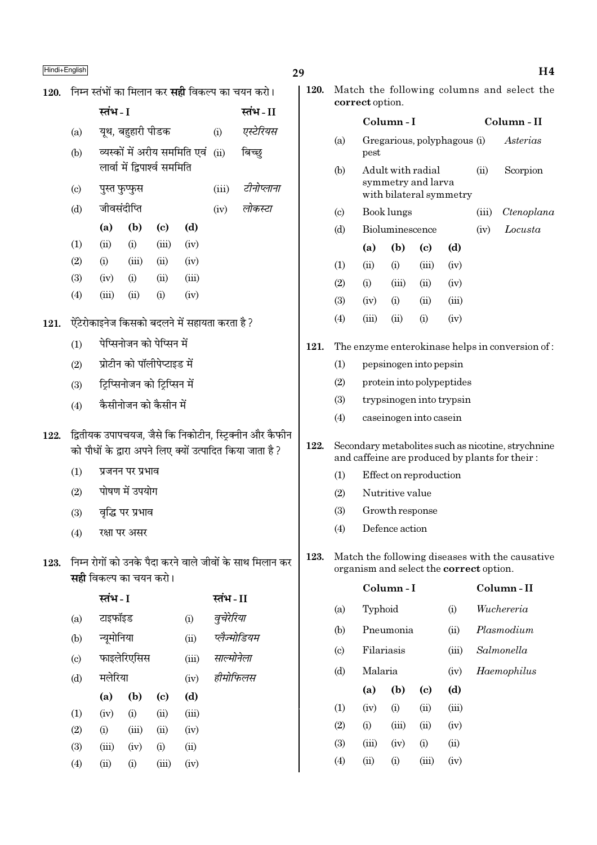| Hindi+English |
|---------------|
|---------------|

120. निम्न स्तंभों का मिलान कर **सही** विकल्प का चयन करो।

|      |                             | स्तंभ - I     |                   |                               |                                               |            | स्तंभ - II                                                                                                           |
|------|-----------------------------|---------------|-------------------|-------------------------------|-----------------------------------------------|------------|----------------------------------------------------------------------------------------------------------------------|
|      | (a)                         |               | यूथ, बहुहारी पीडक |                               |                                               | (i)        | एस्टेरियस                                                                                                            |
|      | (b)                         |               |                   |                               | व्यस्कों में अरीय सममिति एवं                  | (ii)       | बिच्छ्                                                                                                               |
|      |                             |               |                   | लार्वा में द्विपार्श्व सममिति |                                               |            |                                                                                                                      |
|      | $\left( \mathrm{c} \right)$ | पुस्त फुप्फुस |                   |                               | (iii)                                         | टीनोप्लाना |                                                                                                                      |
|      | (d)                         | जीवसंदीप्ति   |                   |                               | (iv)                                          | लोकस्टा    |                                                                                                                      |
|      |                             | (a)           | (b)               | (c)                           | (d)                                           |            |                                                                                                                      |
|      | (1)                         | (ii)          | (i)               | (iii)                         | (iv)                                          |            |                                                                                                                      |
|      | (2)                         | (i)           | (iii)             | (ii)                          | (iv)                                          |            |                                                                                                                      |
|      | (3)                         | (iv)          | (i)               | (ii)                          | (iii)                                         |            |                                                                                                                      |
|      | (4)                         | (iii)         | (ii)              | (i)                           | (iv)                                          |            |                                                                                                                      |
| 121. |                             |               |                   |                               | ऐंटेरोकाइनेज किसको बदलने में सहायता करता है ? |            |                                                                                                                      |
|      | (1)                         |               |                   | पेप्सिनोजन को पेप्सिन में     |                                               |            |                                                                                                                      |
|      | (2)                         |               |                   | प्रोटीन को पॉलीपेप्टाइड में   |                                               |            |                                                                                                                      |
|      | (3)                         |               |                   | ट्रिप्सिनोजन को ट्रिप्सिन में |                                               |            |                                                                                                                      |
|      | (4)                         |               |                   | कैसीनोजन को कैसीन में         |                                               |            |                                                                                                                      |
| 122. |                             |               |                   |                               |                                               |            | द्वितीयक उपापचयज, जैसे कि निकोटीन, स्ट्रिक्नीन और कैफीन<br>को पौधों के द्वारा अपने लिए क्यों उत्पादित किया जाता है ? |
|      | (1)                         |               | प्रजनन पर प्रभाव  |                               |                                               |            |                                                                                                                      |

- पोषण में उपयोग  $(2)$
- वृद्धि पर प्रभाव  $(3)$
- रक्षा पर असर  $(4)$
- 123. निम्न रोगों को उनके पैदा करने वाले जीवों के साथ मिलान कर **सही** विकल्प का चयन करो।

|                             | स्तंभ - I  |             |                            |       | स्तंभ - II   |
|-----------------------------|------------|-------------|----------------------------|-------|--------------|
| $\left(\mathrm{a}\right)$   | टाइफॉइड    |             |                            | (i)   | वुचेरेरिया   |
| (b)                         | न्यूमोनिया |             |                            | (ii)  | प्लैज्मोडियम |
| $\left( \mathrm{c} \right)$ |            | फाइलेरिएसिस |                            | (iii) | साल्मोनेला   |
| (d)                         | मलेरिया    |             |                            | (iv)  | हीमोफिलस     |
|                             | (a)        | (b)         | $\left( \mathrm{e}\right)$ | (d)   |              |
| $\left(1\right)$            | (iv)       | (i)         | (ii)                       | (iii) |              |
| (2)                         | (i)        | (iii)       | (ii)                       | (iv)  |              |
| (3)                         | (iii)      | (iv)        | (i)                        | (ii)  |              |
| $\left( 4\right)$           | (ii)       | (i)         | (iii)                      | (iv)  |              |

|                 | 120. Match the following columns and select the |  |  |
|-----------------|-------------------------------------------------|--|--|
| correct option. |                                                 |  |  |

29

121.

|                             |       | Column - I        |                                               |       | Column - II |                                                 |  |  |
|-----------------------------|-------|-------------------|-----------------------------------------------|-------|-------------|-------------------------------------------------|--|--|
| (a)                         | pest  |                   | Gregarious, polyphagous (i)                   |       | Asterias    |                                                 |  |  |
| (b)                         |       | Adult with radial | symmetry and larva<br>with bilateral symmetry | (ii)  | Scorpion    |                                                 |  |  |
| $\left( \mathrm{c} \right)$ |       | Book lungs        |                                               | (iii) | Ctenoplana  |                                                 |  |  |
| (d)                         |       | Bioluminescence   |                                               |       | (iv)        | Locusta                                         |  |  |
|                             | (a)   | (b)               | (c)                                           | (d)   |             |                                                 |  |  |
| (1)                         | (ii)  | (i)               | (iii)                                         | (iv)  |             |                                                 |  |  |
| (2)                         | (i)   | (iii)             | (ii)                                          | (iv)  |             |                                                 |  |  |
| (3)                         | (iv)  | (i)               | (ii)                                          | (iii) |             |                                                 |  |  |
| (4)                         | (iii) | $\sin$            | (i)                                           | (iv)  |             |                                                 |  |  |
|                             |       |                   |                                               |       |             | The enzyme enterokinase helps in conversion of: |  |  |

- $(1)$ pepsinogen into pepsin
- $(2)$ protein into polypeptides
- $(3)$ trypsinogen into trypsin
- caseinogen into casein  $(4)$
- 122. Secondary metabolites such as nicotine, strychnine and caffeine are produced by plants for their:
	- Effect on reproduction  $(1)$
	- $(2)$ Nutritive value
	- $(3)$ Growth response
	- Defence action  $(4)$
- 123. Match the following diseases with the causative organism and select the **correct** option.

|                             |            | Column - I | Column - II |       |             |
|-----------------------------|------------|------------|-------------|-------|-------------|
| (a)                         | Typhoid    |            |             | (i)   | Wuchereria  |
| (b)                         |            | Pneumonia  |             | (ii)  | Plasmodium  |
| $\left( \mathrm{c} \right)$ | Filariasis |            |             | (iii) | Salmonella  |
| (d)                         | Malaria    |            |             | (iv)  | Haemophilus |
|                             | (a)        | (b)        | (c)         | (d)   |             |
| (1)                         | (iv)       | (i)        | (ii)        | (iii) |             |
| (2)                         | (i)        | (iii)      | (ii)        | (iv)  |             |
| (3)                         | (iii)      | (iv)       | (i)         | (ii)  |             |
| (4)                         | (ii)       | (i)        | (iii)       | (iv)  |             |
|                             |            |            |             |       |             |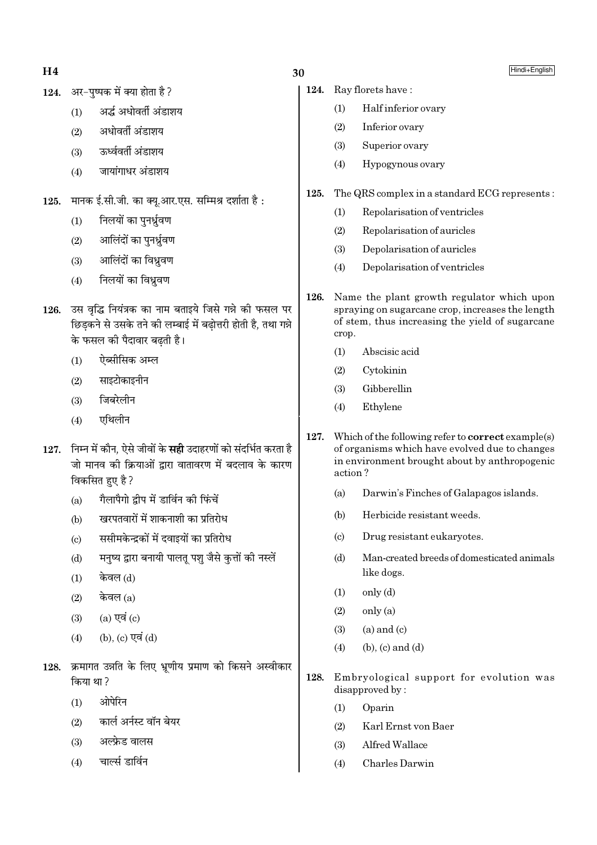$H<sub>4</sub>$ 

124. अर-पष्पक में क्या होता है ?

- अर्द्ध अधोवर्ती अंडाशय  $(1)$
- अधोवर्ती अंडाशय  $(2)$
- ऊर्ध्ववर्ती अंडाशय  $(3)$
- जायांगाधर अंडाशय  $(4)$
- मानक ई.सी.जी. का क्यु.आर.एस. सम्मिश्र दर्शाता है: 125.
	- निलयों का पनर्ध्रवण  $(1)$
	- आलिंदों का पुनर्ध्रुवण  $(2)$
	- आलिंदों का विध्रवण  $(3)$
	- निलयों का विध्रवण  $(4)$
- 126. उस वृद्धि नियंत्रक का नाम बताइये जिसे गन्ने की फसल पर छिडकने से उसके तने की लम्बाई में बढोत्तरी होती है. तथा गन्ने के फसल की पैदावार बढ़ती है।
	- ऐब्सीसिक अम्ल  $(1)$
	- साइटोकाइनीन  $(2)$
	- जिबरेलीन  $(3)$
	- एथिलीन  $(4)$
- 127. निम्न में कौन, ऐसे जीवों के सही उदाहरणों को संदर्भित करता है जो मानव की क्रियाओं द्वारा वातावरण में बदलाव के कारण विकसित हुए है ?
	- गैलापैगो द्वीप में डार्विन की फिंचें  $(a)$
	- खरपतवारों में शाकनाशी का प्रतिरोध  $(h)$
	- ससीमकेन्द्रकों में दवाइयों का प्रतिरोध  $(c)$
	- मनृष्य द्वारा बनायी पालत पशु जैसे कृतों की नस्लें  $(d)$
	- केवल (d)  $(1)$
	- केवल (a)  $(2)$
	- $(a)$  एवं  $(c)$  $(3)$
	- (b), (c) एवं (d)  $(4)$
- 128. क्रमागत उन्नति के लिए भ्रणीय प्रमाण को किसने अस्वीकार किया था?
	- ओपेरिन  $(1)$
	- कार्ल अर्नस्ट वॉन बेयर  $(2)$
	- $(3)$ अल्फ्रेड वालस
	- चार्ल्स डार्विन  $(4)$

# 30

- $124.$ Ray florets have:
	- $(1)$ Half inferior ovary
	- $(2)$ Inferior ovary
	- $(3)$ Superior ovary
	- $(4)$ Hypogynous ovary
- 125. The QRS complex in a standard ECG represents:
	- Repolarisation of ventricles  $(1)$
	- $(2)$ Repolarisation of auricles
	- $(3)$ Depolarisation of auricles
	- $(4)$ Depolarisation of ventricles
- 126. Name the plant growth regulator which upon spraying on sugarcane crop, increases the length of stem, thus increasing the yield of sugarcane crop.
	- Abscisic acid  $(1)$
	- Cvtokinin  $(2)$
	- $(3)$ Gibberellin
	- Ethylene  $(4)$
- 127. Which of the following refer to  $correct$  example(s) of organisms which have evolved due to changes in environment brought about by anthropogenic action?
	- Darwin's Finches of Galapagos islands.  $(a)$
	- $(h)$ Herbicide resistant weeds.
	- $\left( \mathrm{e}\right)$ Drug resistant eukarvotes.
	- $(d)$ Man-created breeds of domesticated animals like dogs.
	- $(1)$ only (d)
	- $\text{only}(\text{a})$  $(2)$
	- $(a)$  and  $(c)$  $(3)$
	- $(b)$ ,  $(c)$  and  $(d)$  $(4)$
- 128. Embryological support for evolution was disapproved by:
	- $(1)$ Oparin
	- $(2)$ Karl Ernst von Baer
	- $(3)$ Alfred Wallace
	- Charles Darwin  $(4)$

Hindi+English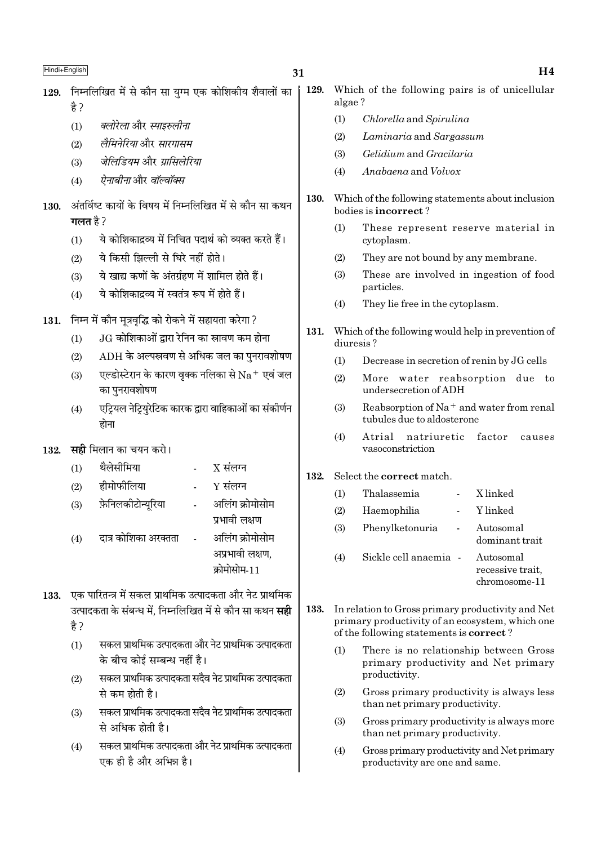- 129. निम्नलिखित में से कौन सा यग्म एक कोशिकीय शैवालों का  $\frac{4}{5}$ 
	- क्लोरेला और स्पाइरुलीना  $(1)$
	- लैमिनेरिया और सारगासम  $(2)$
	- जेलिडियम और ग्रासिलेरिया  $(3)$
	- ऐनाबीनाओर वॉल्वॉक्स  $(4)$
- अंतर्विष्ट कार्यों के विषय में निम्नलिखित में से कौन सा कथन 130. गलत $\n <sup>3</sup>$ ?
	- ये कोशिकादव्य में निचित पदार्थ को व्यक्त करते हैं।  $(1)$
	- ये किसी झिल्ली से घिरे नहीं होते।  $(2)$
	- ये खाद्य कणों के अंतर्ग्रहण में शामिल होते हैं।  $(3)$
	- ये कोशिकाद्रव्य में स्वतंत्र रूप में होते हैं।  $(4)$
- 131. निम्न में कौन मूत्रवृद्धि को रोकने में सहायता करेगा ?
	- .IG कोशिकाओं द्वारा रेनिन का स्रावण कम होना  $(1)$
	- $ADH$  के अल्पस्रवण से अधिक जल का पुनरावशोषण  $(2)$
	- एल्डोस्टेरान के कारण वृक्क नलिका से  $\rm Na^+$  एवं जल  $(3)$ का पुनरावशोषण
	- एट्रियल नेट्रियरेटिक कारक द्वारा वाहिकाओं का संकीर्णन  $(4)$ होना
- **सही** मिलान का चयन करो। 132.
	- थैलेसीमिया  $X$  संलग्न  $(1)$
	- हीमोफीलिया  $Y$  संलग्न  $(2)$
	- फ़ेनिलकीटोन्यरिया अलिंग क्रोमोसोम  $(3)$ 
		- प्रभावी लक्षण
	- अलिंग क्रोमोसोम दात्र कोशिका अरक्तता  $(4)$ अप्रभावी लक्षण, कोमोसोम-11
- 133. एक पारितन्त्र में सकल प्राथमिक उत्पादकता और नेट प्राथमिक उत्पादकता के संबन्ध में. निम्नलिखित में से कौन सा कथन **सही** है ?
	- सकल प्राथमिक उत्पादकता और नेट प्राथमिक उत्पादकता  $(1)$ के बीच कोई सम्बन्ध नहीं है।
	- सकल प्राथमिक उत्पादकता सदैव नेट प्राथमिक उत्पादकता  $(2)$ से कम होती है।
	- सकल प्राथमिक उत्पादकता सदैव नेट प्राथमिक उत्पादकता  $(3)$ से अधिक होती है।
	- सकल प्राथमिक उत्पादकता और नेट प्राथमिक उत्पादकता  $(4)$ एक ही है और अभिन्न है।
- 129. Which of the following pairs is of unicellular algae?
	- Chlorella and Spirulina  $(1)$
	- $(2)$ Laminaria and Sargassum
	- Gelidium and Gracilaria  $(3)$
	- Anabaena and Volvox  $(4)$
- 130. Which of the following statements about inclusion bodies is incorrect?
	- $(1)$ These represent reserve material in cytoplasm.
	- They are not bound by any membrane.  $(2)$
	- $(3)$ These are involved in ingestion of food particles.
	- $(4)$ They lie free in the cytoplasm.
- 131. Which of the following would help in prevention of diuresis?
	- $(1)$ Decrease in secretion of renin by JG cells
	- More water reabsorption due to  $(2)$ undersecretion of ADH
	- Reabsorption of Na<sup>+</sup> and water from renal  $(3)$ tubules due to aldosterone
	- $(4)$ Atrial natriuretic factor  $0.911808$ vasoconstriction

#### 132. Select the correct match.

| (1) | Thalassemia           | X linked                                       |
|-----|-----------------------|------------------------------------------------|
| (2) | Haemophilia           | Y linked                                       |
| (3) | Phenylketonuria       | Autosomal<br>dominant trait                    |
| (4) | Sickle cell anaemia - | Autosomal<br>recessive trait,<br>chromosome-11 |

- 133. In relation to Gross primary productivity and Net primary productivity of an ecosystem, which one of the following statements is **correct**?
	- $(1)$ There is no relationship between Gross primary productivity and Net primary productivity.
	- $(2)$ Gross primary productivity is always less than net primary productivity.
	- $(3)$ Gross primary productivity is always more than net primary productivity.
	- $(4)$ Gross primary productivity and Net primary productivity are one and same.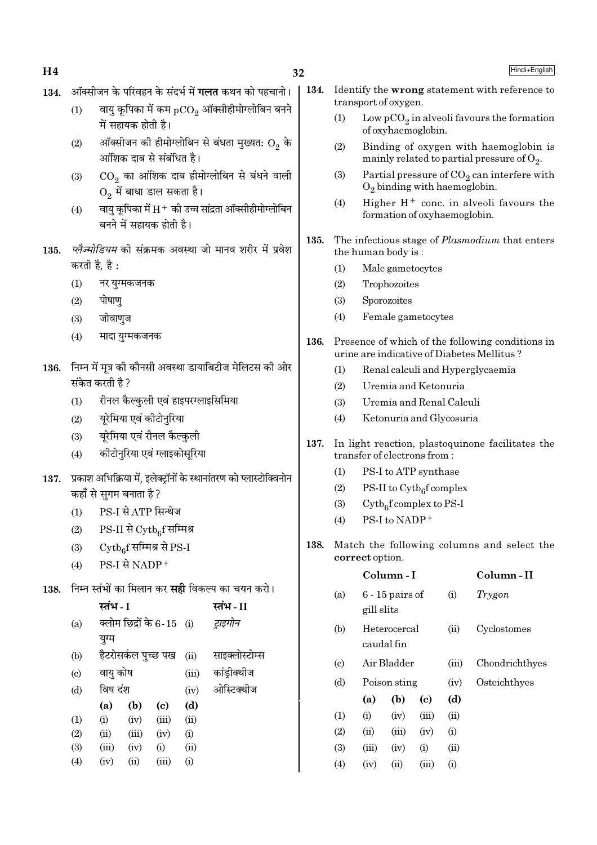- ऑक्सीजन के परिवहन के संदर्भ में **गलत** कथन को पहचानो। 134.
	- वायु कूपिका में कम  ${_{\rm pCO_2}}$  ऑक्सीहीमोग्लोबिन बनने  $(1)$ में सहायक होती है।
	- ऑक्सीजन की हीमोग्लोबिन से बंधता मुख्यत:  $\mathrm{O}_2$  के  $(2)$ आंशिक दाब से संबंधित है।
	- $CO<sub>2</sub>$  का आंशिक दाब हीमोग्लोबिन से बंधने वाली  $(3)$  $O<sub>2</sub>$  में बाधा डाल सकता है।
	- वायु कूपिका में  $\rm H^+$  की उच्च सांद्रता ऑक्सीहीमोग्लोबिन  $(4)$ बनने में सहायक होती है।
- *प्लेज्मोडियम* की संक्रमक अवस्था जो मानव शरीर में प्रवेश 135. करती है. है:
	- नर यग्मकजनक  $(1)$
	- $(2)$ पोषाण
	- $(3)$ जीवाणज
	- मादा युग्मकजनक  $(4)$
- 136. निम्न में मृत्र की कौनसी अवस्था डायाबिटीज मेलिटस की ओर संकेत करती है ?
	- $(1)$ रीनल कैल्कुली एवं हाइपरग्लाइसिमिया
	- यूरेमिया एवं कीटोनुरिया  $(2)$
	- यूरेमिया एवं रीनल कैल्कुली  $(3)$
	- कीटोनुरिया एवं ग्लाइकोसूरिया  $(4)$
- 137. प्रकाश अभिक्रिया में. इलेक्टॉनों के स्थानांतरण को प्लास्टोक्विनोन कहाँ से सुगम बनाता है ?
	- PS-I से ATP सिन्थेज  $(1)$
	- $PS-II$  से  $\mathrm{Cytb}_{6}$ र्सिमिश्र  $(2)$
	- $\mathrm{Cytb}_6$ f सम्मिश्र से PS-I  $(3)$
	- $PS-I$  से NADP<sup>+</sup>  $(4)$
- 138. निम्न स्तंभों का मिलान कर **सद्दी** विकल्प का चयन करो।

|     | स्तभ - I |                     |                            |       | स्तभ - II      |
|-----|----------|---------------------|----------------------------|-------|----------------|
| (a) |          |                     | क्लोम छिद्रों के 6-15 (i)  |       | ट्राइगोन       |
|     | युग्म    |                     |                            |       |                |
| (b) |          | हैटरोसर्कल पुच्छ पख |                            | (ii)  | साइक्लोस्टोम्स |
| (c) | वायु कोष |                     |                            | (iii) | कांड्रीक्थीज   |
| (d) | विष दंश  |                     |                            | (iv)  | ओस्टिक्थीज     |
|     | (a)      | (b)                 | $\left( \mathrm{e}\right)$ | (d)   |                |
| (1) | (i)      | (iv)                | (iii)                      | (ii)  |                |
| (2) | (ii)     | (iii)               | (iv)                       | (i)   |                |
| (3) | (iii)    | (iv)                | (i)                        | (ii)  |                |
| (4) | (iv)     | (ii)                | (iii)                      | (i)   |                |

- 134. Identify the wrong statement with reference to transport of oxygen.
	- $(1)$ Low  $pCO_2$  in alveoli favours the formation of oxyhaemoglobin.
	- $(2)$ Binding of oxygen with haemoglobin is mainly related to partial pressure of  $O_2$ .
	- $(3)$ Partial pressure of  $CO<sub>2</sub>$  can interfere with  $O_2$  binding with haemoglobin.
	- Higher  $H^+$  conc. in alveoli favours the  $(4)$ formation of oxyhaemoglobin.
- 135. The infectious stage of *Plasmodium* that enters the human body is:
	- $(1)$ Male gametocytes
	- $(2)$ Trophozoites
	- $(3)$ Sporozoites
	- $(4)$ Female gametocytes
- 136. Presence of which of the following conditions in urine are indicative of Diabetes Mellitus?
	- $(1)$ Renal calculi and Hyperglycaemia
	- $(2)$ Uremia and Ketonuria
	- $(3)$ Uremia and Renal Calculi
	- Ketonuria and Glycosuria  $(4)$
- 137. In light reaction, plastoquinone facilitates the transfer of electrons from:
	- PS-I to ATP synthase  $(1)$
	- PS-II to  $\mathrm{Cytb}_6$ f complex  $(2)$
	- $Cytb<sub>6</sub>f complex to PS-I$  $(3)$
	- PS-I to NADP+  $(4)$
- 138. Match the following columns and select the correct option.

|                            |            | Column - I                 |       |       | Column - II    |  |  |  |
|----------------------------|------------|----------------------------|-------|-------|----------------|--|--|--|
| (a)                        | gill slits | $6 - 15$ pairs of          |       | (i)   | Trygon         |  |  |  |
| (b)                        |            | Heterocercal<br>caudal fin |       | (ii)  | Cyclostomes    |  |  |  |
| $\left( \mathrm{c}\right)$ |            | Air Bladder                |       | (iii) | Chondrichthyes |  |  |  |
| (d)                        |            | Poison sting               |       | (iv)  | Osteichthyes   |  |  |  |
|                            | (a)        | (b)                        | (c)   | (d)   |                |  |  |  |
| (1)                        | (i)        | (iv)                       | (iii) | (ii)  |                |  |  |  |
| (2)                        | (ii)       | (iii)                      | (iv)  | (i)   |                |  |  |  |
| (3)                        | (iii)      | (iv)                       | (i)   | (ii)  |                |  |  |  |
| (4)                        | (iv)       | $\rm (ii)$                 | (iii) | (i)   |                |  |  |  |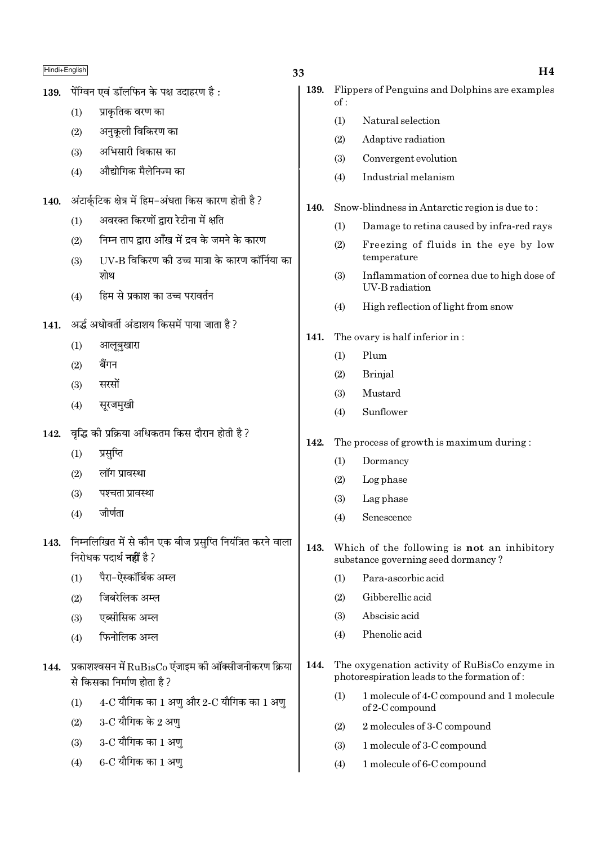पेंग्विन एवं डॉलफिन के पक्ष उदाहरण है: 139.

> प्राकृतिक वरण का  $(1)$

अनकली विकिरण का  $(2)$ 

- अभिसारी विकास का  $(3)$
- औद्योगिक मैलेनिज्म का  $(4)$
- अंटार्कटिक क्षेत्र में हिम-अंधता किस कारण होती है ? 140.
	- अवरक्त किरणों द्वारा रेटीना में क्षति  $(1)$
	- निम्न ताप द्वारा आँख में दव के जमने के कारण  $(2)$
	- UV-B विकिरण की उच्च मात्रा के कारण कॉर्निया का  $(3)$ शोथ
	- हिम से प्रकाश का उच्च परावर्तन  $(4)$
- 141. अर्द्ध अधोवर्ती अंडाशय किसमें पाया जाता है ?
	- आलूबुखारा  $(1)$
	- $(2)$ बैंगन
	- सरसों  $(3)$
	- सुरजमुखी  $(4)$
- वृद्धि की प्रक्रिया अधिकतम किस दौरान होती है ? 142.
	- $(1)$ प्रसुप्ति
	- लॉग प्रावस्था  $(2)$
	- पश्चता प्रावस्था  $(3)$
	- जीर्णता  $(4)$
- 143. निम्नलिखित में से कौन एक बीज प्रसुप्ति नियंत्रित करने वाला निरोधक पदार्थ **नहीं** है ?
	- पैरा-ऐस्कॉर्बिक अम्ल  $(1)$
	- जिबरेलिक अम्ल  $(2)$
	- एब्सीसिक अम्ल  $(3)$
	- फिनोलिक अम्ल  $(4)$
- 144. प्रकाशश्वसन में RuBisCo एंजाइम की ऑक्सीजनीकरण क्रिया से किसका निर्माण होता है ?
	- $4\text{-}C$  यौगिक का  $1$  अण और  $2\text{-}C$  यौगिक का  $1$  अण  $(1)$
	- $3$ -C यौगिक के 2 अण  $(2)$
	- 3-C यौगिक का 1 अण  $(3)$
	- $6$ - $C$  यौगिक का  $1$  अण्  $(4)$
- 139. Flippers of Penguins and Dolphins are examples  $of:$ 
	- $(1)$ Natural selection
	- $(2)$ Adaptive radiation
	- $(3)$ Convergent evolution
	- Industrial melanism  $(4)$
- $140.$ Snow-blindness in Antarctic region is due to:
	- $(1)$ Damage to retina caused by infra-red rays
	- Freezing of fluids in the eye by low  $(2)$ temperature
	- Inflammation of cornea due to high dose of  $(3)$ **UV-B** radiation
	- High reflection of light from snow  $(4)$
- The ovary is half inferior in:  $141.$ 
	- $(1)$ Plum
	- **Brinial**  $(2)$
	- Mustard  $(3)$
	- Sunflower  $(4)$
- The process of growth is maximum during: 142.
	- $(1)$ Dormancy
	- $(2)$ Log phase
	- $(3)$ Lag phase
	- Senescence  $(4)$
- $143.$ Which of the following is not an inhibitory substance governing seed dormancy?
	- Para-ascorbic acid  $(1)$
	- $(2)$ Gibberellic acid
	- Abscisic acid  $(3)$
	- Phenolic acid  $(4)$
- 144. The oxygenation activity of RuBisCo enzyme in photorespiration leads to the formation of:
	- $(1)$ 1 molecule of 4-C compound and 1 molecule of 2-C compound
	- 2 molecules of 3-C compound  $(2)$
	- $(3)$ 1 molecule of 3-C compound
	- $(4)$ 1 molecule of 6-C compound

 $H<sub>4</sub>$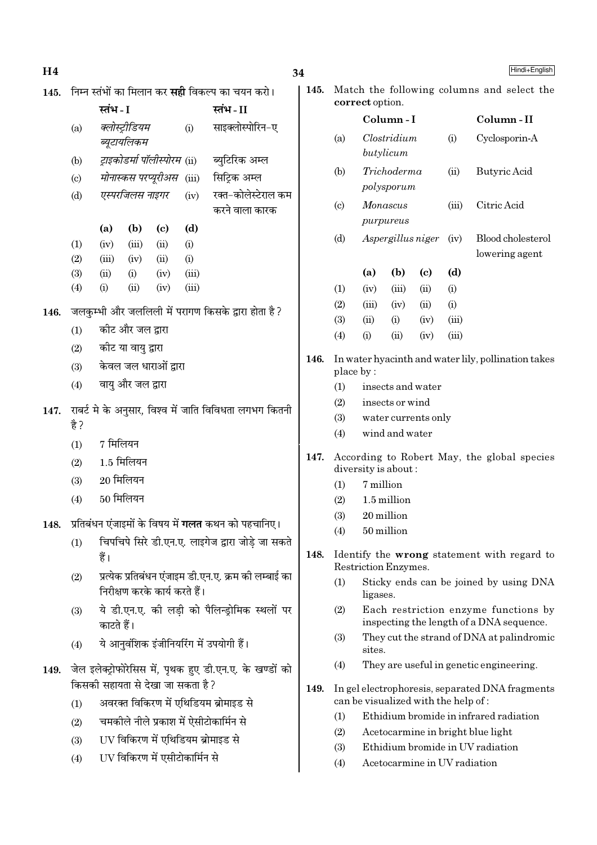| Η4   |                                                         |                                                        |                       |                                   |                |                                                           |  |  |
|------|---------------------------------------------------------|--------------------------------------------------------|-----------------------|-----------------------------------|----------------|-----------------------------------------------------------|--|--|
| 145. | निम्न स्तंभों का मिलान कर <b>सही</b> विकल्प का चयन करो। |                                                        |                       |                                   |                |                                                           |  |  |
|      |                                                         | स्तंभ - I                                              |                       |                                   |                | स्तंभ - II                                                |  |  |
|      | (a)                                                     |                                                        | क्लोस्ट्रीडियम        |                                   | (i)            | साइक्लोस्पोरिन-ए                                          |  |  |
|      |                                                         |                                                        | ब्यूटायलिकम           |                                   |                |                                                           |  |  |
|      | (b)                                                     |                                                        |                       |                                   |                | <i>ट्राइकोडर्मा पॉलीस्पोरम</i> (ii) ब्युटिरिक अम्ल        |  |  |
|      | (c)                                                     |                                                        |                       | मोनास्कस परप्यूरीअस (iii)         |                | सिट्रिक अम्ल                                              |  |  |
|      | (d)                                                     |                                                        | एस्परजिलस नाइगर       |                                   | (iv)           | रक्त-कोलेस्टेराल कम<br>करने वाला कारक                     |  |  |
|      |                                                         | (a)                                                    | (b)                   | (c)                               | (d)            |                                                           |  |  |
|      | (1)                                                     | (iv)                                                   | (iii)                 | (ii)                              | (i)            |                                                           |  |  |
|      | (2)                                                     |                                                        | $(iii)$ $(iv)$ $(ii)$ |                                   | (i)            |                                                           |  |  |
|      | (3)<br>(4)                                              | (ii)<br>(i)                                            | (i)<br>(ii)           | (iv)<br>(iv)                      | (iii)<br>(iii) |                                                           |  |  |
|      |                                                         |                                                        |                       |                                   |                |                                                           |  |  |
| 146. |                                                         |                                                        |                       |                                   |                | जलकुम्भी और जललिली में परागण किसके द्वारा होता है?        |  |  |
|      | (1)                                                     |                                                        | कीट और जल द्वारा      |                                   |                |                                                           |  |  |
|      | (2)                                                     |                                                        | कीट या वायु द्वारा    |                                   |                |                                                           |  |  |
|      | (3)                                                     |                                                        |                       | केवल जल धाराओं द्वारा             |                |                                                           |  |  |
|      | (4)                                                     | वायु और जल द्वारा                                      |                       |                                   |                |                                                           |  |  |
| 147. | है ?                                                    | राबर्ट मे के अनुसार, विश्व में जाति विविधता लगभग कितनी |                       |                                   |                |                                                           |  |  |
|      | (1)                                                     | 7 मिलियन                                               |                       |                                   |                |                                                           |  |  |
|      | (2)                                                     | $1.5$ मिलियन                                           |                       |                                   |                |                                                           |  |  |
|      | (3)                                                     | $20$ मिलियन                                            |                       |                                   |                |                                                           |  |  |
|      | (4)                                                     | 50 मिलियन                                              |                       |                                   |                |                                                           |  |  |
| 148. |                                                         |                                                        |                       |                                   |                | प्रतिबंधन एंजाइमों के विषय में <b>गलत</b> कथन को पहचानिए। |  |  |
|      | (1)                                                     |                                                        |                       |                                   |                | चिपचिपे सिरे डी.एन.ए. लाइगेज द्वारा जोड़े जा सकते         |  |  |
|      |                                                         | हैं।                                                   |                       |                                   |                |                                                           |  |  |
|      | (2)                                                     |                                                        |                       |                                   |                | प्रत्येक प्रतिबंधन एंजाइम डी.एन.ए. क्रम की लम्बाई का      |  |  |
|      |                                                         |                                                        |                       | निरीक्षण करके कार्य करते हैं।     |                |                                                           |  |  |
|      | (3)                                                     | काटते हैं।                                             |                       |                                   |                | ये डी.एन.ए. की लड़ी को पैलिन्ड्रोमिक स्थलों पर            |  |  |
|      | (4)                                                     |                                                        |                       |                                   |                | ये आनुवंशिक इंजीनियरिंग में उपयोगी हैं।                   |  |  |
| 149. |                                                         |                                                        |                       |                                   |                | जेल इलेक्ट्रोफोरेसिस में, पृथक हुए डी.एन.ए. के खण्डों को  |  |  |
|      |                                                         |                                                        |                       | किसकी सहायता से देखा जा सकता है ? |                |                                                           |  |  |
|      | (1)                                                     |                                                        |                       |                                   |                | अवरक्त विकिरण में एथिडियम ब्रोमाइड से                     |  |  |
|      | (2)                                                     |                                                        |                       |                                   |                | चमकीले नीले प्रकाश में ऐसीटोकार्मिन से                    |  |  |
|      | (3)                                                     |                                                        |                       |                                   |                | UV विकिरण में एथिडियम ब्रोमाइड से                         |  |  |
|      | (4)                                                     |                                                        |                       | UV विकिरण में एसीटोकार्मिन से     |                |                                                           |  |  |
|      |                                                         |                                                        |                       |                                   |                |                                                           |  |  |

| Match the following columns and select the<br>145.<br>correct option. |                                                                  |          |                           |                   |       |                                     |  |  |
|-----------------------------------------------------------------------|------------------------------------------------------------------|----------|---------------------------|-------------------|-------|-------------------------------------|--|--|
|                                                                       |                                                                  |          | Column - I                |                   |       | Column-II                           |  |  |
|                                                                       | (a)                                                              |          | Clostridium<br>butylicum  |                   | (i)   | Cyclosporin-A                       |  |  |
|                                                                       | (b)                                                              |          | Trichoderma<br>polysporum |                   | (ii)  | Butyric Acid                        |  |  |
|                                                                       | $\left( \mathrm{c} \right)$                                      | Monascus | purpureus                 |                   | (iii) | Citric Acid                         |  |  |
|                                                                       | (d)                                                              |          | Aspergillus niger         |                   | (iv)  | Blood cholesterol<br>lowering agent |  |  |
|                                                                       |                                                                  | (a)      | (b)                       | (c)               | (d)   |                                     |  |  |
|                                                                       | (1)                                                              | (iv)     | (iii)                     | (ii)              | (i)   |                                     |  |  |
|                                                                       | (2)                                                              | (iii)    | (iv)                      | (ii)              | (i)   |                                     |  |  |
|                                                                       | (3)                                                              | (ii)     | (i)                       | (iv)              | (iii) |                                     |  |  |
|                                                                       | (4)                                                              | (i)      | (ii)                      | (iv)              | (iii) |                                     |  |  |
| 146.                                                                  | In water hyacinth and water lily, pollination takes<br>place by: |          |                           |                   |       |                                     |  |  |
|                                                                       | (1)                                                              |          |                           | insects and water |       |                                     |  |  |
|                                                                       | (2)                                                              |          | insects or wind           |                   |       |                                     |  |  |

- $(3)$ water currents only
- $(4)$ wind and water
- 147. According to Robert May, the global species diversity is about:
	- $(1)$ 7 million

34

- $(2)$ 1.5 million
- $(3)$ 20 million
- $(4)$ 50 million
- Identify the wrong statement with regard to 148. Restriction Enzymes.
	- $(1)$ Sticky ends can be joined by using DNA ligases.
	- $(2)$ Each restriction enzyme functions by inspecting the length of a DNA sequence.
	- $(3)$ They cut the strand of DNA at palindromic sites.
	- $(4)$ They are useful in genetic engineering.
- 149. In gel electrophoresis, separated DNA fragments can be visualized with the help of:
	- Ethidium bromide in infrared radiation  $(1)$
	- $(2)$ Acetocarmine in bright blue light
	- $(3)$ Ethidium bromide in UV radiation
	- $(4)$ Acetocarmine in UV radiation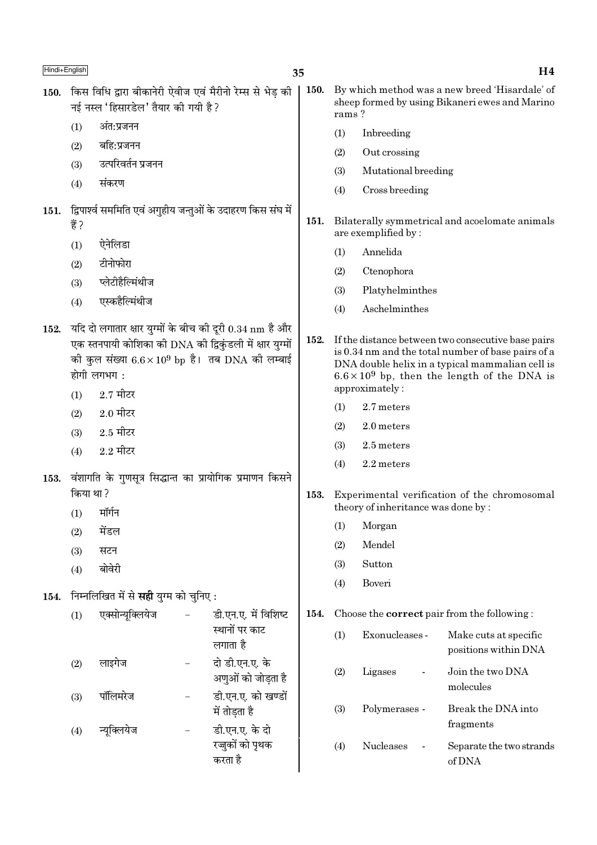| Hindi+English |            |                                                                  |                                                                                                                                                                                  | 35                                                          |             |                                              |                                                                                                                                                                                                                                                           | H <sub>4</sub>                                                                                   |  |
|---------------|------------|------------------------------------------------------------------|----------------------------------------------------------------------------------------------------------------------------------------------------------------------------------|-------------------------------------------------------------|-------------|----------------------------------------------|-----------------------------------------------------------------------------------------------------------------------------------------------------------------------------------------------------------------------------------------------------------|--------------------------------------------------------------------------------------------------|--|
| 150.          |            | नई नस्ल 'हिसारडेल' तैयार की गयी है?                              |                                                                                                                                                                                  | किस विधि द्वारा बीकानेरी ऐवीज एवं मैरीनो रेम्स से भेड़ की   | <b>150.</b> | rams?                                        |                                                                                                                                                                                                                                                           | By which method was a new breed 'Hisardale' of<br>sheep formed by using Bikaneri ewes and Marino |  |
|               | (1)        | अंत:प्रजनन                                                       |                                                                                                                                                                                  |                                                             |             | (1)                                          | Inbreeding                                                                                                                                                                                                                                                |                                                                                                  |  |
|               | (2)        | बहि:प्रजनन                                                       |                                                                                                                                                                                  |                                                             |             | (2)                                          | Out crossing                                                                                                                                                                                                                                              |                                                                                                  |  |
|               | (3)        | उत्परिवर्तन प्रजनन                                               |                                                                                                                                                                                  |                                                             |             | (3)                                          | Mutational breeding                                                                                                                                                                                                                                       |                                                                                                  |  |
|               | (4)        | संकरण                                                            |                                                                                                                                                                                  |                                                             |             | (4)                                          | Cross breeding                                                                                                                                                                                                                                            |                                                                                                  |  |
| 151.          | हैं ?      |                                                                  |                                                                                                                                                                                  | द्विपार्श्व सममिति एवं अगुहीय जन्तुओं के उदाहरण किस संघ में | 151.        |                                              | are exemplified by:                                                                                                                                                                                                                                       | Bilaterally symmetrical and acoelomate animals                                                   |  |
|               | (1)        | ऐनेलिडा                                                          |                                                                                                                                                                                  |                                                             |             | (1)                                          | Annelida                                                                                                                                                                                                                                                  |                                                                                                  |  |
|               | (2)        | टीनोफोरा                                                         |                                                                                                                                                                                  |                                                             |             | (2)                                          | Ctenophora                                                                                                                                                                                                                                                |                                                                                                  |  |
|               | (3)        | प्लेटीहैल्मिंथीज                                                 |                                                                                                                                                                                  |                                                             |             | (3)                                          | Platyhelminthes                                                                                                                                                                                                                                           |                                                                                                  |  |
|               | (4)        | एस्कहैल्मिंथीज                                                   |                                                                                                                                                                                  |                                                             |             | (4)                                          | Aschelminthes                                                                                                                                                                                                                                             |                                                                                                  |  |
| 152.          | (1)<br>(2) | होगी लगभग:<br>$2.7$ मीटर<br>$2.0$ मीटर                           | यदि दो लगातार क्षार युग्मों के बीच की दूरी 0.34 nm है और<br>एक स्तनपायी कोशिका की DNA की द्विकुंडली में क्षार युग्मों<br>की कुल संख्या $6.6 \times 10^9$ bp है। तब DNA की लम्बाई |                                                             |             |                                              | If the distance between two consecutive base pairs<br>is 0.34 nm and the total number of base pairs of a<br>DNA double helix in a typical mammalian cell is<br>$6.6 \times 10^9$ bp, then the length of the DNA is<br>approximately:<br>2.7 meters<br>(1) |                                                                                                  |  |
|               | (3)        | $2.5$ मीटर                                                       |                                                                                                                                                                                  |                                                             |             | (2)                                          | 2.0 meters                                                                                                                                                                                                                                                |                                                                                                  |  |
|               | (4)        | $2.2$ मीटर                                                       |                                                                                                                                                                                  |                                                             |             | (3)                                          | 2.5 meters                                                                                                                                                                                                                                                |                                                                                                  |  |
|               |            |                                                                  |                                                                                                                                                                                  |                                                             |             | (4)                                          | 2.2 meters                                                                                                                                                                                                                                                |                                                                                                  |  |
| 153.          | किया था ?  |                                                                  |                                                                                                                                                                                  | वंशागति के गुणसूत्र सिद्धान्त का प्रायोगिक प्रमाणन किसने    | 153.        | Experimental verification of the chromosomal |                                                                                                                                                                                                                                                           |                                                                                                  |  |
|               |            | $(1)$ मॉर्गन                                                     |                                                                                                                                                                                  |                                                             |             |                                              | theory of inheritance was done by:                                                                                                                                                                                                                        |                                                                                                  |  |
|               | (2)        | मेंडल                                                            |                                                                                                                                                                                  |                                                             |             | (1)                                          | Morgan                                                                                                                                                                                                                                                    |                                                                                                  |  |
|               | (3)        | सटन                                                              |                                                                                                                                                                                  |                                                             |             | (2)                                          | Mendel                                                                                                                                                                                                                                                    |                                                                                                  |  |
|               | (4)        | बोवेरी                                                           |                                                                                                                                                                                  |                                                             |             | (3)                                          | Sutton                                                                                                                                                                                                                                                    |                                                                                                  |  |
|               |            |                                                                  |                                                                                                                                                                                  |                                                             |             | (4)                                          | Boveri                                                                                                                                                                                                                                                    |                                                                                                  |  |
| 154.          | (1)        | निम्नलिखित में से <b>सही</b> युग्म को चुनिए:<br>एक्सोन्यूक्लियेज |                                                                                                                                                                                  | डी.एन.ए. में विशिष्ट<br>स्थानों पर काट                      | 154.        | (1)                                          | Exonucleases -                                                                                                                                                                                                                                            | Choose the <b>correct</b> pair from the following:<br>Make cuts at specific                      |  |
|               |            |                                                                  |                                                                                                                                                                                  | लगाता है                                                    |             |                                              |                                                                                                                                                                                                                                                           | positions within DNA                                                                             |  |
|               | (2)        | लाइगेज                                                           |                                                                                                                                                                                  | दो डी.एन.ए. के<br>अणुओं को जोड़ता है                        |             | (2)                                          | Ligases<br>$\overline{\phantom{a}}$                                                                                                                                                                                                                       | Join the two DNA<br>molecules                                                                    |  |
|               | (3)        | पॉलिमरेज                                                         | $\qquad \qquad -$                                                                                                                                                                | डी.एन.ए. को खण्डों<br>में तोड़ता है                         |             | (3)                                          | Polymerases -                                                                                                                                                                                                                                             | Break the DNA into<br>fragments                                                                  |  |
|               | (4)        | न्यूक्लियेज                                                      | $\qquad \qquad -$                                                                                                                                                                | डी.एन.ए. के दो<br>रज्जुकों को पृथक<br>करता है               |             | (4)                                          | Nucleases<br>$\overline{\phantom{a}}$                                                                                                                                                                                                                     | Separate the two strands<br>of DNA                                                               |  |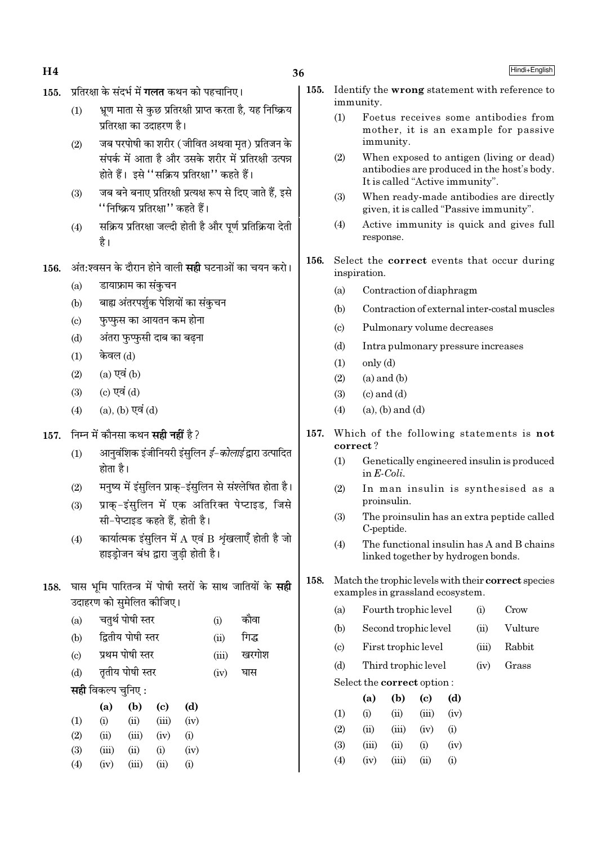$H<sub>4</sub>$ 

#### प्रतिरक्षा के संदर्भ में **गलत** कथन को पहचानिए।  $155.$

- भ्रण माता से कछ प्रतिरक्षी प्राप्त करता है. यह निष्क्रिय  $(1)$ प्रतिरक्षा का उदाहरण है।
- जब परपोषी का शरीर ( जीवित अथवा मत) प्रतिजन के  $(2)$ संपर्क में आता है और उसके शरीर में प्रतिरक्षी उत्पन्न होते हैं। इसे "सक्रिय प्रतिरक्षा" कहते हैं।
- जब बने बनाए प्रतिरक्षी प्रत्यक्ष रूप से दिए जाते हैं. इसे  $(3)$ ''निष्क्रिय प्रतिरक्षा'' कहते हैं।
- सक्रिय प्रतिरक्षा जल्दी होती है और पूर्ण प्रतिक्रिया देती  $(4)$ है।
- अंत:श्वसन के दौरान होने वाली **सही** घटनाओं का चयन करो। 156.
	- डायाफ्राम का संकचन  $(a)$
	- बाह्य अंतरपर्शुक पेशियों का संकुचन  $(b)$
	- फुप्फुस का आयतन कम होना  $(c)$
	- अंतरा फुप्फसी दाब का बढना  $(d)$
	- केवल (d)  $(1)$
	- $(a)$  एवं  $(b)$  $(2)$
	- $(c)$  एवं  $(d)$  $(3)$
	- $(4)$  $(a)$ ,  $(b)$  एवं  $(d)$
- 157. निम्न में कौनसा कथन सही नहीं है ?
	- आनवंशिक इंजीनियरी इंसलिन *ई-कोलाई* द्वारा उत्पादित  $(1)$ होता है।
	- मनृष्य में इंसुलिन प्राकु-इंसुलिन से संश्लेषित होता है।  $(2)$
	- प्राक-इंसलिन में एक अतिरिक्त पेप्टाइड, जिसे  $(3)$ सी-पेप्टाइड कहते हैं, होती है।
	- कार्यात्मक इंसलिन में  $A$  एवं  $B$  शृंखलाएँ होती है जो  $(4)$ हाइड़ोजन बंध द्वारा जुडी होती है।
- 158. घास भूमि पारितन्त्र में पोषी स्तरों के साथ जातियों के सही उदाहरण को समेलित कीजिए।
	- चतुर्थ पोषी स्तर कौवा  $(a)$  $(i)$ द्वितीय पोषी स्तर गिद्ध  $(b)$  $(ii)$
	- प्रथम पोषी स्तर  $(iii)$ खरगोश  $\left( \mathrm{e}\right)$
	- तृतीय पोषी स्तर  $(d)$  $(iv)$ घास
	- **सही** विकल्प चुनिए :

|     | (a)   | (b)                | (c)   | (d)      |
|-----|-------|--------------------|-------|----------|
| (1) | (i)   | $\dot{\mathbf{u}}$ | (iii) | (iv)     |
| (2) | (ii)  | (iii)              | (iv)  | $\rm(i)$ |
| (3) | (iii) | (ii)               | (i)   | (iv)     |
| (4) | (iv)  | (n)                | (11)  | (1)      |

- 155. Identify the **wrong** statement with reference to immunity.
	- $(1)$ Foetus receives some antibodies from mother, it is an example for passive immunity.
	- $(2)$ When exposed to antigen (living or dead) antibodies are produced in the host's body. It is called "Active immunity".
	- $(3)$ When ready-made antibodies are directly given, it is called "Passive immunity".
	- Active immunity is quick and gives full  $(4)$ response.
- 156. Select the **correct** events that occur during inspiration.
	- $(a)$ Contraction of diaphragm
	- $(b)$ Contraction of external inter-costal muscles
	- $(c)$ Pulmonary volume decreases
	- $(d)$ Intra pulmonary pressure increases
	- $only (d)$  $(1)$
	- $(2)$  $(a)$  and  $(b)$
	- $(3)$  $(c)$  and  $(d)$
	- $(4)$  $(a)$ ,  $(b)$  and  $(d)$
- 157. Which of the following statements is not correct?
	- Genetically engineered insulin is produced  $(1)$ in  $E\text{-}Coli$ .
	- In man insulin is synthesised as a  $(2)$ proinsulin.
	- $(3)$ The proinsulin has an extra peptide called C-peptide.
	- The functional insulin has A and B chains  $(4)$ linked together by hydrogen bonds.
- 158. Match the trophic levels with their correct species examples in grassland ecosystem.
	- Fourth trophic level  $(i)$ Crow  $(a)$
	- Second trophic level Vulture  $(b)$  $(ii)$
	- First trophic level  $(iii)$ Rabbit  $\left( \mathrm{c}\right)$
	- Third trophic level Grass  $(b)$  $(iv)$

Select the correct option:

|                   | (a)      | (b)    | (c)      | (d)      |
|-------------------|----------|--------|----------|----------|
| $\rm(1)$          | $\rm(i)$ | $\sin$ | (iii)    | (iv)     |
| (2)               | (ii)     | (iii)  | (iv)     | (i)      |
| (3)               | (iii)    | (ii)   | $\rm(i)$ | (iv)     |
| $\left( 4\right)$ | (iv)     | (iii)  | (ii)     | $\rm(i)$ |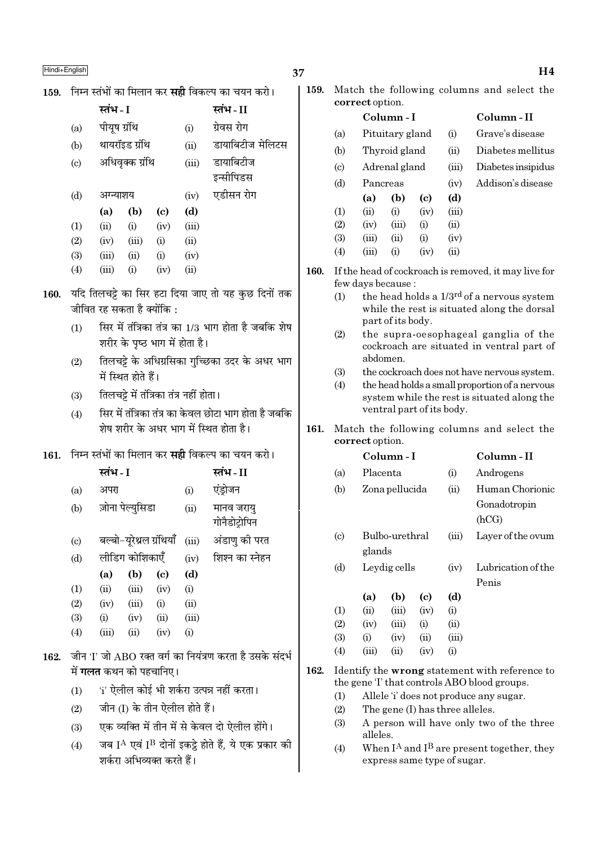|  |  |  | 159.   निम्न स्तंभों का मिलान कर <b>सही</b> विकल्प का चयन करो। |  |  |
|--|--|--|----------------------------------------------------------------|--|--|

|     | स्तंभ - I    |                 |      |       | स्तंभ - II       |
|-----|--------------|-----------------|------|-------|------------------|
| (a) | पीयूष ग्रंथि |                 |      | (i)   | ग्रेवस रोग       |
| (b) |              | थायरॉइड ग्रंथि  |      | (ii)  | डायाबिटीज मेलिटस |
| (c) |              | अधिवृक्क ग्रंथि |      | (iii) | डायाबिटीज        |
|     |              |                 |      |       | इन्सीपिडस        |
| (d) | अग्न्याशय    |                 |      | (iv)  | एडीसन रोग        |
|     | (a)          | (b)             | (c)  | (d)   |                  |
| (1) | (ii)         | (i)             | (iv) | (iii) |                  |
| (2) | (iv)         | (iii)           | (i)  | (ii)  |                  |
| (3) | (iii)        | (ii)            | (i)  | (iv)  |                  |
| (4) | (iii)        | (i)             | (iv) | (ii)  |                  |

- 160. यदि तिलचट्टे का सिर हटा दिया जाए तो यह कुछ दिनों तक जीवित रह सकता है क्योंकि :
	- सिर में तंत्रिका तंत्र का 1/3 भाग होता है जबकि शेष  $(1)$ शरीर के पृष्ठ भाग में होता है।
	- तिलचट्टे के अधिग्रसिका गुच्छिका उदर के अधर भाग  $(2)$ में स्थित होते हैं।
	- तिलचट्टे में तंत्रिका तंत्र नहीं होता।  $(3)$
	- सिर में तंत्रिका तंत्र का केवल छोटा भाग होता है जबकि  $(4)$ .<br>शेष शरीर के अधर भाग में स्थित होता है।
- 161. निम्न स्तंभों का मिलान कर सही विकल्प का चयन करो।

|                            | स्तंभ - I |                          |      |       | स्तंभ - II                  |
|----------------------------|-----------|--------------------------|------|-------|-----------------------------|
| (a)                        | अपरा      |                          |      | (i)   | एंड़ोजन                     |
| (b)                        |           | ज़ोना पेल्युसिडा         |      | (ii)  | मानव जरायु<br>गोनैडोट्रोपिन |
| $\left( \mathrm{c}\right)$ |           | बल्बो-यूरेथ्रल ग्रंथियाँ |      | (iii) | अंडाणु की परत               |
| (d)                        |           | लीडिग कोशिकाएँ           |      | (iv)  | शिश्न का स्नेहन             |
|                            | (a)       | (b)                      | (c)  | (d)   |                             |
| (1)                        | (ii)      | (iii)                    | (iv) | (i)   |                             |
| (2)                        | (iv)      | (iii)                    | (i)  | (ii)  |                             |
| (3)                        | (i)       | (iv)                     | (ii) | (iii) |                             |
| (4)                        | (iii)     | (ii)                     | (iv) | (i)   |                             |

- 162. जीन 'I' जो ABO रक्त वर्ग का नियंत्रण करता है उसके संदर्भ में **गलत** कथन को पहचानिए।
	- 'i' ऐलील कोई भी शर्करा उत्पन्न नहीं करता।  $(1)$
	- जीन (I) के तीन ऐलील होते हैं।  $(2)$
	- एक व्यक्ति में तीन में से केवल दो ऐलील होंगे।  $(3)$
	- जब IA एवं IB दोनों इकट्ठे होते हैं, ये एक प्रकार की  $(4)$ शर्करा अभिव्यक्त करते हैं।

Match the following columns and select the 159. correct option.

|                             |          | Column - I      |                        |        | Column - II        |
|-----------------------------|----------|-----------------|------------------------|--------|--------------------|
| (a)                         |          | Pituitary gland |                        | (i)    | Grave's disease    |
| (b)                         |          | Thyroid gland   |                        | (ii)   | Diabetes mellitus  |
| $\left( \mathrm{c} \right)$ |          | Adrenal gland   |                        | (iii)  | Diabetes insipidus |
| (d)                         | Pancreas |                 |                        | (iv)   | Addison's disease  |
|                             | (a)      | (b)             | (c)                    | (d)    |                    |
| (1)                         | (ii)     | $\rm(i)$        | (iv)                   | (iii)  |                    |
| (2)                         | (iv)     | (iii)           | (i)                    | (ii)   |                    |
| (3)                         | (iii)    | (ii)            | $\rm \scriptstyle (i)$ | (iv)   |                    |
| (4)                         | (iii)    | $\rm(i)$        | (iv)                   | $\sin$ |                    |
|                             |          |                 |                        |        |                    |

- 160. If the head of cockroach is removed, it may live for few days because:
	- the head holds a 1/3<sup>rd</sup> of a nervous system  $(1)$ while the rest is situated along the dorsal part of its body.
	- $(2)$ the supra-oesophageal ganglia of the cockroach are situated in ventral part of abdomen.
	- $(3)$ the cockroach does not have nervous system.
	- the head holds a small proportion of a nervous  $(4)$ system while the rest is situated along the ventral part of its body.
- 161. Match the following columns and select the correct option.  $\sim$   $\cdot$

|                           |          | Column - I     |      |       | Column - 11                                                                                         |  |  |  |
|---------------------------|----------|----------------|------|-------|-----------------------------------------------------------------------------------------------------|--|--|--|
| (a)                       | Placenta |                |      | (i)   | Androgens                                                                                           |  |  |  |
| (b)                       |          | Zona pellucida |      | (ii)  | Human Chorionic                                                                                     |  |  |  |
|                           |          |                |      |       | Gonadotropin                                                                                        |  |  |  |
|                           |          |                |      |       | (hCG)                                                                                               |  |  |  |
| $\left( \text{c} \right)$ |          | Bulbo-urethral |      | (iii) | Layer of the ovum                                                                                   |  |  |  |
|                           | glands   |                |      |       |                                                                                                     |  |  |  |
| (d)                       |          | Leydig cells   |      | (iv)  | Lubrication of the                                                                                  |  |  |  |
|                           |          |                |      |       | Penis                                                                                               |  |  |  |
|                           | (a)      | (b)            | (c)  | (d)   |                                                                                                     |  |  |  |
| (1)                       | (ii)     | (iii)          | (iv) | (i)   |                                                                                                     |  |  |  |
| (2)                       | (iv)     | (iii)          | (i)  | (ii)  |                                                                                                     |  |  |  |
| (3)                       | (i)      | (iv)           | (ii) | (iii) |                                                                                                     |  |  |  |
| (4)                       | (iii)    | (ii)           | (iv) | (i)   |                                                                                                     |  |  |  |
|                           |          |                |      |       | Identify the <b>wrong</b> statement with reference to<br>the gene T that controls ABO blood groups. |  |  |  |

- $(1)$ Allele 'i' does not produce any sugar.
- $(2)$ The gene (I) has three alleles.

162.

- A person will have only two of the three  $(3)$ alleles.
- When  $I^A$  and  $I^B$  are present together, they  $(4)$ express same type of sugar.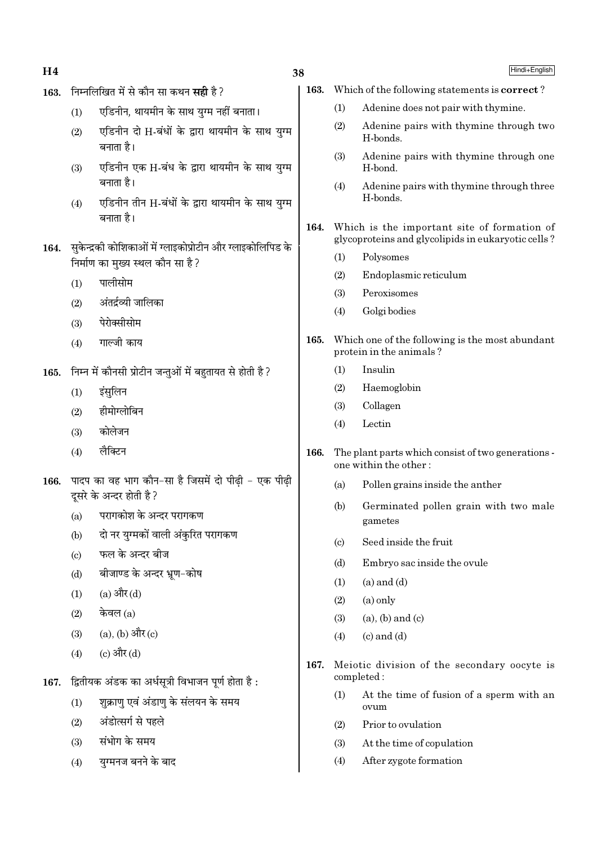$H<sub>4</sub>$ 

# 38

## Hindi+English

- 163. निम्नलिखित में से कौन सा कथन सही है ?
	- एडिनीन, थायमीन के साथ युग्म नहीं बनाता।  $(1)$
	- एडिनीन दो H-बंधों के द्वारा थायमीन के साथ यग्म  $(2)$ बनाता है।
	- एडिनीन एक H-बंध के द्वारा थायमीन के साथ युग्म  $(3)$ बनाता है।
	- एडिनीन तीन H-बंधों के द्वारा थायमीन के साथ युग्म  $(4)$ बनाता है।
- 164. सुकेन्द्रकी कोशिकाओं में ग्लाइकोप्रोटीन और ग्लाइकोलिपिड के निर्माण का मुख्य स्थल कौन सा है ?
	- पालीसोम  $(1)$
	- अंतर्द्रव्यी जालिका  $(2)$
	- पेरोक्सीसोम  $(3)$
	- गाल्जी काय  $(4)$
- 165. निम्न में कौनसी प्रोटीन जन्तुओं में बहुतायत से होती है ?
	- $(1)$ इंसुलिन
	- हीमोग्लोबिन  $(2)$
	- कोलेजन  $(3)$
	- लैक्टिन  $(4)$
- पादप का वह भाग कौन-सा है जिसमें दो पीढी एक पीढी 166. दूसरे के अन्दर होती है ?
	- परागकोश के अन्दर परागकण  $(a)$
	- दो नर युग्मकों वाली अंकुरित परागकण  $(h)$
	- फल के अन्दर बीज  $\left( \text{c} \right)$
	- बीजाण्ड के अन्दर भ्रूण-कोष  $(d)$
	- (a) और (d)  $(1)$
	- केवल $(a)$  $(2)$
	- (a), (b) और (c)  $(3)$
	- (c) और (d)  $(4)$
- द्वितीयक अंडक का अर्धसूत्री विभाजन पूर्ण होता है : 167.
	- शक्राण एवं अंडाण के संलयन के समय  $(1)$
	- अंडोत्सर्ग से पहले  $(2)$
	- संभोग के समय  $(3)$
	- युग्मनज बनने के बाद  $(4)$
- Which of the following statements is correct? 163.
	- $(1)$ Adenine does not pair with thymine.
	- $(2)$ Adenine pairs with thymine through two H-bonds.
	- Adenine pairs with thymine through one  $(3)$ H-bond.
	- $(4)$ Adenine pairs with thymine through three H-bonds.
- Which is the important site of formation of 164. glycoproteins and glycolipids in eukaryotic cells?
	- $(1)$ Polysomes
	- $(2)$ Endoplasmic reticulum
	- Peroxisomes  $(3)$
	- Golgi bodies  $(4)$
- 165. Which one of the following is the most abundant protein in the animals?
	- Insulin  $(1)$
	- $(2)$ Haemoglobin
	- $(3)$ Collagen
	- Lectin  $(4)$
- The plant parts which consist of two generations -166. one within the other:
	- $(a)$ Pollen grains inside the anther
	- $(b)$ Germinated pollen grain with two male gametes
	- $(c)$ Seed inside the fruit
	- Embryo sac inside the ovule  $(d)$
	- $(a)$  and  $(d)$  $(1)$
	- $(2)$  $(a)$  only
	- $(a)$ ,  $(b)$  and  $(c)$  $(3)$
	- $(c)$  and  $(d)$  $(4)$
- 167. Meiotic division of the secondary oocyte is completed:
	- At the time of fusion of a sperm with an  $(1)$ ovum
	- Prior to ovulation  $(2)$
	- $(3)$ At the time of copulation
	- After zygote formation  $(4)$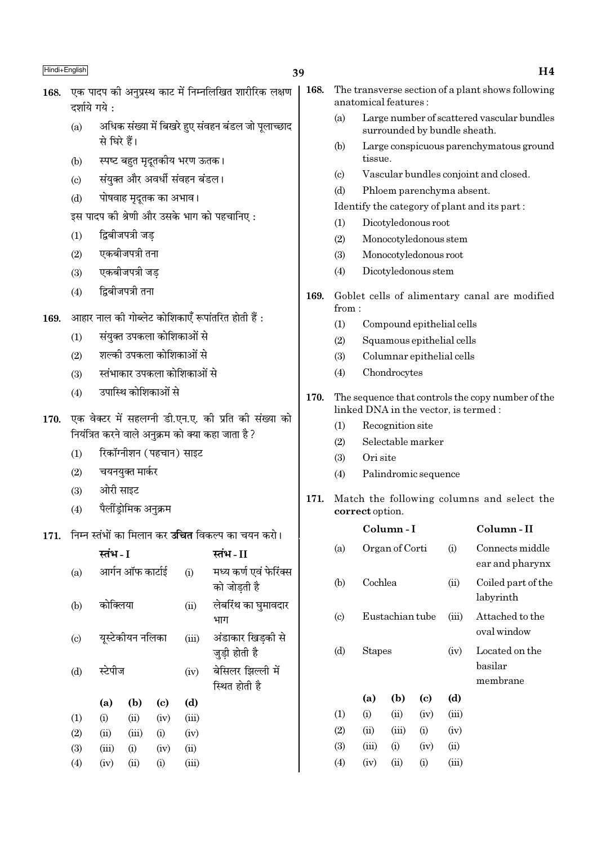# 39

#### एक पादप की अनप्रस्थ काट में निम्नलिखित शारीरिक लक्षण 168. दर्शाये गये ·

- अधिक संख्या में बिखरे हुए संवहन बंडल जो पुलाच्छाद  $(a)$ से घिरे हैं।
- स्पष्ट बहुत मृदूतकीय भरण ऊतक।  $(b)$
- संयुक्त और अवर्धी संवहन बंडल।  $(c)$
- पोषवाह मदतक का अभाव।  $(d)$

इस पादप की श्रेणी और उसके भाग को पहचानिए:

- द्विबीजपत्री जड  $(1)$
- एकबीजपत्री तना  $(2)$
- एकबीजपत्री जड़  $(3)$
- द्विबीजपत्री तना  $(4)$
- आहार नाल की गोब्लेट कोशिकाएँ रूपांतरित होती हैं : 169.
	- संयक्त उपकला कोशिकाओं से  $(1)$
	- शल्की उपकला कोशिकाओं से  $(2)$
	- स्तंभाकार उपकला कोशिकाओं से  $(3)$
	- उपास्थि कोशिकाओं से  $(4)$
- 170. एक वेक्टर में सहलग्नी डी.एन.ए. की प्रति की संख्या को नियंत्रित करने वाले अनुक्रम को क्या कहा जाता है ?
	- रिकॉग्नीशन (पहचान) साइट  $(1)$
	- चयनयुक्त मार्कर  $(2)$
	- ओरी साइट  $(3)$
	- पैलींडोमिक अनुक्रम  $(4)$
- 171. निम्न स्तंभों का मिलान कर **उचित** विकल्प का चयन करो।

|                           | स्तंभ - I |                  |                            |       | स्तभ - II                             |
|---------------------------|-----------|------------------|----------------------------|-------|---------------------------------------|
| (a)                       |           | आर्गन ऑफ कार्टाई |                            | (i)   | मध्य कर्ण एवं फेरिंक्स<br>को जोडती है |
| (b)                       | कोक्लिया  |                  |                            | (ii)  | लेबरिंथ का घुमावदार<br>भाग            |
| $\left( \text{c} \right)$ |           | युस्टेकीयन नलिका |                            | (iii) | अंडाकार खिडकी से<br>जुड़ी होती है     |
| (d)                       | स्टेपीज   |                  |                            | (iv)  | बेसिलर झिल्ली में<br>स्थित होती है    |
|                           | (a)       | (b)              | $\left( \mathrm{c}\right)$ | (d)   |                                       |
| (1)                       | (i)       | (ii)             | (iv)                       | (iii) |                                       |
| (2)                       | (ii)      | (iii)            | (i)                        | (iv)  |                                       |
| (3)                       | (iii)     | (i)              | (iv)                       | (ii)  |                                       |
| (4)                       | (iv)      | (ii)             | (i)                        | (iii) |                                       |

- The transverse section of a plant shows following 168. anatomical features :
	- Large number of scattered vascular bundles  $(a)$ surrounded by bundle sheath.
	- $(b)$ Large conspicuous parenchymatous ground tissue.
	- Vascular bundles conjoint and closed.  $\left( \mathrm{e}\right)$
	- $(d)$ Phloem parenchyma absent.
	- Identify the category of plant and its part:
	- Dicotyledonous root  $(1)$
	- $(2)$ Monocotyledonous stem
	- $(3)$ Monocotyledonous root
	- $(4)$ Dicotyledonous stem
- 169. Goblet cells of alimentary canal are modified  $from:$ 
	- $(1)$ Compound epithelial cells
	- $(2)$ Squamous epithelial cells
	- Columnar epithelial cells  $(3)$
	- $(4)$ Chondrocytes
- 170. The sequence that controls the copy number of the linked DNA in the vector, is termed:
	- $(1)$ Recognition site
	- $(2)$ Selectable marker
	- $(3)$ Ori site
	- $(4)$ Palindromic sequence
- 171. Match the following columns and select the correct option.

|                             |         | Column - I      |      |       | Column - II                           |
|-----------------------------|---------|-----------------|------|-------|---------------------------------------|
| (a)                         |         | Organ of Corti  |      |       | Connects middle<br>ear and pharynx    |
| (b)                         | Cochlea |                 |      | (ii)  | Coiled part of the<br>labyrinth       |
| $\left( \mathrm{c} \right)$ |         | Eustachian tube |      | (iii) | Attached to the<br>oval window        |
| (d)                         | Stapes  |                 |      | (iv)  | Located on the<br>basilar<br>membrane |
|                             | (a)     | (b)             | (c)  | (d)   |                                       |
| $\left(1\right)$            | (i)     | (ii)            | (iv) | (iii) |                                       |
| (2)                         | (ii)    | (iii)           | (i)  | (iv)  |                                       |
| (3)                         | (iii)   | (i)             | (iv) | (ii)  |                                       |
| (4)                         | (iv)    | (ii)            | (i)  | (iii) |                                       |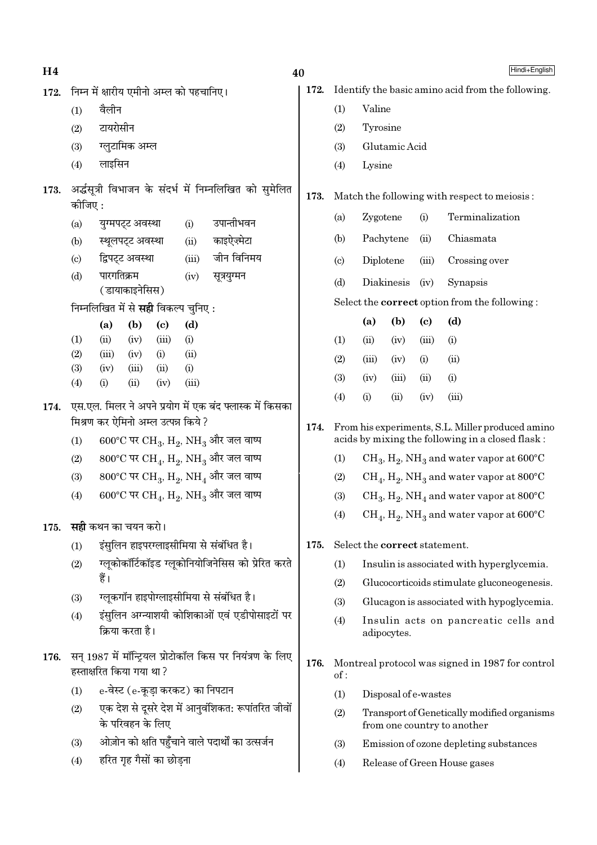| H <sub>4</sub> |                                                                                                |                                                |                          |                            |                                            |                                                                         | 40   |                                                   |           |                               |                            |                                                                                                      | Hindi+English |
|----------------|------------------------------------------------------------------------------------------------|------------------------------------------------|--------------------------|----------------------------|--------------------------------------------|-------------------------------------------------------------------------|------|---------------------------------------------------|-----------|-------------------------------|----------------------------|------------------------------------------------------------------------------------------------------|---------------|
| 172.           | निम्न में क्षारीय एमीनो अम्ल को पहचानिए।                                                       |                                                |                          |                            |                                            | 172.                                                                    |      | Identify the basic amino acid from the following. |           |                               |                            |                                                                                                      |               |
|                | (1)                                                                                            | वैलीन                                          |                          |                            |                                            |                                                                         |      | (1)                                               | Valine    |                               |                            |                                                                                                      |               |
|                | (2)                                                                                            | टायरोसीन                                       |                          |                            |                                            |                                                                         |      | (2)                                               | Tyrosine  |                               |                            |                                                                                                      |               |
|                | (3)                                                                                            |                                                | ग्लूटामिक अम्ल           |                            |                                            |                                                                         |      | (3)                                               |           | Glutamic Acid                 |                            |                                                                                                      |               |
|                | (4)                                                                                            | लाइसिन                                         |                          |                            |                                            |                                                                         |      | (4)                                               | Lysine    |                               |                            |                                                                                                      |               |
| 173.           | अर्द्धसूत्री विभाजन के संदर्भ में निम्नलिखित को सुमेलित<br>कोजिए :                             |                                                |                          |                            |                                            |                                                                         | 173. | Match the following with respect to meiosis:      |           |                               |                            |                                                                                                      |               |
|                | (a)                                                                                            |                                                | युग्मपट्ट अवस्था         |                            | (i)                                        | उपान्तीभवन                                                              |      | (a)                                               | Zygotene  |                               | (i)                        | Terminalization                                                                                      |               |
|                | (b)                                                                                            |                                                | स्थूलपट्ट अवस्था         |                            | (ii)                                       | काइऐज़्मेटा                                                             |      | (b)                                               |           | Pachytene                     | (ii)                       | Chiasmata                                                                                            |               |
|                | (c)                                                                                            |                                                | द्विपट्ट अवस्था          |                            | (iii)                                      | जीन विनिमय                                                              |      | (c)                                               | Diplotene |                               | (iii)                      | Crossing over                                                                                        |               |
|                | (d)                                                                                            | पारगतिक्रम                                     | (डायाकाइनेसिस)           |                            | (iv)                                       | सूत्रयुग्मन                                                             |      | (d)                                               |           | Diakinesis                    | (iv)                       | Synapsis                                                                                             |               |
|                |                                                                                                |                                                |                          |                            | निम्नलिखित में से <b>सही</b> विकल्प चुनिए: |                                                                         |      |                                                   |           |                               |                            | Select the <b>correct</b> option from the following:                                                 |               |
|                |                                                                                                | (a)                                            | (b)                      | $\left( \mathrm{c}\right)$ | (d)                                        |                                                                         |      |                                                   | (a)       | (b)                           | $\left( \mathrm{c}\right)$ | (d)                                                                                                  |               |
|                | (1)                                                                                            | (ii)                                           | (iv)                     | (iii)                      | (i)                                        |                                                                         |      | (1)                                               | (ii)      | (iv)                          | (iii)                      | (i)                                                                                                  |               |
|                | (2)                                                                                            | (iii)                                          | (iv)                     | (i)                        | (ii)                                       |                                                                         |      | (2)                                               | (iii)     | (iv)                          | (i)                        | (ii)                                                                                                 |               |
|                | (3)<br>(4)                                                                                     | (iv)<br>(i)                                    | (iii)<br>(ii)            | (ii)<br>(iv)               | (i)<br>(iii)                               |                                                                         |      | (3)                                               | (iv)      | (iii)                         | (ii)                       | (i)                                                                                                  |               |
| 174.           |                                                                                                |                                                |                          |                            |                                            |                                                                         |      | (4)                                               | (i)       | (ii)                          | (iv)                       | (iii)                                                                                                |               |
|                | एस.एल. मिलर ने अपने प्रयोग में एक बंद फ्लास्क में किसका<br>मिश्रण कर ऐमिनो अम्ल उत्पन्न किये ? |                                                |                          |                            |                                            |                                                                         |      |                                                   |           |                               |                            |                                                                                                      |               |
|                | 600°C पर CH <sub>3</sub> , H <sub>2</sub> , NH <sub>3</sub> और जल वाष्प<br>(1)                 |                                                |                          |                            |                                            |                                                                         | 174. |                                                   |           |                               |                            | From his experiments, S.L. Miller produced amino<br>acids by mixing the following in a closed flask: |               |
|                | (2)                                                                                            |                                                |                          |                            |                                            | 800°C पर CH <sub>4</sub> , H <sub>2</sub> , NH <sub>3</sub> और जल वाष्प |      | (1)                                               |           |                               |                            | $CH_3$ , $H_2$ , NH <sub>3</sub> and water vapor at 600°C                                            |               |
|                | (3)                                                                                            |                                                |                          |                            |                                            | 800°C पर CH <sub>3</sub> , H <sub>2</sub> , NH <sub>4</sub> और जल वाष्प |      | (2)                                               |           |                               |                            | $CH_4$ , $H_2$ , NH <sub>3</sub> and water vapor at 800°C                                            |               |
|                | (4)                                                                                            |                                                |                          |                            |                                            | 600°C पर CH <sub>4</sub> , H <sub>2</sub> , NH <sub>3</sub> और जल वाष्प |      | (3)                                               |           |                               |                            | $CH_3, H_2, NH_4$ and water vapor at 800°C                                                           |               |
| 175.           | <b>सही</b> कथन का चयन करो।                                                                     |                                                |                          |                            |                                            |                                                                         |      | (4)                                               |           |                               |                            | $CH_4$ , $H_2$ , NH <sub>3</sub> and water vapor at 600°C                                            |               |
|                | (1)                                                                                            |                                                |                          |                            |                                            | इंसुलिन हाइपरग्लाइसीमिया से संबंधित है।                                 | 175. |                                                   |           | Select the correct statement. |                            |                                                                                                      |               |
|                | (2)                                                                                            |                                                |                          |                            |                                            | ग्लूकोकॉर्टिकॉइड ग्लूकोनियोजिनेसिस को प्रेरित करते                      |      | (1)                                               |           |                               |                            | Insulin is associated with hyperglycemia.                                                            |               |
|                |                                                                                                | हैं।                                           |                          |                            |                                            |                                                                         |      | (2)                                               |           |                               |                            | Glucocorticoids stimulate gluconeogenesis.                                                           |               |
|                | (3)                                                                                            |                                                |                          |                            |                                            | ग्लूकगॉन हाइपोग्लाइसीमिया से संबंधित है।                                |      | (3)                                               |           |                               |                            | Glucagon is associated with hypoglycemia.                                                            |               |
|                | (4)                                                                                            | इंसुलिन अग्न्याशयी कोशिकाओं एवं एडीपोसाइटों पर |                          |                            |                                            |                                                                         |      | (4)                                               |           |                               |                            | Insulin acts on pancreatic cells and                                                                 |               |
|                |                                                                                                |                                                | क्रिया करता है।          |                            |                                            |                                                                         |      |                                                   |           | adipocytes.                   |                            |                                                                                                      |               |
| 176.           |                                                                                                |                                                | हस्ताक्षरित किया गया था? |                            |                                            | सन् 1987 में मॉन्ट्रियल प्रोटोकॉल किस पर नियंत्रण के लिए                | 176. | of:                                               |           |                               |                            | Montreal protocol was signed in 1987 for control                                                     |               |
|                | (1)                                                                                            |                                                |                          |                            | e-वेस्ट (e-कूड़ा करकट) का निपटान           |                                                                         |      | (1)                                               |           | Disposal of e-wastes          |                            |                                                                                                      |               |
|                | (2)                                                                                            |                                                | के परिवहन के लिए         |                            |                                            | एक देश से दूसरे देश में आनुवंशिकत: रूपांतरित जीवों                      |      | (2)                                               |           |                               |                            | Transport of Genetically modified organisms<br>from one country to another                           |               |
|                | (3)                                                                                            |                                                |                          |                            |                                            | ओज़ोन को क्षति पहुँचाने वाले पदार्थों का उत्सर्जन                       |      | (3)                                               |           |                               |                            | Emission of ozone depleting substances                                                               |               |
|                | (4)                                                                                            |                                                | हरित गृह गैसों का छोड़ना |                            |                                            |                                                                         |      | (4)                                               |           |                               |                            | Release of Green House gases                                                                         |               |
|                |                                                                                                |                                                |                          |                            |                                            |                                                                         |      |                                                   |           |                               |                            |                                                                                                      |               |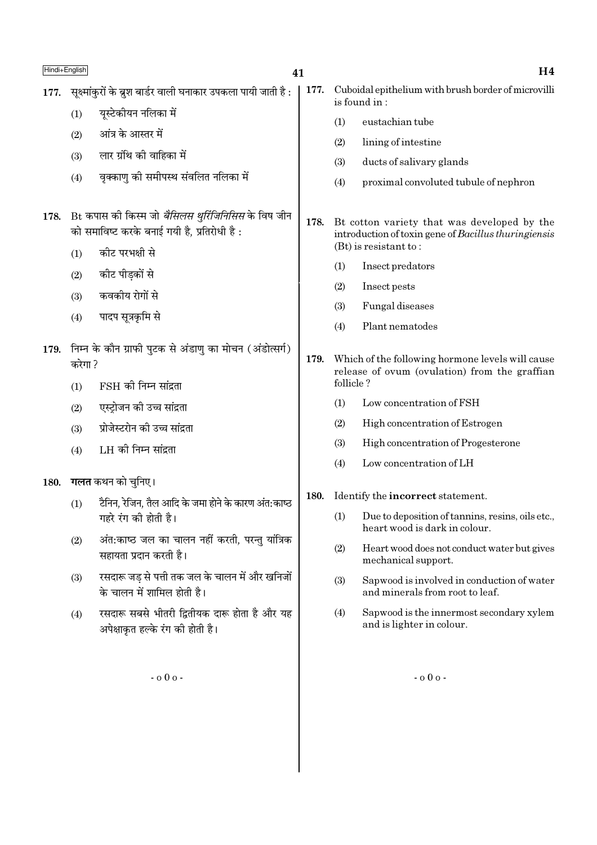| Hindi+English |                                                                                                            |                                                                                   | 41   |                                                                     | H <sub>4</sub>                                                                                                       |  |  |  |
|---------------|------------------------------------------------------------------------------------------------------------|-----------------------------------------------------------------------------------|------|---------------------------------------------------------------------|----------------------------------------------------------------------------------------------------------------------|--|--|--|
| 177.          | सूक्ष्मांकुरों के ब्रुश बार्डर वाली घनाकार उपकला पायी जाती है :                                            |                                                                                   | 177. | Cuboidal epithelium with brush border of microvilli<br>is found in: |                                                                                                                      |  |  |  |
|               | (1)                                                                                                        | यूस्टेकीयन नलिका में                                                              |      | (1)                                                                 | eustachian tube                                                                                                      |  |  |  |
|               | (2)                                                                                                        | आंत्र के आस्तर में                                                                |      | (2)                                                                 | lining of intestine                                                                                                  |  |  |  |
|               | (3)                                                                                                        | लार ग्रंथि की वाहिका में                                                          |      | (3)                                                                 | ducts of salivary glands                                                                                             |  |  |  |
|               | (4)                                                                                                        | वृक्काणु की समीपस्थ संवलित नलिका में                                              |      | (4)                                                                 | proximal convoluted tubule of nephron                                                                                |  |  |  |
| 178.          | Bt कपास की किस्म जो <i>बैसिलस थुर्रिजिनिसिस</i> के विष जीन<br>को समाविष्ट करके बनाई गयी है, प्रतिरोधी है : |                                                                                   | 178. |                                                                     | Bt cotton variety that was developed by the<br>introduction of toxin gene of Bacillus thuringiensis                  |  |  |  |
|               | (1)                                                                                                        | कीट परभक्षी से                                                                    |      |                                                                     | $(Bt)$ is resistant to:                                                                                              |  |  |  |
|               | (2)                                                                                                        | कीट पीड़कों से                                                                    |      | (1)                                                                 | Insect predators                                                                                                     |  |  |  |
|               | (3)                                                                                                        | कवकीय रोगों से                                                                    |      | (2)                                                                 | Insect pests                                                                                                         |  |  |  |
|               | (4)                                                                                                        | पादप सूत्रकृमि से                                                                 |      | (3)                                                                 | Fungal diseases                                                                                                      |  |  |  |
| 179.          | निम्न के कौन ग्राफी पुटक से अंडाणु का मोचन (अंडोत्सर्ग)<br>करेगा ?                                         |                                                                                   | 179. | (4)                                                                 | Plant nematodes<br>Which of the following hormone levels will cause<br>release of ovum (ovulation) from the graffian |  |  |  |
|               | (1)                                                                                                        | $FSH$ की निम्न सांद्रता                                                           |      | follicle?                                                           |                                                                                                                      |  |  |  |
|               | (2)                                                                                                        | एस्ट्रोजन की उच्च सांद्रता                                                        |      | (1)                                                                 | Low concentration of FSH                                                                                             |  |  |  |
|               | (3)                                                                                                        | प्रोजेस्टरोन की उच्च सांद्रता                                                     |      | (2)                                                                 | High concentration of Estrogen                                                                                       |  |  |  |
|               | (4)                                                                                                        | LH की निम्न सांद्रता                                                              |      | (3)                                                                 | High concentration of Progesterone                                                                                   |  |  |  |
|               |                                                                                                            |                                                                                   |      | (4)                                                                 | Low concentration of LH                                                                                              |  |  |  |
| 180.          | <b>गलत</b> कथन को चुनिए।<br>टैनिन, रेजिन, तैल आदि के जमा होने के कारण अंत:काष्ठ                            |                                                                                   |      |                                                                     | Identify the incorrect statement.                                                                                    |  |  |  |
|               | (1)                                                                                                        | गहरे रंग की होती है।                                                              |      | (1)                                                                 | Due to deposition of tannins, resins, oils etc.,<br>heart wood is dark in colour.                                    |  |  |  |
|               | (2)                                                                                                        | अंत:काष्ठ जल का चालन नहीं करती, परन्तु यांत्रिक<br>सहायता प्रदान करती है।         |      | (2)                                                                 | Heart wood does not conduct water but gives<br>mechanical support.                                                   |  |  |  |
|               | (3)                                                                                                        | रसदारू जड़ से पत्ती तक जल के चालन में और खनिजों<br>के चालन में शामिल होती है।     |      | (3)                                                                 | Sapwood is involved in conduction of water<br>and minerals from root to leaf.                                        |  |  |  |
|               | (4)                                                                                                        | रसदारू सबसे भीतरी द्वितीयक दारू होता है और यह<br>अपेक्षाकृत हल्के रंग की होती है। |      | (4)                                                                 | Sapwood is the innermost secondary xylem<br>and is lighter in colour.                                                |  |  |  |
|               |                                                                                                            | $-000 -$                                                                          |      |                                                                     | $-000 -$                                                                                                             |  |  |  |
|               |                                                                                                            |                                                                                   |      |                                                                     |                                                                                                                      |  |  |  |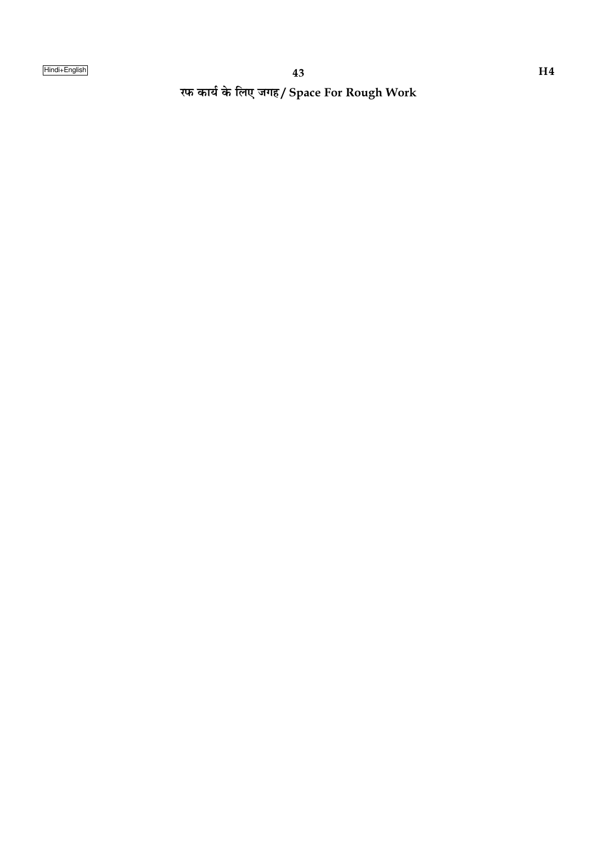रफ कार्य के लिए जगह/ Space For Rough Work